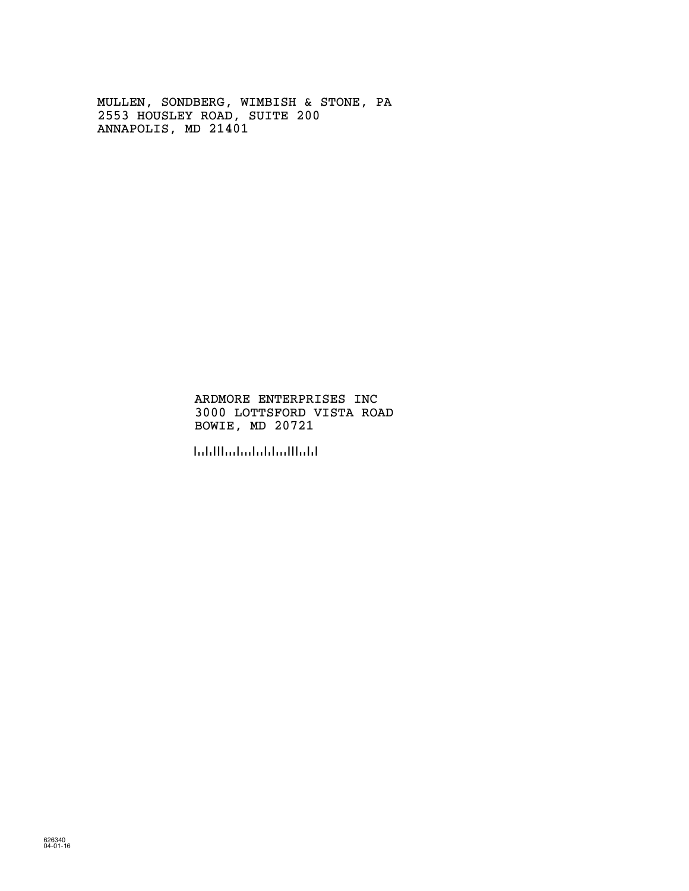MULLEN, SONDBERG, WIMBISH & STONE, PA 2553 HOUSLEY ROAD, SUITE 200 ANNAPOLIS, MD 21401

> ARDMORE ENTERPRISES INC 3000 LOTTSFORD VISTA ROAD BOWIE, MD 20721

!207218!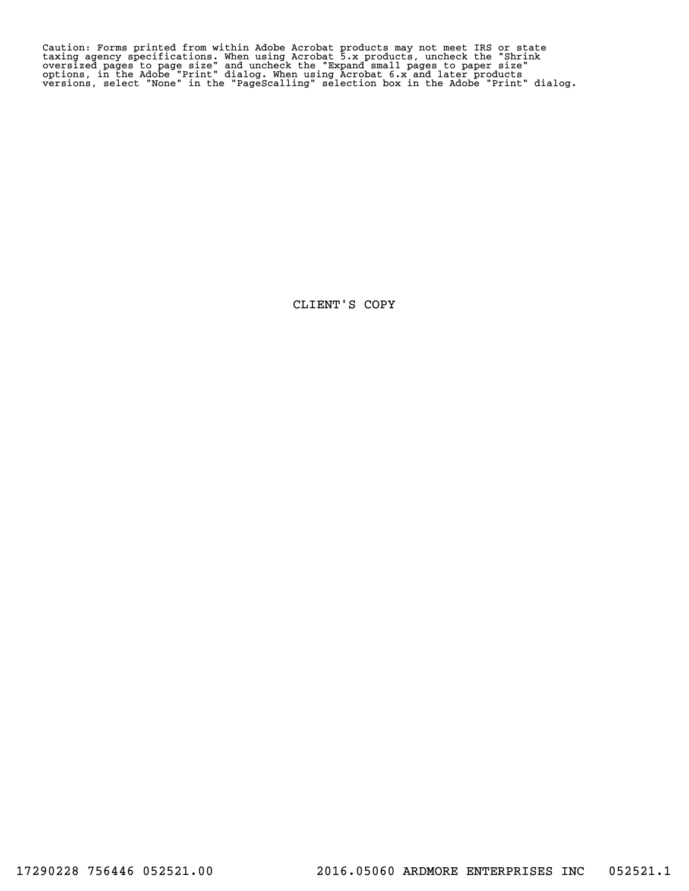Caution: Forms printed from within Adobe Acrobat products may not meet IRS or state<br>taxing agency specifications. When using Acrobat 5.x products, uncheck the "Shrink<br>oversized pages to page size" and uncheck the "Expand s

CLIENT'S COPY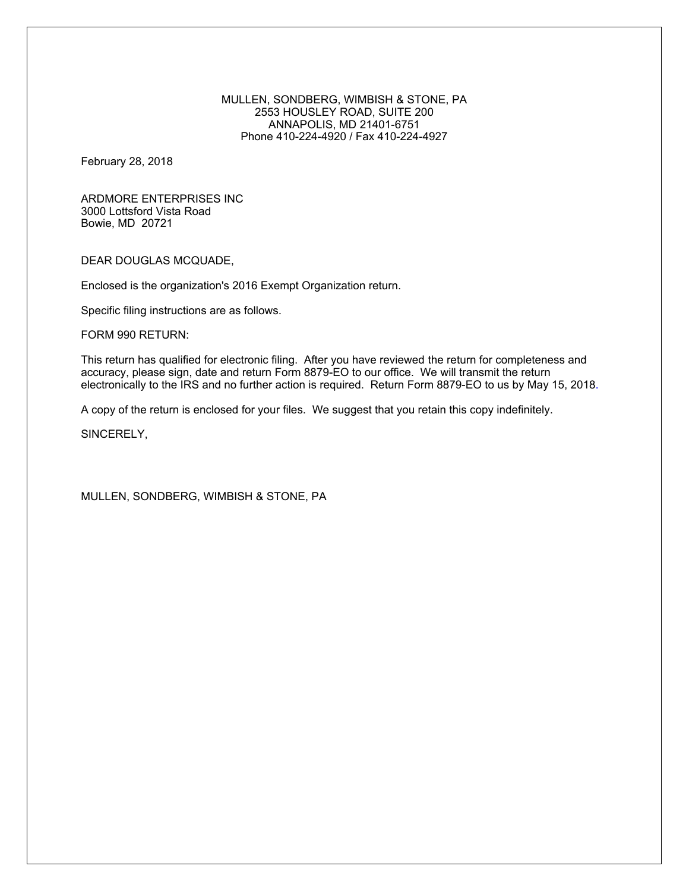### MULLEN, SONDBERG, WIMBISH & STONE, PA 2553 HOUSLEY ROAD, SUITE 200 ANNAPOLIS, MD 21401-6751 Phone 410-224-4920 / Fax 410-224-4927

February 28, 2018

ARDMORE ENTERPRISES INC 3000 Lottsford Vista Road Bowie, MD 20721

DEAR DOUGLAS MCQUADE,

Enclosed is the organization's 2016 Exempt Organization return.

Specific filing instructions are as follows.

FORM 990 RETURN:

This return has qualified for electronic filing. After you have reviewed the return for completeness and accuracy, please sign, date and return Form 8879-EO to our office. We will transmit the return electronically to the IRS and no further action is required. Return Form 8879-EO to us by May 15, 2018.

A copy of the return is enclosed for your files. We suggest that you retain this copy indefinitely.

SINCERELY,

MULLEN, SONDBERG, WIMBISH & STONE, PA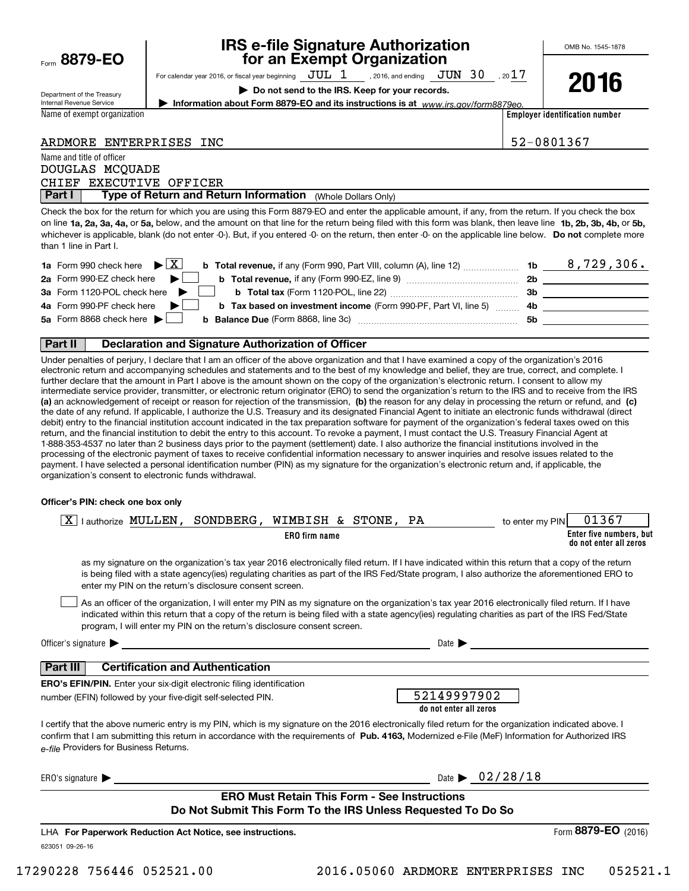| Form 8879-EO |
|--------------|
|              |

## **IRS e-file Signature Authorization for an Exempt Organization**

For calendar year 2016, or fiscal year beginning  $\rm\,JUL~$   $1$   $\rm\,$  , 2016, and ending  $\rm\,JUN~$   $30$   $\rm\,$  , 20 $17$ 

**| Do not send to the IRS. Keep for your records.**

**| Information about Form 8879-EO and its instructions is at**  *www.irs.gov/form8879eo.*

**2016**

Department of the Treasury Internal Revenue Service

Name and title of officer

Name of exempt organization

**Employer identification number**

| ARDMORE ENTERPRISES INC |  |
|-------------------------|--|
|                         |  |

52-0801367

| Destilly Trace of Detroits and Detroited belo |  |
|-----------------------------------------------|--|
| CHIEF EXECUTIVE OFFICER                       |  |
| DOUGLAS MCQUADE                               |  |
| INQUITE QUIU LILIE UI UTIIUEI                 |  |

 (Whole Dollars Only) **Part I Type of Return and Return Information** 

on line **1a, 2a, 3a, 4a,** or **5a,** below, and the amount on that line for the return being filed with this form was blank, then leave line **1b, 2b, 3b, 4b,** or **5b,** whichever is applicable, blank (do not enter -0-). But, if you entered -0- on the return, then enter -0- on the applicable line below. **Do not** complete more Check the box for the return for which you are using this Form 8879-EO and enter the applicable amount, if any, from the return. If you check the box than 1 line in Part I.

| <b>1a</b> Form 990 check here $\blacktriangleright$ $\boxed{\text{X}}$<br><b>b</b> Total revenue, if any (Form 990, Part VIII, column (A), line 12) <i></i> | 1b | 8,729,306. |
|-------------------------------------------------------------------------------------------------------------------------------------------------------------|----|------------|
| 2a Form 990-EZ check here<br>- No. 1                                                                                                                        | 2b |            |
| 3a Form 1120-POL check here                                                                                                                                 | Зb |            |
| 4a Form 990-PF check here $\blacktriangleright$<br><b>b</b> Tax based on investment income (Form 990-PF, Part VI, line 5) 4b                                |    |            |
| 5a Form 8868 check here $\blacktriangleright$<br><b>b Balance Due</b> (Form 8868, line 3c) <b>manual Balance Due</b> (Form 8868, line 3c)                   | 5b |            |
|                                                                                                                                                             |    |            |

### **Part II Declaration and Signature Authorization of Officer**

**(a)** an acknowledgement of receipt or reason for rejection of the transmission, (b) the reason for any delay in processing the return or refund, and (c) Under penalties of perjury, I declare that I am an officer of the above organization and that I have examined a copy of the organization's 2016 electronic return and accompanying schedules and statements and to the best of my knowledge and belief, they are true, correct, and complete. I further declare that the amount in Part I above is the amount shown on the copy of the organization's electronic return. I consent to allow my intermediate service provider, transmitter, or electronic return originator (ERO) to send the organization's return to the IRS and to receive from the IRS the date of any refund. If applicable, I authorize the U.S. Treasury and its designated Financial Agent to initiate an electronic funds withdrawal (direct debit) entry to the financial institution account indicated in the tax preparation software for payment of the organization's federal taxes owed on this return, and the financial institution to debit the entry to this account. To revoke a payment, I must contact the U.S. Treasury Financial Agent at 1-888-353-4537 no later than 2 business days prior to the payment (settlement) date. I also authorize the financial institutions involved in the processing of the electronic payment of taxes to receive confidential information necessary to answer inquiries and resolve issues related to the payment. I have selected a personal identification number (PIN) as my signature for the organization's electronic return and, if applicable, the organization's consent to electronic funds withdrawal.

#### **Officer's PIN: check one box only**

| lauthorize MULLEN, SONDBERG, WIMBISH & STONE, PA<br>  X                                                                                                                                                                                                                                                                                                                          | 01367<br>to enter my PIN                          |
|----------------------------------------------------------------------------------------------------------------------------------------------------------------------------------------------------------------------------------------------------------------------------------------------------------------------------------------------------------------------------------|---------------------------------------------------|
| ERO firm name                                                                                                                                                                                                                                                                                                                                                                    | Enter five numbers, but<br>do not enter all zeros |
| as my signature on the organization's tax year 2016 electronically filed return. If I have indicated within this return that a copy of the return<br>is being filed with a state agency(ies) regulating charities as part of the IRS Fed/State program, I also authorize the aforementioned ERO to<br>enter my PIN on the return's disclosure consent screen.                    |                                                   |
| As an officer of the organization, I will enter my PIN as my signature on the organization's tax year 2016 electronically filed return. If I have<br>indicated within this return that a copy of the return is being filed with a state agency(ies) regulating charities as part of the IRS Fed/State<br>program, I will enter my PIN on the return's disclosure consent screen. |                                                   |
| Officer's signature $\blacktriangleright$                                                                                                                                                                                                                                                                                                                                        | Date $\blacktriangleright$                        |
| <b>Certification and Authentication</b><br>Part III                                                                                                                                                                                                                                                                                                                              |                                                   |
| <b>ERO's EFIN/PIN.</b> Enter your six-digit electronic filing identification                                                                                                                                                                                                                                                                                                     |                                                   |
| number (EFIN) followed by your five-digit self-selected PIN.                                                                                                                                                                                                                                                                                                                     | 52149997902<br>do not enter all zeros             |
| I certify that the above numeric entry is my PIN, which is my signature on the 2016 electronically filed return for the organization indicated above. I<br>confirm that I am submitting this return in accordance with the requirements of Pub. 4163. Modernized e-File (MeF) Information for Authorized IRS<br>e-file Providers for Business Returns.                           |                                                   |
| ERO's signature $\blacktriangleright$                                                                                                                                                                                                                                                                                                                                            | Date $\triangleright$ 02/28/18                    |
| <b>ERO Must Retain This Form - See Instructions</b>                                                                                                                                                                                                                                                                                                                              |                                                   |
| Do Not Submit This Form To the IRS Unless Requested To Do So                                                                                                                                                                                                                                                                                                                     |                                                   |
| LHA For Paperwork Reduction Act Notice, see instructions.                                                                                                                                                                                                                                                                                                                        | Form 8879-EO<br>(2016)                            |
| 623051 09-26-16                                                                                                                                                                                                                                                                                                                                                                  |                                                   |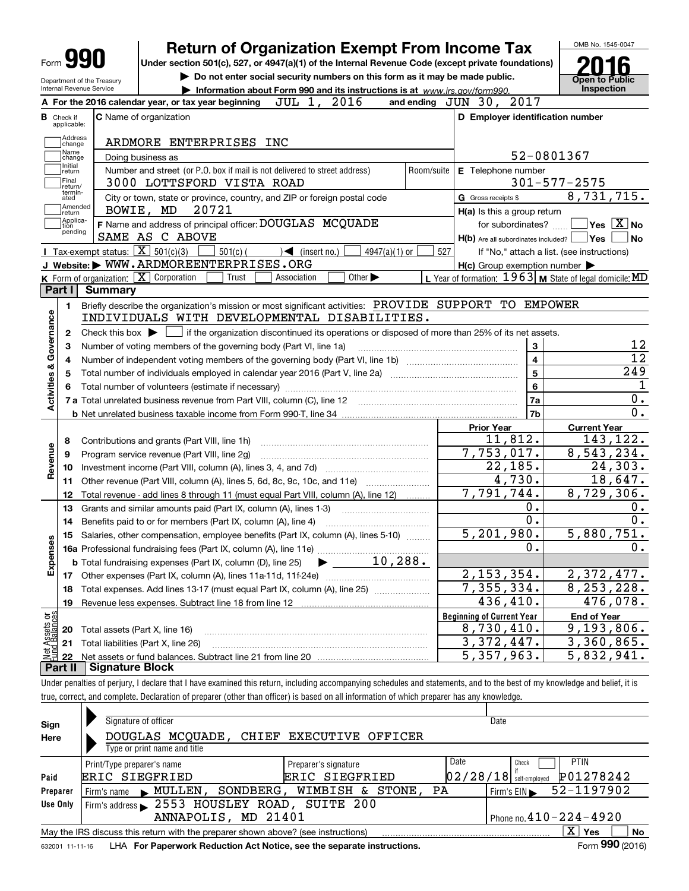| <b>Return of Organization Exempt From Income Tax</b><br>Form $99$<br>Under section 501(c), 527, or 4947(a)(1) of the Internal Revenue Code (except private foundations)<br>Do not enter social security numbers on this form as it may be made public.<br>Department of the Treasury<br>Internal Revenue Service<br>Information about Form 990 and its instructions is at www.irs.gov/form990.<br>JUL 1, 2016<br>A For the 2016 calendar year, or tax year beginning<br>C Name of organization<br><b>B</b> Check if<br>applicable:<br>Address<br>ARDMORE ENTERPRISES INC<br>change<br>Name<br>Doing business as<br>change<br>Initial<br>Number and street (or P.O. box if mail is not delivered to street address)<br>Room/suite<br>return<br>Final<br>3000 LOTTSFORD VISTA ROAD<br>return/<br>termin-<br>City or town, state or province, country, and ZIP or foreign postal code<br>ated<br>Amended<br>20721<br>BOWIE, MD<br>return<br> Applica-<br>F Name and address of principal officer: DOUGLAS MCQUADE<br>tion<br>pending<br>SAME AS C ABOVE<br><b>I</b> Tax-exempt status: $\boxed{\mathbf{X}}$ 501(c)(3)<br>$501(c)$ (<br>$\sqrt{\frac{1}{1}}$ (insert no.)<br>527<br>$4947(a)(1)$ or<br>J Website: WWW.ARDMOREENTERPRISES.ORG<br>K Form of organization: $\boxed{\mathbf{X}}$ Corporation<br>Trust<br>Other $\blacktriangleright$<br>Association<br>Part I<br>Summary<br>Briefly describe the organization's mission or most significant activities: PROVIDE SUPPORT TO EMPOWER<br>1.<br>INDIVIDUALS WITH DEVELOPMENTAL DISABILITIES.<br>Check this box $\blacktriangleright$ $\Box$ if the organization discontinued its operations or disposed of more than 25% of its net assets.<br>2<br>Number of voting members of the governing body (Part VI, line 1a) | and ending $J\overline{U}N$ 30, 2017<br>D Employer identification number<br>52-0801367<br>E Telephone number<br>G Gross receipts \$<br>H(a) Is this a group return<br>$H(b)$ Are all subordinates included? $\Box$ Yes  <br>If "No," attach a list. (see instructions)<br>$H(c)$ Group exemption number $\blacktriangleright$<br>L Year of formation: $1963$ M State of legal domicile: MD<br>3 | <b>Open to Public</b><br>Inspection<br>$301 - 577 - 2575$<br>for subordinates? $\Box \Box$ Yes $\boxed{X}$ No<br>  No |
|---------------------------------------------------------------------------------------------------------------------------------------------------------------------------------------------------------------------------------------------------------------------------------------------------------------------------------------------------------------------------------------------------------------------------------------------------------------------------------------------------------------------------------------------------------------------------------------------------------------------------------------------------------------------------------------------------------------------------------------------------------------------------------------------------------------------------------------------------------------------------------------------------------------------------------------------------------------------------------------------------------------------------------------------------------------------------------------------------------------------------------------------------------------------------------------------------------------------------------------------------------------------------------------------------------------------------------------------------------------------------------------------------------------------------------------------------------------------------------------------------------------------------------------------------------------------------------------------------------------------------------------------------------------------------------------------------------------------------------------------------------------------------|-------------------------------------------------------------------------------------------------------------------------------------------------------------------------------------------------------------------------------------------------------------------------------------------------------------------------------------------------------------------------------------------------|-----------------------------------------------------------------------------------------------------------------------|
|                                                                                                                                                                                                                                                                                                                                                                                                                                                                                                                                                                                                                                                                                                                                                                                                                                                                                                                                                                                                                                                                                                                                                                                                                                                                                                                                                                                                                                                                                                                                                                                                                                                                                                                                                                           |                                                                                                                                                                                                                                                                                                                                                                                                 |                                                                                                                       |
|                                                                                                                                                                                                                                                                                                                                                                                                                                                                                                                                                                                                                                                                                                                                                                                                                                                                                                                                                                                                                                                                                                                                                                                                                                                                                                                                                                                                                                                                                                                                                                                                                                                                                                                                                                           |                                                                                                                                                                                                                                                                                                                                                                                                 |                                                                                                                       |
|                                                                                                                                                                                                                                                                                                                                                                                                                                                                                                                                                                                                                                                                                                                                                                                                                                                                                                                                                                                                                                                                                                                                                                                                                                                                                                                                                                                                                                                                                                                                                                                                                                                                                                                                                                           |                                                                                                                                                                                                                                                                                                                                                                                                 |                                                                                                                       |
|                                                                                                                                                                                                                                                                                                                                                                                                                                                                                                                                                                                                                                                                                                                                                                                                                                                                                                                                                                                                                                                                                                                                                                                                                                                                                                                                                                                                                                                                                                                                                                                                                                                                                                                                                                           |                                                                                                                                                                                                                                                                                                                                                                                                 |                                                                                                                       |
|                                                                                                                                                                                                                                                                                                                                                                                                                                                                                                                                                                                                                                                                                                                                                                                                                                                                                                                                                                                                                                                                                                                                                                                                                                                                                                                                                                                                                                                                                                                                                                                                                                                                                                                                                                           |                                                                                                                                                                                                                                                                                                                                                                                                 |                                                                                                                       |
|                                                                                                                                                                                                                                                                                                                                                                                                                                                                                                                                                                                                                                                                                                                                                                                                                                                                                                                                                                                                                                                                                                                                                                                                                                                                                                                                                                                                                                                                                                                                                                                                                                                                                                                                                                           |                                                                                                                                                                                                                                                                                                                                                                                                 |                                                                                                                       |
|                                                                                                                                                                                                                                                                                                                                                                                                                                                                                                                                                                                                                                                                                                                                                                                                                                                                                                                                                                                                                                                                                                                                                                                                                                                                                                                                                                                                                                                                                                                                                                                                                                                                                                                                                                           |                                                                                                                                                                                                                                                                                                                                                                                                 | 8,731,715.<br>12                                                                                                      |
|                                                                                                                                                                                                                                                                                                                                                                                                                                                                                                                                                                                                                                                                                                                                                                                                                                                                                                                                                                                                                                                                                                                                                                                                                                                                                                                                                                                                                                                                                                                                                                                                                                                                                                                                                                           |                                                                                                                                                                                                                                                                                                                                                                                                 |                                                                                                                       |
|                                                                                                                                                                                                                                                                                                                                                                                                                                                                                                                                                                                                                                                                                                                                                                                                                                                                                                                                                                                                                                                                                                                                                                                                                                                                                                                                                                                                                                                                                                                                                                                                                                                                                                                                                                           |                                                                                                                                                                                                                                                                                                                                                                                                 |                                                                                                                       |
|                                                                                                                                                                                                                                                                                                                                                                                                                                                                                                                                                                                                                                                                                                                                                                                                                                                                                                                                                                                                                                                                                                                                                                                                                                                                                                                                                                                                                                                                                                                                                                                                                                                                                                                                                                           |                                                                                                                                                                                                                                                                                                                                                                                                 |                                                                                                                       |
|                                                                                                                                                                                                                                                                                                                                                                                                                                                                                                                                                                                                                                                                                                                                                                                                                                                                                                                                                                                                                                                                                                                                                                                                                                                                                                                                                                                                                                                                                                                                                                                                                                                                                                                                                                           |                                                                                                                                                                                                                                                                                                                                                                                                 |                                                                                                                       |
|                                                                                                                                                                                                                                                                                                                                                                                                                                                                                                                                                                                                                                                                                                                                                                                                                                                                                                                                                                                                                                                                                                                                                                                                                                                                                                                                                                                                                                                                                                                                                                                                                                                                                                                                                                           |                                                                                                                                                                                                                                                                                                                                                                                                 |                                                                                                                       |
|                                                                                                                                                                                                                                                                                                                                                                                                                                                                                                                                                                                                                                                                                                                                                                                                                                                                                                                                                                                                                                                                                                                                                                                                                                                                                                                                                                                                                                                                                                                                                                                                                                                                                                                                                                           |                                                                                                                                                                                                                                                                                                                                                                                                 |                                                                                                                       |
|                                                                                                                                                                                                                                                                                                                                                                                                                                                                                                                                                                                                                                                                                                                                                                                                                                                                                                                                                                                                                                                                                                                                                                                                                                                                                                                                                                                                                                                                                                                                                                                                                                                                                                                                                                           |                                                                                                                                                                                                                                                                                                                                                                                                 |                                                                                                                       |
|                                                                                                                                                                                                                                                                                                                                                                                                                                                                                                                                                                                                                                                                                                                                                                                                                                                                                                                                                                                                                                                                                                                                                                                                                                                                                                                                                                                                                                                                                                                                                                                                                                                                                                                                                                           |                                                                                                                                                                                                                                                                                                                                                                                                 |                                                                                                                       |
|                                                                                                                                                                                                                                                                                                                                                                                                                                                                                                                                                                                                                                                                                                                                                                                                                                                                                                                                                                                                                                                                                                                                                                                                                                                                                                                                                                                                                                                                                                                                                                                                                                                                                                                                                                           |                                                                                                                                                                                                                                                                                                                                                                                                 |                                                                                                                       |
|                                                                                                                                                                                                                                                                                                                                                                                                                                                                                                                                                                                                                                                                                                                                                                                                                                                                                                                                                                                                                                                                                                                                                                                                                                                                                                                                                                                                                                                                                                                                                                                                                                                                                                                                                                           |                                                                                                                                                                                                                                                                                                                                                                                                 |                                                                                                                       |
|                                                                                                                                                                                                                                                                                                                                                                                                                                                                                                                                                                                                                                                                                                                                                                                                                                                                                                                                                                                                                                                                                                                                                                                                                                                                                                                                                                                                                                                                                                                                                                                                                                                                                                                                                                           |                                                                                                                                                                                                                                                                                                                                                                                                 |                                                                                                                       |
|                                                                                                                                                                                                                                                                                                                                                                                                                                                                                                                                                                                                                                                                                                                                                                                                                                                                                                                                                                                                                                                                                                                                                                                                                                                                                                                                                                                                                                                                                                                                                                                                                                                                                                                                                                           |                                                                                                                                                                                                                                                                                                                                                                                                 |                                                                                                                       |
|                                                                                                                                                                                                                                                                                                                                                                                                                                                                                                                                                                                                                                                                                                                                                                                                                                                                                                                                                                                                                                                                                                                                                                                                                                                                                                                                                                                                                                                                                                                                                                                                                                                                                                                                                                           | $\overline{\mathbf{4}}$                                                                                                                                                                                                                                                                                                                                                                         | $\overline{12}$                                                                                                       |
| 4                                                                                                                                                                                                                                                                                                                                                                                                                                                                                                                                                                                                                                                                                                                                                                                                                                                                                                                                                                                                                                                                                                                                                                                                                                                                                                                                                                                                                                                                                                                                                                                                                                                                                                                                                                         |                                                                                                                                                                                                                                                                                                                                                                                                 |                                                                                                                       |
| Total number of individuals employed in calendar year 2016 (Part V, line 2a) manufacture controller to intervent                                                                                                                                                                                                                                                                                                                                                                                                                                                                                                                                                                                                                                                                                                                                                                                                                                                                                                                                                                                                                                                                                                                                                                                                                                                                                                                                                                                                                                                                                                                                                                                                                                                          | 5                                                                                                                                                                                                                                                                                                                                                                                               | 249                                                                                                                   |
|                                                                                                                                                                                                                                                                                                                                                                                                                                                                                                                                                                                                                                                                                                                                                                                                                                                                                                                                                                                                                                                                                                                                                                                                                                                                                                                                                                                                                                                                                                                                                                                                                                                                                                                                                                           | 6                                                                                                                                                                                                                                                                                                                                                                                               | 1                                                                                                                     |
|                                                                                                                                                                                                                                                                                                                                                                                                                                                                                                                                                                                                                                                                                                                                                                                                                                                                                                                                                                                                                                                                                                                                                                                                                                                                                                                                                                                                                                                                                                                                                                                                                                                                                                                                                                           | 7a                                                                                                                                                                                                                                                                                                                                                                                              | 0.                                                                                                                    |
|                                                                                                                                                                                                                                                                                                                                                                                                                                                                                                                                                                                                                                                                                                                                                                                                                                                                                                                                                                                                                                                                                                                                                                                                                                                                                                                                                                                                                                                                                                                                                                                                                                                                                                                                                                           | 7b                                                                                                                                                                                                                                                                                                                                                                                              | $\overline{0}$ .                                                                                                      |
|                                                                                                                                                                                                                                                                                                                                                                                                                                                                                                                                                                                                                                                                                                                                                                                                                                                                                                                                                                                                                                                                                                                                                                                                                                                                                                                                                                                                                                                                                                                                                                                                                                                                                                                                                                           | <b>Prior Year</b>                                                                                                                                                                                                                                                                                                                                                                               | <b>Current Year</b>                                                                                                   |
| Contributions and grants (Part VIII, line 1h)<br>8                                                                                                                                                                                                                                                                                                                                                                                                                                                                                                                                                                                                                                                                                                                                                                                                                                                                                                                                                                                                                                                                                                                                                                                                                                                                                                                                                                                                                                                                                                                                                                                                                                                                                                                        | 11,812.                                                                                                                                                                                                                                                                                                                                                                                         | 143,122.                                                                                                              |
| Program service revenue (Part VIII, line 2g)                                                                                                                                                                                                                                                                                                                                                                                                                                                                                                                                                                                                                                                                                                                                                                                                                                                                                                                                                                                                                                                                                                                                                                                                                                                                                                                                                                                                                                                                                                                                                                                                                                                                                                                              | 7,753,017.                                                                                                                                                                                                                                                                                                                                                                                      | 8,543,234.                                                                                                            |
| 10                                                                                                                                                                                                                                                                                                                                                                                                                                                                                                                                                                                                                                                                                                                                                                                                                                                                                                                                                                                                                                                                                                                                                                                                                                                                                                                                                                                                                                                                                                                                                                                                                                                                                                                                                                        | 22,185.                                                                                                                                                                                                                                                                                                                                                                                         | 24,303.                                                                                                               |
| Other revenue (Part VIII, column (A), lines 5, 6d, 8c, 9c, 10c, and 11e)<br>11                                                                                                                                                                                                                                                                                                                                                                                                                                                                                                                                                                                                                                                                                                                                                                                                                                                                                                                                                                                                                                                                                                                                                                                                                                                                                                                                                                                                                                                                                                                                                                                                                                                                                            | 4,730.                                                                                                                                                                                                                                                                                                                                                                                          | 18,647.                                                                                                               |
| Total revenue - add lines 8 through 11 (must equal Part VIII, column (A), line 12)<br>12                                                                                                                                                                                                                                                                                                                                                                                                                                                                                                                                                                                                                                                                                                                                                                                                                                                                                                                                                                                                                                                                                                                                                                                                                                                                                                                                                                                                                                                                                                                                                                                                                                                                                  | 7,791,744.                                                                                                                                                                                                                                                                                                                                                                                      | 8,729,306.                                                                                                            |
| 13<br>Grants and similar amounts paid (Part IX, column (A), lines 1-3) <i>mummumumumum</i>                                                                                                                                                                                                                                                                                                                                                                                                                                                                                                                                                                                                                                                                                                                                                                                                                                                                                                                                                                                                                                                                                                                                                                                                                                                                                                                                                                                                                                                                                                                                                                                                                                                                                | 0.<br>$\overline{0}$ .                                                                                                                                                                                                                                                                                                                                                                          | 0.<br>0.                                                                                                              |
| Benefits paid to or for members (Part IX, column (A), line 4)<br>14                                                                                                                                                                                                                                                                                                                                                                                                                                                                                                                                                                                                                                                                                                                                                                                                                                                                                                                                                                                                                                                                                                                                                                                                                                                                                                                                                                                                                                                                                                                                                                                                                                                                                                       | 5, 201, 980.                                                                                                                                                                                                                                                                                                                                                                                    |                                                                                                                       |
| 15 Salaries, other compensation, employee benefits (Part IX, column (A), lines 5-10)                                                                                                                                                                                                                                                                                                                                                                                                                                                                                                                                                                                                                                                                                                                                                                                                                                                                                                                                                                                                                                                                                                                                                                                                                                                                                                                                                                                                                                                                                                                                                                                                                                                                                      | $\overline{0}$ .                                                                                                                                                                                                                                                                                                                                                                                | 5,880,751.                                                                                                            |
| $\blacktriangleright$ 10,288.                                                                                                                                                                                                                                                                                                                                                                                                                                                                                                                                                                                                                                                                                                                                                                                                                                                                                                                                                                                                                                                                                                                                                                                                                                                                                                                                                                                                                                                                                                                                                                                                                                                                                                                                             |                                                                                                                                                                                                                                                                                                                                                                                                 | υ.                                                                                                                    |
| <b>b</b> Total fundraising expenses (Part IX, column (D), line 25)                                                                                                                                                                                                                                                                                                                                                                                                                                                                                                                                                                                                                                                                                                                                                                                                                                                                                                                                                                                                                                                                                                                                                                                                                                                                                                                                                                                                                                                                                                                                                                                                                                                                                                        | 2, 153, 354.                                                                                                                                                                                                                                                                                                                                                                                    |                                                                                                                       |
|                                                                                                                                                                                                                                                                                                                                                                                                                                                                                                                                                                                                                                                                                                                                                                                                                                                                                                                                                                                                                                                                                                                                                                                                                                                                                                                                                                                                                                                                                                                                                                                                                                                                                                                                                                           | 7,355,334.                                                                                                                                                                                                                                                                                                                                                                                      | 2,372,477.<br>8, 253, 228.                                                                                            |
| Total expenses. Add lines 13-17 (must equal Part IX, column (A), line 25)<br>18                                                                                                                                                                                                                                                                                                                                                                                                                                                                                                                                                                                                                                                                                                                                                                                                                                                                                                                                                                                                                                                                                                                                                                                                                                                                                                                                                                                                                                                                                                                                                                                                                                                                                           | 436,410.                                                                                                                                                                                                                                                                                                                                                                                        | 476,078.                                                                                                              |
| 19                                                                                                                                                                                                                                                                                                                                                                                                                                                                                                                                                                                                                                                                                                                                                                                                                                                                                                                                                                                                                                                                                                                                                                                                                                                                                                                                                                                                                                                                                                                                                                                                                                                                                                                                                                        |                                                                                                                                                                                                                                                                                                                                                                                                 |                                                                                                                       |
|                                                                                                                                                                                                                                                                                                                                                                                                                                                                                                                                                                                                                                                                                                                                                                                                                                                                                                                                                                                                                                                                                                                                                                                                                                                                                                                                                                                                                                                                                                                                                                                                                                                                                                                                                                           | <b>Beginning of Current Year</b><br>8,730,410.                                                                                                                                                                                                                                                                                                                                                  | <b>End of Year</b><br>9,193,806.                                                                                      |
| Total assets (Part X, line 16)<br>20                                                                                                                                                                                                                                                                                                                                                                                                                                                                                                                                                                                                                                                                                                                                                                                                                                                                                                                                                                                                                                                                                                                                                                                                                                                                                                                                                                                                                                                                                                                                                                                                                                                                                                                                      | 3,372,447.                                                                                                                                                                                                                                                                                                                                                                                      | 3,360,865.                                                                                                            |
| Total liabilities (Part X, line 26)<br>21                                                                                                                                                                                                                                                                                                                                                                                                                                                                                                                                                                                                                                                                                                                                                                                                                                                                                                                                                                                                                                                                                                                                                                                                                                                                                                                                                                                                                                                                                                                                                                                                                                                                                                                                 | $\overline{5}$ , 357, 963.                                                                                                                                                                                                                                                                                                                                                                      | 5,832,941.                                                                                                            |
| 22<br><b>Signature Block</b><br>Part II                                                                                                                                                                                                                                                                                                                                                                                                                                                                                                                                                                                                                                                                                                                                                                                                                                                                                                                                                                                                                                                                                                                                                                                                                                                                                                                                                                                                                                                                                                                                                                                                                                                                                                                                   |                                                                                                                                                                                                                                                                                                                                                                                                 |                                                                                                                       |

true, correct, and complete. Declaration of preparer (other than officer) is based on all information of which preparer has any knowledge.

| Sign     | Signature of officer                                                                                         |                          |      | Date                                  |  |  |
|----------|--------------------------------------------------------------------------------------------------------------|--------------------------|------|---------------------------------------|--|--|
| Here     | DOUGLAS MCQUADE,<br>CHIEF                                                                                    | <b>EXECUTIVE OFFICER</b> |      |                                       |  |  |
|          | Type or print name and title                                                                                 |                          |      |                                       |  |  |
|          | Print/Type preparer's name                                                                                   | Preparer's signature     | Date | <b>PTIN</b><br>Check                  |  |  |
| Paid     | ERIC SIEGFRIED                                                                                               | ERIC SIEGFRIED           |      | P01278242<br>$02/28/18$ self-employed |  |  |
| Preparer | MULLEN,<br>SONDBERG,<br>Firm's name                                                                          | WIMBISH &<br>STONE,      | PA   | 52-1197902<br>Firm's $EIN$            |  |  |
| Use Only | Firm's address > 2553 HOUSLEY ROAD, SUITE 200                                                                |                          |      |                                       |  |  |
|          | ANNAPOLIS, MD 21401                                                                                          |                          |      | Phone no. $410 - 224 - 4920$          |  |  |
|          | $X \vert Y$ es<br>No<br>May the IRS discuss this return with the preparer shown above? (see instructions)    |                          |      |                                       |  |  |
|          | Form 990 (2016)<br>LHA For Paperwork Reduction Act Notice, see the separate instructions.<br>632001 11-11-16 |                          |      |                                       |  |  |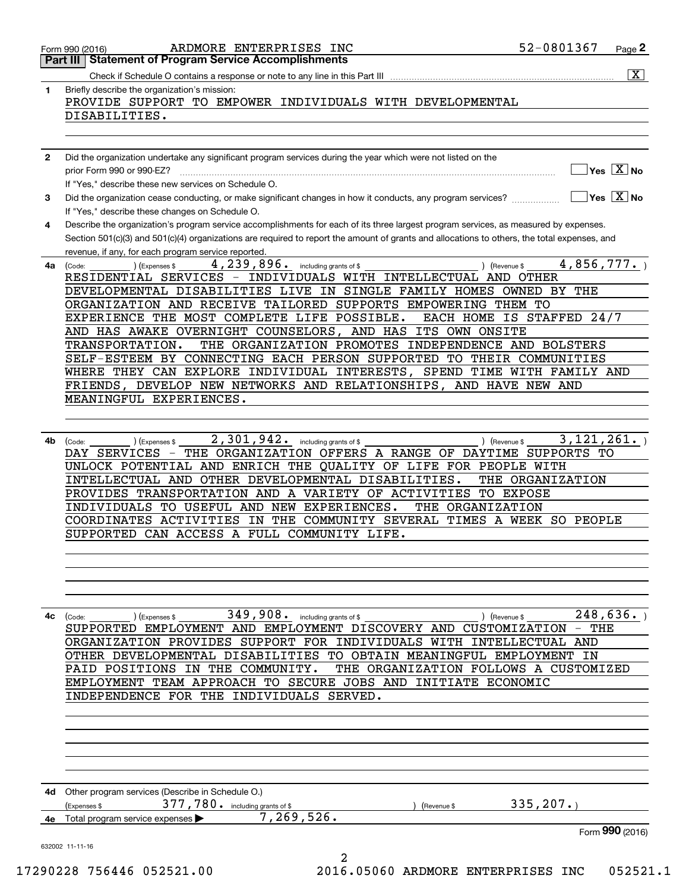|              | $\overline{\mathbf{x}}$                                                                                                                                                                                                                                                                                                                                                                                                                                          |
|--------------|------------------------------------------------------------------------------------------------------------------------------------------------------------------------------------------------------------------------------------------------------------------------------------------------------------------------------------------------------------------------------------------------------------------------------------------------------------------|
| 1            | Briefly describe the organization's mission:<br>PROVIDE SUPPORT TO EMPOWER INDIVIDUALS WITH DEVELOPMENTAL                                                                                                                                                                                                                                                                                                                                                        |
|              | DISABILITIES.                                                                                                                                                                                                                                                                                                                                                                                                                                                    |
|              |                                                                                                                                                                                                                                                                                                                                                                                                                                                                  |
|              |                                                                                                                                                                                                                                                                                                                                                                                                                                                                  |
| $\mathbf{2}$ | Did the organization undertake any significant program services during the year which were not listed on the                                                                                                                                                                                                                                                                                                                                                     |
|              | $\sqrt{}$ Yes $\sqrt{X}$ No                                                                                                                                                                                                                                                                                                                                                                                                                                      |
|              | If "Yes," describe these new services on Schedule O.                                                                                                                                                                                                                                                                                                                                                                                                             |
| 3            | $\overline{\mathsf{Yes}}$ $\overline{\mathsf{X}}$ No<br>Did the organization cease conducting, or make significant changes in how it conducts, any program services?<br>If "Yes," describe these changes on Schedule O.                                                                                                                                                                                                                                          |
| 4            | Describe the organization's program service accomplishments for each of its three largest program services, as measured by expenses.                                                                                                                                                                                                                                                                                                                             |
|              | Section 501(c)(3) and 501(c)(4) organizations are required to report the amount of grants and allocations to others, the total expenses, and                                                                                                                                                                                                                                                                                                                     |
|              | revenue, if any, for each program service reported.                                                                                                                                                                                                                                                                                                                                                                                                              |
| 4a           | 4,856,777.<br>4, 239, 896. including grants of \$<br>) (Expenses \$<br>) (Revenue \$<br>(Code:                                                                                                                                                                                                                                                                                                                                                                   |
|              | RESIDENTIAL SERVICES - INDIVIDUALS WITH INTELLECTUAL AND OTHER                                                                                                                                                                                                                                                                                                                                                                                                   |
|              | DEVELOPMENTAL DISABILITIES LIVE IN SINGLE FAMILY HOMES OWNED BY THE                                                                                                                                                                                                                                                                                                                                                                                              |
|              | ORGANIZATION AND RECEIVE TAILORED SUPPORTS EMPOWERING THEM TO                                                                                                                                                                                                                                                                                                                                                                                                    |
|              | EXPERIENCE THE MOST COMPLETE LIFE POSSIBLE.<br>EACH HOME IS STAFFED 24/7<br>AND HAS AWAKE OVERNIGHT COUNSELORS, AND HAS ITS OWN ONSITE                                                                                                                                                                                                                                                                                                                           |
|              | THE ORGANIZATION PROMOTES INDEPENDENCE AND BOLSTERS<br>TRANSPORTATION.                                                                                                                                                                                                                                                                                                                                                                                           |
|              | SELF-ESTEEM BY CONNECTING EACH PERSON SUPPORTED TO THEIR COMMUNITIES                                                                                                                                                                                                                                                                                                                                                                                             |
|              | WHERE THEY CAN EXPLORE INDIVIDUAL INTERESTS, SPEND TIME WITH FAMILY AND                                                                                                                                                                                                                                                                                                                                                                                          |
|              | FRIENDS, DEVELOP NEW NETWORKS AND RELATIONSHIPS, AND HAVE NEW AND                                                                                                                                                                                                                                                                                                                                                                                                |
|              | MEANINGFUL EXPERIENCES.                                                                                                                                                                                                                                                                                                                                                                                                                                          |
|              |                                                                                                                                                                                                                                                                                                                                                                                                                                                                  |
|              | 2,301,942. including grants of \$<br>3,121,261.                                                                                                                                                                                                                                                                                                                                                                                                                  |
|              | UNLOCK POTENTIAL AND ENRICH THE QUALITY OF LIFE FOR PEOPLE WITH<br>INTELLECTUAL AND OTHER DEVELOPMENTAL DISABILITIES.<br>THE ORGANIZATION<br>PROVIDES TRANSPORTATION AND A VARIETY OF ACTIVITIES TO EXPOSE<br>INDIVIDUALS TO USEFUL AND NEW EXPERIENCES.<br>THE ORGANIZATION<br>COORDINATES ACTIVITIES IN THE COMMUNITY SEVERAL TIMES A WEEK SO PEOPLE<br>SUPPORTED CAN ACCESS A FULL COMMUNITY LIFE.                                                            |
| 4с           | 248,636.<br>349,908. including grants of \$<br>) (Expenses \$<br>) (Revenue \$<br>(Code:<br>SUPPORTED EMPLOYMENT AND EMPLOYMENT DISCOVERY AND CUSTOMIZATION - THE<br>ORGANIZATION PROVIDES SUPPORT FOR INDIVIDUALS WITH INTELLECTUAL AND<br>OTHER DEVELOPMENTAL DISABILITIES TO OBTAIN MEANINGFUL EMPLOYMENT IN<br>THE ORGANIZATION FOLLOWS A CUSTOMIZED<br>PAID POSITIONS<br>IN THE COMMUNITY.<br>EMPLOYMENT TEAM APPROACH TO SECURE JOBS AND INITIATE ECONOMIC |
|              | INDEPENDENCE FOR THE INDIVIDUALS SERVED.                                                                                                                                                                                                                                                                                                                                                                                                                         |
|              |                                                                                                                                                                                                                                                                                                                                                                                                                                                                  |
|              | 4d Other program services (Describe in Schedule O.)<br>377,780. including grants of \$<br>335, 207.<br>(Expenses \$<br>(Revenue \$<br>7, 269, 526.<br>4e Total program service expenses >                                                                                                                                                                                                                                                                        |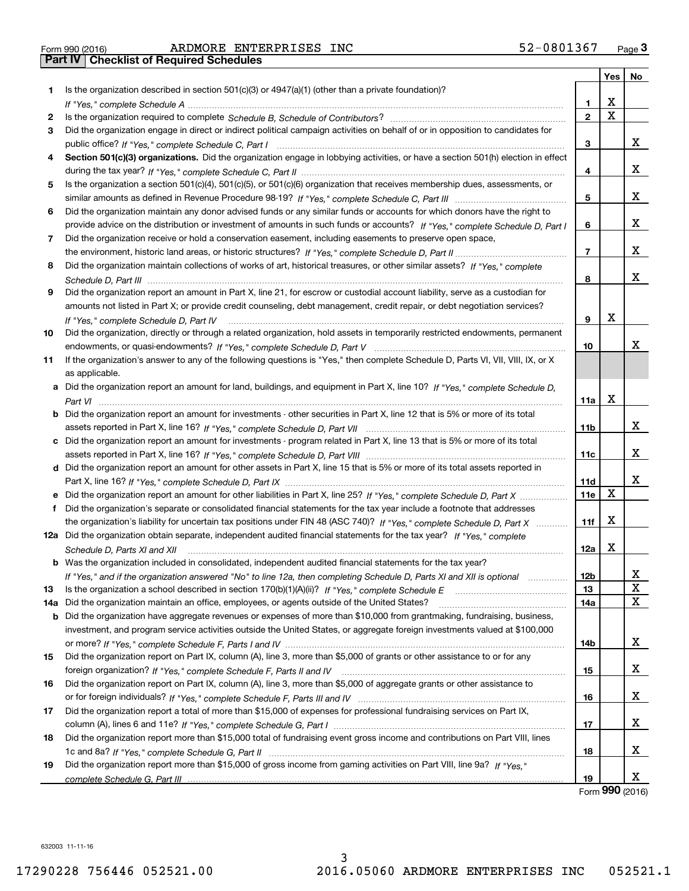| Is the organization described in section $501(c)(3)$ or $4947(a)(1)$ (other than a private foundation)?<br>1.<br>X<br>1<br>$\overline{\mathtt{x}}$<br>$\overline{2}$<br>2<br>Did the organization engage in direct or indirect political campaign activities on behalf of or in opposition to candidates for<br>3<br>X.<br>3<br>Section 501(c)(3) organizations. Did the organization engage in lobbying activities, or have a section 501(h) election in effect<br>4<br>X.<br>4<br>Is the organization a section 501(c)(4), 501(c)(5), or 501(c)(6) organization that receives membership dues, assessments, or<br>5<br>X.<br>5<br>Did the organization maintain any donor advised funds or any similar funds or accounts for which donors have the right to<br>6<br>X.<br>provide advice on the distribution or investment of amounts in such funds or accounts? If "Yes," complete Schedule D, Part I<br>6<br>Did the organization receive or hold a conservation easement, including easements to preserve open space,<br>7<br>X.<br>7<br>Did the organization maintain collections of works of art, historical treasures, or other similar assets? If "Yes," complete<br>8<br>x<br>8<br>Did the organization report an amount in Part X, line 21, for escrow or custodial account liability, serve as a custodian for<br>9<br>amounts not listed in Part X; or provide credit counseling, debt management, credit repair, or debt negotiation services?<br>х<br>9<br>If "Yes," complete Schedule D, Part IV<br>Did the organization, directly or through a related organization, hold assets in temporarily restricted endowments, permanent<br>10<br>x<br>10<br>If the organization's answer to any of the following questions is "Yes," then complete Schedule D, Parts VI, VII, VIII, IX, or X<br>11<br>as applicable.<br>a Did the organization report an amount for land, buildings, and equipment in Part X, line 10? If "Yes," complete Schedule D,<br>х<br>11a<br>Part VI<br><b>b</b> Did the organization report an amount for investments - other securities in Part X, line 12 that is 5% or more of its total<br>x<br>11b<br>c Did the organization report an amount for investments - program related in Part X, line 13 that is 5% or more of its total<br>X.<br>11c<br>d Did the organization report an amount for other assets in Part X, line 15 that is 5% or more of its total assets reported in<br>x<br>Part X, line 16? If "Yes," complete Schedule D, Part IX<br>11d<br>X<br>11e<br>Did the organization's separate or consolidated financial statements for the tax year include a footnote that addresses<br>f<br>X<br>the organization's liability for uncertain tax positions under FIN 48 (ASC 740)? If "Yes," complete Schedule D, Part X<br>11f<br>12a Did the organization obtain separate, independent audited financial statements for the tax year? If "Yes," complete<br>X<br>12a<br>Schedule D, Parts XI and XII<br><b>b</b> Was the organization included in consolidated, independent audited financial statements for the tax year?<br>x<br>12b<br>If "Yes," and if the organization answered "No" to line 12a, then completing Schedule D, Parts XI and XII is optional<br>$\overline{\textbf{X}}$<br>13<br>13<br>Did the organization maintain an office, employees, or agents outside of the United States?<br>14a<br><b>b</b> Did the organization have aggregate revenues or expenses of more than \$10,000 from grantmaking, fundraising, business,<br>investment, and program service activities outside the United States, or aggregate foreign investments valued at \$100,000<br>x<br>14b<br>Did the organization report on Part IX, column (A), line 3, more than \$5,000 of grants or other assistance to or for any<br>15<br>Did the organization report on Part IX, column (A), line 3, more than \$5,000 of aggregate grants or other assistance to<br>16<br>x<br>16<br>Did the organization report a total of more than \$15,000 of expenses for professional fundraising services on Part IX,<br>X.<br>17<br>Did the organization report more than \$15,000 total of fundraising event gross income and contributions on Part VIII, lines<br>18<br>18 |  |     |             |
|--------------------------------------------------------------------------------------------------------------------------------------------------------------------------------------------------------------------------------------------------------------------------------------------------------------------------------------------------------------------------------------------------------------------------------------------------------------------------------------------------------------------------------------------------------------------------------------------------------------------------------------------------------------------------------------------------------------------------------------------------------------------------------------------------------------------------------------------------------------------------------------------------------------------------------------------------------------------------------------------------------------------------------------------------------------------------------------------------------------------------------------------------------------------------------------------------------------------------------------------------------------------------------------------------------------------------------------------------------------------------------------------------------------------------------------------------------------------------------------------------------------------------------------------------------------------------------------------------------------------------------------------------------------------------------------------------------------------------------------------------------------------------------------------------------------------------------------------------------------------------------------------------------------------------------------------------------------------------------------------------------------------------------------------------------------------------------------------------------------------------------------------------------------------------------------------------------------------------------------------------------------------------------------------------------------------------------------------------------------------------------------------------------------------------------------------------------------------------------------------------------------------------------------------------------------------------------------------------------------------------------------------------------------------------------------------------------------------------------------------------------------------------------------------------------------------------------------------------------------------------------------------------------------------------------------------------------------------------------------------------------------------------------------------------------------------------------------------------------------------------------------------------------------------------------------------------------------------------------------------------------------------------------------------------------------------------------------------------------------------------------------------------------------------------------------------------------------------------------------------------------------------------------------------------------------------------------------------------------------------------------------------------------------------------------------------------------------------------------------------------------------------------------------------------------------------------------------------------------------------------------------------------------------------------------------------------------------------------------------------------------------------------------------------------------------------------------------------------------------------------------------------------------------------------------------------------------------------|--|-----|-------------|
|                                                                                                                                                                                                                                                                                                                                                                                                                                                                                                                                                                                                                                                                                                                                                                                                                                                                                                                                                                                                                                                                                                                                                                                                                                                                                                                                                                                                                                                                                                                                                                                                                                                                                                                                                                                                                                                                                                                                                                                                                                                                                                                                                                                                                                                                                                                                                                                                                                                                                                                                                                                                                                                                                                                                                                                                                                                                                                                                                                                                                                                                                                                                                                                                                                                                                                                                                                                                                                                                                                                                                                                                                                                                                                                                                                                                                                                                                                                                                                                                                                                                                                                                                                                                                    |  | Yes | No          |
|                                                                                                                                                                                                                                                                                                                                                                                                                                                                                                                                                                                                                                                                                                                                                                                                                                                                                                                                                                                                                                                                                                                                                                                                                                                                                                                                                                                                                                                                                                                                                                                                                                                                                                                                                                                                                                                                                                                                                                                                                                                                                                                                                                                                                                                                                                                                                                                                                                                                                                                                                                                                                                                                                                                                                                                                                                                                                                                                                                                                                                                                                                                                                                                                                                                                                                                                                                                                                                                                                                                                                                                                                                                                                                                                                                                                                                                                                                                                                                                                                                                                                                                                                                                                                    |  |     |             |
|                                                                                                                                                                                                                                                                                                                                                                                                                                                                                                                                                                                                                                                                                                                                                                                                                                                                                                                                                                                                                                                                                                                                                                                                                                                                                                                                                                                                                                                                                                                                                                                                                                                                                                                                                                                                                                                                                                                                                                                                                                                                                                                                                                                                                                                                                                                                                                                                                                                                                                                                                                                                                                                                                                                                                                                                                                                                                                                                                                                                                                                                                                                                                                                                                                                                                                                                                                                                                                                                                                                                                                                                                                                                                                                                                                                                                                                                                                                                                                                                                                                                                                                                                                                                                    |  |     |             |
|                                                                                                                                                                                                                                                                                                                                                                                                                                                                                                                                                                                                                                                                                                                                                                                                                                                                                                                                                                                                                                                                                                                                                                                                                                                                                                                                                                                                                                                                                                                                                                                                                                                                                                                                                                                                                                                                                                                                                                                                                                                                                                                                                                                                                                                                                                                                                                                                                                                                                                                                                                                                                                                                                                                                                                                                                                                                                                                                                                                                                                                                                                                                                                                                                                                                                                                                                                                                                                                                                                                                                                                                                                                                                                                                                                                                                                                                                                                                                                                                                                                                                                                                                                                                                    |  |     |             |
|                                                                                                                                                                                                                                                                                                                                                                                                                                                                                                                                                                                                                                                                                                                                                                                                                                                                                                                                                                                                                                                                                                                                                                                                                                                                                                                                                                                                                                                                                                                                                                                                                                                                                                                                                                                                                                                                                                                                                                                                                                                                                                                                                                                                                                                                                                                                                                                                                                                                                                                                                                                                                                                                                                                                                                                                                                                                                                                                                                                                                                                                                                                                                                                                                                                                                                                                                                                                                                                                                                                                                                                                                                                                                                                                                                                                                                                                                                                                                                                                                                                                                                                                                                                                                    |  |     |             |
|                                                                                                                                                                                                                                                                                                                                                                                                                                                                                                                                                                                                                                                                                                                                                                                                                                                                                                                                                                                                                                                                                                                                                                                                                                                                                                                                                                                                                                                                                                                                                                                                                                                                                                                                                                                                                                                                                                                                                                                                                                                                                                                                                                                                                                                                                                                                                                                                                                                                                                                                                                                                                                                                                                                                                                                                                                                                                                                                                                                                                                                                                                                                                                                                                                                                                                                                                                                                                                                                                                                                                                                                                                                                                                                                                                                                                                                                                                                                                                                                                                                                                                                                                                                                                    |  |     |             |
|                                                                                                                                                                                                                                                                                                                                                                                                                                                                                                                                                                                                                                                                                                                                                                                                                                                                                                                                                                                                                                                                                                                                                                                                                                                                                                                                                                                                                                                                                                                                                                                                                                                                                                                                                                                                                                                                                                                                                                                                                                                                                                                                                                                                                                                                                                                                                                                                                                                                                                                                                                                                                                                                                                                                                                                                                                                                                                                                                                                                                                                                                                                                                                                                                                                                                                                                                                                                                                                                                                                                                                                                                                                                                                                                                                                                                                                                                                                                                                                                                                                                                                                                                                                                                    |  |     |             |
|                                                                                                                                                                                                                                                                                                                                                                                                                                                                                                                                                                                                                                                                                                                                                                                                                                                                                                                                                                                                                                                                                                                                                                                                                                                                                                                                                                                                                                                                                                                                                                                                                                                                                                                                                                                                                                                                                                                                                                                                                                                                                                                                                                                                                                                                                                                                                                                                                                                                                                                                                                                                                                                                                                                                                                                                                                                                                                                                                                                                                                                                                                                                                                                                                                                                                                                                                                                                                                                                                                                                                                                                                                                                                                                                                                                                                                                                                                                                                                                                                                                                                                                                                                                                                    |  |     |             |
|                                                                                                                                                                                                                                                                                                                                                                                                                                                                                                                                                                                                                                                                                                                                                                                                                                                                                                                                                                                                                                                                                                                                                                                                                                                                                                                                                                                                                                                                                                                                                                                                                                                                                                                                                                                                                                                                                                                                                                                                                                                                                                                                                                                                                                                                                                                                                                                                                                                                                                                                                                                                                                                                                                                                                                                                                                                                                                                                                                                                                                                                                                                                                                                                                                                                                                                                                                                                                                                                                                                                                                                                                                                                                                                                                                                                                                                                                                                                                                                                                                                                                                                                                                                                                    |  |     |             |
|                                                                                                                                                                                                                                                                                                                                                                                                                                                                                                                                                                                                                                                                                                                                                                                                                                                                                                                                                                                                                                                                                                                                                                                                                                                                                                                                                                                                                                                                                                                                                                                                                                                                                                                                                                                                                                                                                                                                                                                                                                                                                                                                                                                                                                                                                                                                                                                                                                                                                                                                                                                                                                                                                                                                                                                                                                                                                                                                                                                                                                                                                                                                                                                                                                                                                                                                                                                                                                                                                                                                                                                                                                                                                                                                                                                                                                                                                                                                                                                                                                                                                                                                                                                                                    |  |     |             |
|                                                                                                                                                                                                                                                                                                                                                                                                                                                                                                                                                                                                                                                                                                                                                                                                                                                                                                                                                                                                                                                                                                                                                                                                                                                                                                                                                                                                                                                                                                                                                                                                                                                                                                                                                                                                                                                                                                                                                                                                                                                                                                                                                                                                                                                                                                                                                                                                                                                                                                                                                                                                                                                                                                                                                                                                                                                                                                                                                                                                                                                                                                                                                                                                                                                                                                                                                                                                                                                                                                                                                                                                                                                                                                                                                                                                                                                                                                                                                                                                                                                                                                                                                                                                                    |  |     |             |
|                                                                                                                                                                                                                                                                                                                                                                                                                                                                                                                                                                                                                                                                                                                                                                                                                                                                                                                                                                                                                                                                                                                                                                                                                                                                                                                                                                                                                                                                                                                                                                                                                                                                                                                                                                                                                                                                                                                                                                                                                                                                                                                                                                                                                                                                                                                                                                                                                                                                                                                                                                                                                                                                                                                                                                                                                                                                                                                                                                                                                                                                                                                                                                                                                                                                                                                                                                                                                                                                                                                                                                                                                                                                                                                                                                                                                                                                                                                                                                                                                                                                                                                                                                                                                    |  |     |             |
|                                                                                                                                                                                                                                                                                                                                                                                                                                                                                                                                                                                                                                                                                                                                                                                                                                                                                                                                                                                                                                                                                                                                                                                                                                                                                                                                                                                                                                                                                                                                                                                                                                                                                                                                                                                                                                                                                                                                                                                                                                                                                                                                                                                                                                                                                                                                                                                                                                                                                                                                                                                                                                                                                                                                                                                                                                                                                                                                                                                                                                                                                                                                                                                                                                                                                                                                                                                                                                                                                                                                                                                                                                                                                                                                                                                                                                                                                                                                                                                                                                                                                                                                                                                                                    |  |     |             |
|                                                                                                                                                                                                                                                                                                                                                                                                                                                                                                                                                                                                                                                                                                                                                                                                                                                                                                                                                                                                                                                                                                                                                                                                                                                                                                                                                                                                                                                                                                                                                                                                                                                                                                                                                                                                                                                                                                                                                                                                                                                                                                                                                                                                                                                                                                                                                                                                                                                                                                                                                                                                                                                                                                                                                                                                                                                                                                                                                                                                                                                                                                                                                                                                                                                                                                                                                                                                                                                                                                                                                                                                                                                                                                                                                                                                                                                                                                                                                                                                                                                                                                                                                                                                                    |  |     |             |
|                                                                                                                                                                                                                                                                                                                                                                                                                                                                                                                                                                                                                                                                                                                                                                                                                                                                                                                                                                                                                                                                                                                                                                                                                                                                                                                                                                                                                                                                                                                                                                                                                                                                                                                                                                                                                                                                                                                                                                                                                                                                                                                                                                                                                                                                                                                                                                                                                                                                                                                                                                                                                                                                                                                                                                                                                                                                                                                                                                                                                                                                                                                                                                                                                                                                                                                                                                                                                                                                                                                                                                                                                                                                                                                                                                                                                                                                                                                                                                                                                                                                                                                                                                                                                    |  |     |             |
|                                                                                                                                                                                                                                                                                                                                                                                                                                                                                                                                                                                                                                                                                                                                                                                                                                                                                                                                                                                                                                                                                                                                                                                                                                                                                                                                                                                                                                                                                                                                                                                                                                                                                                                                                                                                                                                                                                                                                                                                                                                                                                                                                                                                                                                                                                                                                                                                                                                                                                                                                                                                                                                                                                                                                                                                                                                                                                                                                                                                                                                                                                                                                                                                                                                                                                                                                                                                                                                                                                                                                                                                                                                                                                                                                                                                                                                                                                                                                                                                                                                                                                                                                                                                                    |  |     |             |
| 14a<br>15<br>17                                                                                                                                                                                                                                                                                                                                                                                                                                                                                                                                                                                                                                                                                                                                                                                                                                                                                                                                                                                                                                                                                                                                                                                                                                                                                                                                                                                                                                                                                                                                                                                                                                                                                                                                                                                                                                                                                                                                                                                                                                                                                                                                                                                                                                                                                                                                                                                                                                                                                                                                                                                                                                                                                                                                                                                                                                                                                                                                                                                                                                                                                                                                                                                                                                                                                                                                                                                                                                                                                                                                                                                                                                                                                                                                                                                                                                                                                                                                                                                                                                                                                                                                                                                                    |  |     |             |
|                                                                                                                                                                                                                                                                                                                                                                                                                                                                                                                                                                                                                                                                                                                                                                                                                                                                                                                                                                                                                                                                                                                                                                                                                                                                                                                                                                                                                                                                                                                                                                                                                                                                                                                                                                                                                                                                                                                                                                                                                                                                                                                                                                                                                                                                                                                                                                                                                                                                                                                                                                                                                                                                                                                                                                                                                                                                                                                                                                                                                                                                                                                                                                                                                                                                                                                                                                                                                                                                                                                                                                                                                                                                                                                                                                                                                                                                                                                                                                                                                                                                                                                                                                                                                    |  |     |             |
|                                                                                                                                                                                                                                                                                                                                                                                                                                                                                                                                                                                                                                                                                                                                                                                                                                                                                                                                                                                                                                                                                                                                                                                                                                                                                                                                                                                                                                                                                                                                                                                                                                                                                                                                                                                                                                                                                                                                                                                                                                                                                                                                                                                                                                                                                                                                                                                                                                                                                                                                                                                                                                                                                                                                                                                                                                                                                                                                                                                                                                                                                                                                                                                                                                                                                                                                                                                                                                                                                                                                                                                                                                                                                                                                                                                                                                                                                                                                                                                                                                                                                                                                                                                                                    |  |     |             |
|                                                                                                                                                                                                                                                                                                                                                                                                                                                                                                                                                                                                                                                                                                                                                                                                                                                                                                                                                                                                                                                                                                                                                                                                                                                                                                                                                                                                                                                                                                                                                                                                                                                                                                                                                                                                                                                                                                                                                                                                                                                                                                                                                                                                                                                                                                                                                                                                                                                                                                                                                                                                                                                                                                                                                                                                                                                                                                                                                                                                                                                                                                                                                                                                                                                                                                                                                                                                                                                                                                                                                                                                                                                                                                                                                                                                                                                                                                                                                                                                                                                                                                                                                                                                                    |  |     |             |
|                                                                                                                                                                                                                                                                                                                                                                                                                                                                                                                                                                                                                                                                                                                                                                                                                                                                                                                                                                                                                                                                                                                                                                                                                                                                                                                                                                                                                                                                                                                                                                                                                                                                                                                                                                                                                                                                                                                                                                                                                                                                                                                                                                                                                                                                                                                                                                                                                                                                                                                                                                                                                                                                                                                                                                                                                                                                                                                                                                                                                                                                                                                                                                                                                                                                                                                                                                                                                                                                                                                                                                                                                                                                                                                                                                                                                                                                                                                                                                                                                                                                                                                                                                                                                    |  |     |             |
|                                                                                                                                                                                                                                                                                                                                                                                                                                                                                                                                                                                                                                                                                                                                                                                                                                                                                                                                                                                                                                                                                                                                                                                                                                                                                                                                                                                                                                                                                                                                                                                                                                                                                                                                                                                                                                                                                                                                                                                                                                                                                                                                                                                                                                                                                                                                                                                                                                                                                                                                                                                                                                                                                                                                                                                                                                                                                                                                                                                                                                                                                                                                                                                                                                                                                                                                                                                                                                                                                                                                                                                                                                                                                                                                                                                                                                                                                                                                                                                                                                                                                                                                                                                                                    |  |     |             |
|                                                                                                                                                                                                                                                                                                                                                                                                                                                                                                                                                                                                                                                                                                                                                                                                                                                                                                                                                                                                                                                                                                                                                                                                                                                                                                                                                                                                                                                                                                                                                                                                                                                                                                                                                                                                                                                                                                                                                                                                                                                                                                                                                                                                                                                                                                                                                                                                                                                                                                                                                                                                                                                                                                                                                                                                                                                                                                                                                                                                                                                                                                                                                                                                                                                                                                                                                                                                                                                                                                                                                                                                                                                                                                                                                                                                                                                                                                                                                                                                                                                                                                                                                                                                                    |  |     |             |
|                                                                                                                                                                                                                                                                                                                                                                                                                                                                                                                                                                                                                                                                                                                                                                                                                                                                                                                                                                                                                                                                                                                                                                                                                                                                                                                                                                                                                                                                                                                                                                                                                                                                                                                                                                                                                                                                                                                                                                                                                                                                                                                                                                                                                                                                                                                                                                                                                                                                                                                                                                                                                                                                                                                                                                                                                                                                                                                                                                                                                                                                                                                                                                                                                                                                                                                                                                                                                                                                                                                                                                                                                                                                                                                                                                                                                                                                                                                                                                                                                                                                                                                                                                                                                    |  |     |             |
|                                                                                                                                                                                                                                                                                                                                                                                                                                                                                                                                                                                                                                                                                                                                                                                                                                                                                                                                                                                                                                                                                                                                                                                                                                                                                                                                                                                                                                                                                                                                                                                                                                                                                                                                                                                                                                                                                                                                                                                                                                                                                                                                                                                                                                                                                                                                                                                                                                                                                                                                                                                                                                                                                                                                                                                                                                                                                                                                                                                                                                                                                                                                                                                                                                                                                                                                                                                                                                                                                                                                                                                                                                                                                                                                                                                                                                                                                                                                                                                                                                                                                                                                                                                                                    |  |     |             |
|                                                                                                                                                                                                                                                                                                                                                                                                                                                                                                                                                                                                                                                                                                                                                                                                                                                                                                                                                                                                                                                                                                                                                                                                                                                                                                                                                                                                                                                                                                                                                                                                                                                                                                                                                                                                                                                                                                                                                                                                                                                                                                                                                                                                                                                                                                                                                                                                                                                                                                                                                                                                                                                                                                                                                                                                                                                                                                                                                                                                                                                                                                                                                                                                                                                                                                                                                                                                                                                                                                                                                                                                                                                                                                                                                                                                                                                                                                                                                                                                                                                                                                                                                                                                                    |  |     |             |
|                                                                                                                                                                                                                                                                                                                                                                                                                                                                                                                                                                                                                                                                                                                                                                                                                                                                                                                                                                                                                                                                                                                                                                                                                                                                                                                                                                                                                                                                                                                                                                                                                                                                                                                                                                                                                                                                                                                                                                                                                                                                                                                                                                                                                                                                                                                                                                                                                                                                                                                                                                                                                                                                                                                                                                                                                                                                                                                                                                                                                                                                                                                                                                                                                                                                                                                                                                                                                                                                                                                                                                                                                                                                                                                                                                                                                                                                                                                                                                                                                                                                                                                                                                                                                    |  |     |             |
|                                                                                                                                                                                                                                                                                                                                                                                                                                                                                                                                                                                                                                                                                                                                                                                                                                                                                                                                                                                                                                                                                                                                                                                                                                                                                                                                                                                                                                                                                                                                                                                                                                                                                                                                                                                                                                                                                                                                                                                                                                                                                                                                                                                                                                                                                                                                                                                                                                                                                                                                                                                                                                                                                                                                                                                                                                                                                                                                                                                                                                                                                                                                                                                                                                                                                                                                                                                                                                                                                                                                                                                                                                                                                                                                                                                                                                                                                                                                                                                                                                                                                                                                                                                                                    |  |     |             |
|                                                                                                                                                                                                                                                                                                                                                                                                                                                                                                                                                                                                                                                                                                                                                                                                                                                                                                                                                                                                                                                                                                                                                                                                                                                                                                                                                                                                                                                                                                                                                                                                                                                                                                                                                                                                                                                                                                                                                                                                                                                                                                                                                                                                                                                                                                                                                                                                                                                                                                                                                                                                                                                                                                                                                                                                                                                                                                                                                                                                                                                                                                                                                                                                                                                                                                                                                                                                                                                                                                                                                                                                                                                                                                                                                                                                                                                                                                                                                                                                                                                                                                                                                                                                                    |  |     |             |
|                                                                                                                                                                                                                                                                                                                                                                                                                                                                                                                                                                                                                                                                                                                                                                                                                                                                                                                                                                                                                                                                                                                                                                                                                                                                                                                                                                                                                                                                                                                                                                                                                                                                                                                                                                                                                                                                                                                                                                                                                                                                                                                                                                                                                                                                                                                                                                                                                                                                                                                                                                                                                                                                                                                                                                                                                                                                                                                                                                                                                                                                                                                                                                                                                                                                                                                                                                                                                                                                                                                                                                                                                                                                                                                                                                                                                                                                                                                                                                                                                                                                                                                                                                                                                    |  |     |             |
|                                                                                                                                                                                                                                                                                                                                                                                                                                                                                                                                                                                                                                                                                                                                                                                                                                                                                                                                                                                                                                                                                                                                                                                                                                                                                                                                                                                                                                                                                                                                                                                                                                                                                                                                                                                                                                                                                                                                                                                                                                                                                                                                                                                                                                                                                                                                                                                                                                                                                                                                                                                                                                                                                                                                                                                                                                                                                                                                                                                                                                                                                                                                                                                                                                                                                                                                                                                                                                                                                                                                                                                                                                                                                                                                                                                                                                                                                                                                                                                                                                                                                                                                                                                                                    |  |     |             |
|                                                                                                                                                                                                                                                                                                                                                                                                                                                                                                                                                                                                                                                                                                                                                                                                                                                                                                                                                                                                                                                                                                                                                                                                                                                                                                                                                                                                                                                                                                                                                                                                                                                                                                                                                                                                                                                                                                                                                                                                                                                                                                                                                                                                                                                                                                                                                                                                                                                                                                                                                                                                                                                                                                                                                                                                                                                                                                                                                                                                                                                                                                                                                                                                                                                                                                                                                                                                                                                                                                                                                                                                                                                                                                                                                                                                                                                                                                                                                                                                                                                                                                                                                                                                                    |  |     |             |
|                                                                                                                                                                                                                                                                                                                                                                                                                                                                                                                                                                                                                                                                                                                                                                                                                                                                                                                                                                                                                                                                                                                                                                                                                                                                                                                                                                                                                                                                                                                                                                                                                                                                                                                                                                                                                                                                                                                                                                                                                                                                                                                                                                                                                                                                                                                                                                                                                                                                                                                                                                                                                                                                                                                                                                                                                                                                                                                                                                                                                                                                                                                                                                                                                                                                                                                                                                                                                                                                                                                                                                                                                                                                                                                                                                                                                                                                                                                                                                                                                                                                                                                                                                                                                    |  |     |             |
|                                                                                                                                                                                                                                                                                                                                                                                                                                                                                                                                                                                                                                                                                                                                                                                                                                                                                                                                                                                                                                                                                                                                                                                                                                                                                                                                                                                                                                                                                                                                                                                                                                                                                                                                                                                                                                                                                                                                                                                                                                                                                                                                                                                                                                                                                                                                                                                                                                                                                                                                                                                                                                                                                                                                                                                                                                                                                                                                                                                                                                                                                                                                                                                                                                                                                                                                                                                                                                                                                                                                                                                                                                                                                                                                                                                                                                                                                                                                                                                                                                                                                                                                                                                                                    |  |     |             |
|                                                                                                                                                                                                                                                                                                                                                                                                                                                                                                                                                                                                                                                                                                                                                                                                                                                                                                                                                                                                                                                                                                                                                                                                                                                                                                                                                                                                                                                                                                                                                                                                                                                                                                                                                                                                                                                                                                                                                                                                                                                                                                                                                                                                                                                                                                                                                                                                                                                                                                                                                                                                                                                                                                                                                                                                                                                                                                                                                                                                                                                                                                                                                                                                                                                                                                                                                                                                                                                                                                                                                                                                                                                                                                                                                                                                                                                                                                                                                                                                                                                                                                                                                                                                                    |  |     |             |
|                                                                                                                                                                                                                                                                                                                                                                                                                                                                                                                                                                                                                                                                                                                                                                                                                                                                                                                                                                                                                                                                                                                                                                                                                                                                                                                                                                                                                                                                                                                                                                                                                                                                                                                                                                                                                                                                                                                                                                                                                                                                                                                                                                                                                                                                                                                                                                                                                                                                                                                                                                                                                                                                                                                                                                                                                                                                                                                                                                                                                                                                                                                                                                                                                                                                                                                                                                                                                                                                                                                                                                                                                                                                                                                                                                                                                                                                                                                                                                                                                                                                                                                                                                                                                    |  |     |             |
|                                                                                                                                                                                                                                                                                                                                                                                                                                                                                                                                                                                                                                                                                                                                                                                                                                                                                                                                                                                                                                                                                                                                                                                                                                                                                                                                                                                                                                                                                                                                                                                                                                                                                                                                                                                                                                                                                                                                                                                                                                                                                                                                                                                                                                                                                                                                                                                                                                                                                                                                                                                                                                                                                                                                                                                                                                                                                                                                                                                                                                                                                                                                                                                                                                                                                                                                                                                                                                                                                                                                                                                                                                                                                                                                                                                                                                                                                                                                                                                                                                                                                                                                                                                                                    |  |     |             |
|                                                                                                                                                                                                                                                                                                                                                                                                                                                                                                                                                                                                                                                                                                                                                                                                                                                                                                                                                                                                                                                                                                                                                                                                                                                                                                                                                                                                                                                                                                                                                                                                                                                                                                                                                                                                                                                                                                                                                                                                                                                                                                                                                                                                                                                                                                                                                                                                                                                                                                                                                                                                                                                                                                                                                                                                                                                                                                                                                                                                                                                                                                                                                                                                                                                                                                                                                                                                                                                                                                                                                                                                                                                                                                                                                                                                                                                                                                                                                                                                                                                                                                                                                                                                                    |  |     |             |
|                                                                                                                                                                                                                                                                                                                                                                                                                                                                                                                                                                                                                                                                                                                                                                                                                                                                                                                                                                                                                                                                                                                                                                                                                                                                                                                                                                                                                                                                                                                                                                                                                                                                                                                                                                                                                                                                                                                                                                                                                                                                                                                                                                                                                                                                                                                                                                                                                                                                                                                                                                                                                                                                                                                                                                                                                                                                                                                                                                                                                                                                                                                                                                                                                                                                                                                                                                                                                                                                                                                                                                                                                                                                                                                                                                                                                                                                                                                                                                                                                                                                                                                                                                                                                    |  |     | $\mathbf x$ |
|                                                                                                                                                                                                                                                                                                                                                                                                                                                                                                                                                                                                                                                                                                                                                                                                                                                                                                                                                                                                                                                                                                                                                                                                                                                                                                                                                                                                                                                                                                                                                                                                                                                                                                                                                                                                                                                                                                                                                                                                                                                                                                                                                                                                                                                                                                                                                                                                                                                                                                                                                                                                                                                                                                                                                                                                                                                                                                                                                                                                                                                                                                                                                                                                                                                                                                                                                                                                                                                                                                                                                                                                                                                                                                                                                                                                                                                                                                                                                                                                                                                                                                                                                                                                                    |  |     |             |
|                                                                                                                                                                                                                                                                                                                                                                                                                                                                                                                                                                                                                                                                                                                                                                                                                                                                                                                                                                                                                                                                                                                                                                                                                                                                                                                                                                                                                                                                                                                                                                                                                                                                                                                                                                                                                                                                                                                                                                                                                                                                                                                                                                                                                                                                                                                                                                                                                                                                                                                                                                                                                                                                                                                                                                                                                                                                                                                                                                                                                                                                                                                                                                                                                                                                                                                                                                                                                                                                                                                                                                                                                                                                                                                                                                                                                                                                                                                                                                                                                                                                                                                                                                                                                    |  |     |             |
|                                                                                                                                                                                                                                                                                                                                                                                                                                                                                                                                                                                                                                                                                                                                                                                                                                                                                                                                                                                                                                                                                                                                                                                                                                                                                                                                                                                                                                                                                                                                                                                                                                                                                                                                                                                                                                                                                                                                                                                                                                                                                                                                                                                                                                                                                                                                                                                                                                                                                                                                                                                                                                                                                                                                                                                                                                                                                                                                                                                                                                                                                                                                                                                                                                                                                                                                                                                                                                                                                                                                                                                                                                                                                                                                                                                                                                                                                                                                                                                                                                                                                                                                                                                                                    |  |     |             |
|                                                                                                                                                                                                                                                                                                                                                                                                                                                                                                                                                                                                                                                                                                                                                                                                                                                                                                                                                                                                                                                                                                                                                                                                                                                                                                                                                                                                                                                                                                                                                                                                                                                                                                                                                                                                                                                                                                                                                                                                                                                                                                                                                                                                                                                                                                                                                                                                                                                                                                                                                                                                                                                                                                                                                                                                                                                                                                                                                                                                                                                                                                                                                                                                                                                                                                                                                                                                                                                                                                                                                                                                                                                                                                                                                                                                                                                                                                                                                                                                                                                                                                                                                                                                                    |  |     |             |
|                                                                                                                                                                                                                                                                                                                                                                                                                                                                                                                                                                                                                                                                                                                                                                                                                                                                                                                                                                                                                                                                                                                                                                                                                                                                                                                                                                                                                                                                                                                                                                                                                                                                                                                                                                                                                                                                                                                                                                                                                                                                                                                                                                                                                                                                                                                                                                                                                                                                                                                                                                                                                                                                                                                                                                                                                                                                                                                                                                                                                                                                                                                                                                                                                                                                                                                                                                                                                                                                                                                                                                                                                                                                                                                                                                                                                                                                                                                                                                                                                                                                                                                                                                                                                    |  |     | X           |
|                                                                                                                                                                                                                                                                                                                                                                                                                                                                                                                                                                                                                                                                                                                                                                                                                                                                                                                                                                                                                                                                                                                                                                                                                                                                                                                                                                                                                                                                                                                                                                                                                                                                                                                                                                                                                                                                                                                                                                                                                                                                                                                                                                                                                                                                                                                                                                                                                                                                                                                                                                                                                                                                                                                                                                                                                                                                                                                                                                                                                                                                                                                                                                                                                                                                                                                                                                                                                                                                                                                                                                                                                                                                                                                                                                                                                                                                                                                                                                                                                                                                                                                                                                                                                    |  |     |             |
|                                                                                                                                                                                                                                                                                                                                                                                                                                                                                                                                                                                                                                                                                                                                                                                                                                                                                                                                                                                                                                                                                                                                                                                                                                                                                                                                                                                                                                                                                                                                                                                                                                                                                                                                                                                                                                                                                                                                                                                                                                                                                                                                                                                                                                                                                                                                                                                                                                                                                                                                                                                                                                                                                                                                                                                                                                                                                                                                                                                                                                                                                                                                                                                                                                                                                                                                                                                                                                                                                                                                                                                                                                                                                                                                                                                                                                                                                                                                                                                                                                                                                                                                                                                                                    |  |     |             |
|                                                                                                                                                                                                                                                                                                                                                                                                                                                                                                                                                                                                                                                                                                                                                                                                                                                                                                                                                                                                                                                                                                                                                                                                                                                                                                                                                                                                                                                                                                                                                                                                                                                                                                                                                                                                                                                                                                                                                                                                                                                                                                                                                                                                                                                                                                                                                                                                                                                                                                                                                                                                                                                                                                                                                                                                                                                                                                                                                                                                                                                                                                                                                                                                                                                                                                                                                                                                                                                                                                                                                                                                                                                                                                                                                                                                                                                                                                                                                                                                                                                                                                                                                                                                                    |  |     |             |
|                                                                                                                                                                                                                                                                                                                                                                                                                                                                                                                                                                                                                                                                                                                                                                                                                                                                                                                                                                                                                                                                                                                                                                                                                                                                                                                                                                                                                                                                                                                                                                                                                                                                                                                                                                                                                                                                                                                                                                                                                                                                                                                                                                                                                                                                                                                                                                                                                                                                                                                                                                                                                                                                                                                                                                                                                                                                                                                                                                                                                                                                                                                                                                                                                                                                                                                                                                                                                                                                                                                                                                                                                                                                                                                                                                                                                                                                                                                                                                                                                                                                                                                                                                                                                    |  |     |             |
|                                                                                                                                                                                                                                                                                                                                                                                                                                                                                                                                                                                                                                                                                                                                                                                                                                                                                                                                                                                                                                                                                                                                                                                                                                                                                                                                                                                                                                                                                                                                                                                                                                                                                                                                                                                                                                                                                                                                                                                                                                                                                                                                                                                                                                                                                                                                                                                                                                                                                                                                                                                                                                                                                                                                                                                                                                                                                                                                                                                                                                                                                                                                                                                                                                                                                                                                                                                                                                                                                                                                                                                                                                                                                                                                                                                                                                                                                                                                                                                                                                                                                                                                                                                                                    |  |     |             |
|                                                                                                                                                                                                                                                                                                                                                                                                                                                                                                                                                                                                                                                                                                                                                                                                                                                                                                                                                                                                                                                                                                                                                                                                                                                                                                                                                                                                                                                                                                                                                                                                                                                                                                                                                                                                                                                                                                                                                                                                                                                                                                                                                                                                                                                                                                                                                                                                                                                                                                                                                                                                                                                                                                                                                                                                                                                                                                                                                                                                                                                                                                                                                                                                                                                                                                                                                                                                                                                                                                                                                                                                                                                                                                                                                                                                                                                                                                                                                                                                                                                                                                                                                                                                                    |  |     | X.          |
| Did the organization report more than \$15,000 of gross income from gaming activities on Part VIII, line 9a? If "Yes."<br>19                                                                                                                                                                                                                                                                                                                                                                                                                                                                                                                                                                                                                                                                                                                                                                                                                                                                                                                                                                                                                                                                                                                                                                                                                                                                                                                                                                                                                                                                                                                                                                                                                                                                                                                                                                                                                                                                                                                                                                                                                                                                                                                                                                                                                                                                                                                                                                                                                                                                                                                                                                                                                                                                                                                                                                                                                                                                                                                                                                                                                                                                                                                                                                                                                                                                                                                                                                                                                                                                                                                                                                                                                                                                                                                                                                                                                                                                                                                                                                                                                                                                                       |  |     |             |
| 19                                                                                                                                                                                                                                                                                                                                                                                                                                                                                                                                                                                                                                                                                                                                                                                                                                                                                                                                                                                                                                                                                                                                                                                                                                                                                                                                                                                                                                                                                                                                                                                                                                                                                                                                                                                                                                                                                                                                                                                                                                                                                                                                                                                                                                                                                                                                                                                                                                                                                                                                                                                                                                                                                                                                                                                                                                                                                                                                                                                                                                                                                                                                                                                                                                                                                                                                                                                                                                                                                                                                                                                                                                                                                                                                                                                                                                                                                                                                                                                                                                                                                                                                                                                                                 |  |     | x           |

Form (2016) **990**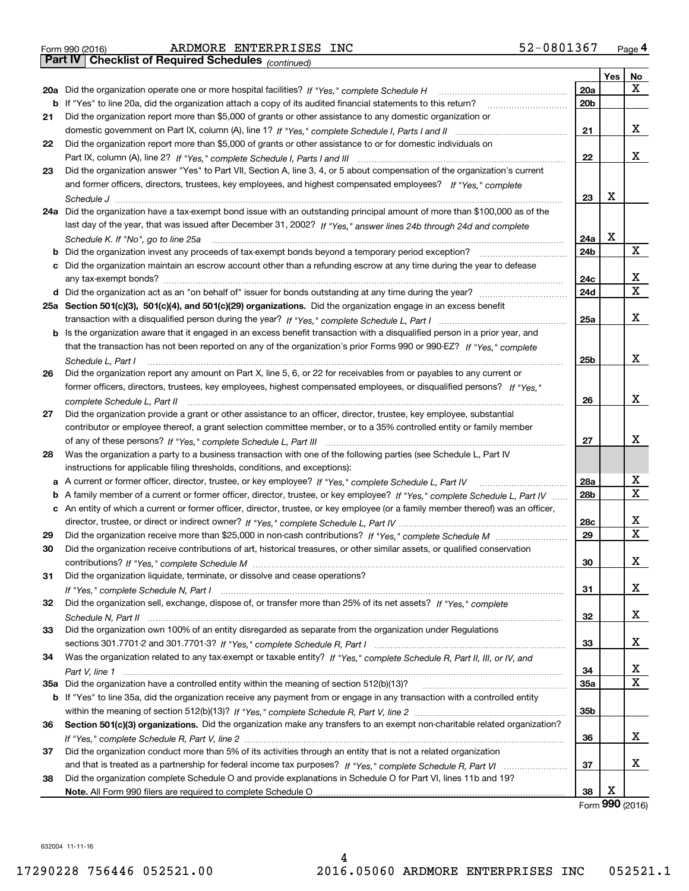| Form 990 (2016) |  |
|-----------------|--|

*(continued)*

| $\mathbf X$<br>20a<br>20a Did the organization operate one or more hospital facilities? If "Yes," complete Schedule H<br>b If "Yes" to line 20a, did the organization attach a copy of its audited financial statements to this return?<br>20 <sub>b</sub><br>Did the organization report more than \$5,000 of grants or other assistance to any domestic organization or<br>21<br>X<br>21<br>Did the organization report more than \$5,000 of grants or other assistance to or for domestic individuals on<br>22<br>X<br>22<br>Did the organization answer "Yes" to Part VII, Section A, line 3, 4, or 5 about compensation of the organization's current<br>23<br>and former officers, directors, trustees, key employees, and highest compensated employees? If "Yes." complete<br>x<br>23<br>24a Did the organization have a tax-exempt bond issue with an outstanding principal amount of more than \$100,000 as of the<br>last day of the year, that was issued after December 31, 2002? If "Yes," answer lines 24b through 24d and complete<br>х<br>24a<br>Schedule K. If "No", go to line 25a<br>X<br><b>b</b> Did the organization invest any proceeds of tax-exempt bonds beyond a temporary period exception?<br>24b<br>c Did the organization maintain an escrow account other than a refunding escrow at any time during the year to defease<br>x<br>24c<br>X<br>24d<br>25a Section 501(c)(3), 501(c)(4), and 501(c)(29) organizations. Did the organization engage in an excess benefit<br>X<br>25a<br>b Is the organization aware that it engaged in an excess benefit transaction with a disqualified person in a prior year, and<br>that the transaction has not been reported on any of the organization's prior Forms 990 or 990-EZ? If "Yes," complete<br>X<br>25 <sub>b</sub><br>Schedule L, Part I<br>Did the organization report any amount on Part X, line 5, 6, or 22 for receivables from or payables to any current or<br>26<br>former officers, directors, trustees, key employees, highest compensated employees, or disqualified persons? If "Yes."<br>х<br>26<br>complete Schedule L, Part II <i>maching and a complete Schedule L</i> , Part II<br>Did the organization provide a grant or other assistance to an officer, director, trustee, key employee, substantial<br>27<br>contributor or employee thereof, a grant selection committee member, or to a 35% controlled entity or family member<br>х<br>27<br>Was the organization a party to a business transaction with one of the following parties (see Schedule L, Part IV<br>28<br>instructions for applicable filing thresholds, conditions, and exceptions):<br>х<br>28a<br>A current or former officer, director, trustee, or key employee? If "Yes," complete Schedule L, Part IV<br>a<br>X<br>28 <sub>b</sub><br>b A family member of a current or former officer, director, trustee, or key employee? If "Yes," complete Schedule L, Part IV<br>c An entity of which a current or former officer, director, trustee, or key employee (or a family member thereof) was an officer,<br>х<br>28c<br>$\mathbf X$<br>29<br>29<br>Did the organization receive contributions of art, historical treasures, or other similar assets, or qualified conservation<br>30<br>х<br>30<br>Did the organization liquidate, terminate, or dissolve and cease operations?<br>31<br>x<br>31<br>Did the organization sell, exchange, dispose of, or transfer more than 25% of its net assets? If "Yes," complete<br>32<br>x<br>32<br>Did the organization own 100% of an entity disregarded as separate from the organization under Regulations<br>33<br>x<br>33<br>Was the organization related to any tax-exempt or taxable entity? If "Yes," complete Schedule R, Part II, III, or IV, and<br>34<br>х<br>34<br>X<br>35a Did the organization have a controlled entity within the meaning of section 512(b)(13)?<br>35a<br>b If "Yes" to line 35a, did the organization receive any payment from or engage in any transaction with a controlled entity<br>35b<br>Section 501(c)(3) organizations. Did the organization make any transfers to an exempt non-charitable related organization?<br>36<br>x<br>36<br>Did the organization conduct more than 5% of its activities through an entity that is not a related organization<br>37<br>x<br>37<br>Did the organization complete Schedule O and provide explanations in Schedule O for Part VI, lines 11b and 19?<br>38 |  |    | Yes | No |
|-----------------------------------------------------------------------------------------------------------------------------------------------------------------------------------------------------------------------------------------------------------------------------------------------------------------------------------------------------------------------------------------------------------------------------------------------------------------------------------------------------------------------------------------------------------------------------------------------------------------------------------------------------------------------------------------------------------------------------------------------------------------------------------------------------------------------------------------------------------------------------------------------------------------------------------------------------------------------------------------------------------------------------------------------------------------------------------------------------------------------------------------------------------------------------------------------------------------------------------------------------------------------------------------------------------------------------------------------------------------------------------------------------------------------------------------------------------------------------------------------------------------------------------------------------------------------------------------------------------------------------------------------------------------------------------------------------------------------------------------------------------------------------------------------------------------------------------------------------------------------------------------------------------------------------------------------------------------------------------------------------------------------------------------------------------------------------------------------------------------------------------------------------------------------------------------------------------------------------------------------------------------------------------------------------------------------------------------------------------------------------------------------------------------------------------------------------------------------------------------------------------------------------------------------------------------------------------------------------------------------------------------------------------------------------------------------------------------------------------------------------------------------------------------------------------------------------------------------------------------------------------------------------------------------------------------------------------------------------------------------------------------------------------------------------------------------------------------------------------------------------------------------------------------------------------------------------------------------------------------------------------------------------------------------------------------------------------------------------------------------------------------------------------------------------------------------------------------------------------------------------------------------------------------------------------------------------------------------------------------------------------------------------------------------------------------------------------------------------------------------------------------------------------------------------------------------------------------------------------------------------------------------------------------------------------------------------------------------------------------------------------------------------------------------------------------------------------------------------------------------------------------------------------------------------------------------------------------------------------------------------------------------------------------------------------------------------------------------------------------------------------------------------------------------------------------------------------|--|----|-----|----|
|                                                                                                                                                                                                                                                                                                                                                                                                                                                                                                                                                                                                                                                                                                                                                                                                                                                                                                                                                                                                                                                                                                                                                                                                                                                                                                                                                                                                                                                                                                                                                                                                                                                                                                                                                                                                                                                                                                                                                                                                                                                                                                                                                                                                                                                                                                                                                                                                                                                                                                                                                                                                                                                                                                                                                                                                                                                                                                                                                                                                                                                                                                                                                                                                                                                                                                                                                                                                                                                                                                                                                                                                                                                                                                                                                                                                                                                                                                                                                                                                                                                                                                                                                                                                                                                                                                                                                                                                                                                           |  |    |     |    |
|                                                                                                                                                                                                                                                                                                                                                                                                                                                                                                                                                                                                                                                                                                                                                                                                                                                                                                                                                                                                                                                                                                                                                                                                                                                                                                                                                                                                                                                                                                                                                                                                                                                                                                                                                                                                                                                                                                                                                                                                                                                                                                                                                                                                                                                                                                                                                                                                                                                                                                                                                                                                                                                                                                                                                                                                                                                                                                                                                                                                                                                                                                                                                                                                                                                                                                                                                                                                                                                                                                                                                                                                                                                                                                                                                                                                                                                                                                                                                                                                                                                                                                                                                                                                                                                                                                                                                                                                                                                           |  |    |     |    |
|                                                                                                                                                                                                                                                                                                                                                                                                                                                                                                                                                                                                                                                                                                                                                                                                                                                                                                                                                                                                                                                                                                                                                                                                                                                                                                                                                                                                                                                                                                                                                                                                                                                                                                                                                                                                                                                                                                                                                                                                                                                                                                                                                                                                                                                                                                                                                                                                                                                                                                                                                                                                                                                                                                                                                                                                                                                                                                                                                                                                                                                                                                                                                                                                                                                                                                                                                                                                                                                                                                                                                                                                                                                                                                                                                                                                                                                                                                                                                                                                                                                                                                                                                                                                                                                                                                                                                                                                                                                           |  |    |     |    |
|                                                                                                                                                                                                                                                                                                                                                                                                                                                                                                                                                                                                                                                                                                                                                                                                                                                                                                                                                                                                                                                                                                                                                                                                                                                                                                                                                                                                                                                                                                                                                                                                                                                                                                                                                                                                                                                                                                                                                                                                                                                                                                                                                                                                                                                                                                                                                                                                                                                                                                                                                                                                                                                                                                                                                                                                                                                                                                                                                                                                                                                                                                                                                                                                                                                                                                                                                                                                                                                                                                                                                                                                                                                                                                                                                                                                                                                                                                                                                                                                                                                                                                                                                                                                                                                                                                                                                                                                                                                           |  |    |     |    |
|                                                                                                                                                                                                                                                                                                                                                                                                                                                                                                                                                                                                                                                                                                                                                                                                                                                                                                                                                                                                                                                                                                                                                                                                                                                                                                                                                                                                                                                                                                                                                                                                                                                                                                                                                                                                                                                                                                                                                                                                                                                                                                                                                                                                                                                                                                                                                                                                                                                                                                                                                                                                                                                                                                                                                                                                                                                                                                                                                                                                                                                                                                                                                                                                                                                                                                                                                                                                                                                                                                                                                                                                                                                                                                                                                                                                                                                                                                                                                                                                                                                                                                                                                                                                                                                                                                                                                                                                                                                           |  |    |     |    |
|                                                                                                                                                                                                                                                                                                                                                                                                                                                                                                                                                                                                                                                                                                                                                                                                                                                                                                                                                                                                                                                                                                                                                                                                                                                                                                                                                                                                                                                                                                                                                                                                                                                                                                                                                                                                                                                                                                                                                                                                                                                                                                                                                                                                                                                                                                                                                                                                                                                                                                                                                                                                                                                                                                                                                                                                                                                                                                                                                                                                                                                                                                                                                                                                                                                                                                                                                                                                                                                                                                                                                                                                                                                                                                                                                                                                                                                                                                                                                                                                                                                                                                                                                                                                                                                                                                                                                                                                                                                           |  |    |     |    |
|                                                                                                                                                                                                                                                                                                                                                                                                                                                                                                                                                                                                                                                                                                                                                                                                                                                                                                                                                                                                                                                                                                                                                                                                                                                                                                                                                                                                                                                                                                                                                                                                                                                                                                                                                                                                                                                                                                                                                                                                                                                                                                                                                                                                                                                                                                                                                                                                                                                                                                                                                                                                                                                                                                                                                                                                                                                                                                                                                                                                                                                                                                                                                                                                                                                                                                                                                                                                                                                                                                                                                                                                                                                                                                                                                                                                                                                                                                                                                                                                                                                                                                                                                                                                                                                                                                                                                                                                                                                           |  |    |     |    |
|                                                                                                                                                                                                                                                                                                                                                                                                                                                                                                                                                                                                                                                                                                                                                                                                                                                                                                                                                                                                                                                                                                                                                                                                                                                                                                                                                                                                                                                                                                                                                                                                                                                                                                                                                                                                                                                                                                                                                                                                                                                                                                                                                                                                                                                                                                                                                                                                                                                                                                                                                                                                                                                                                                                                                                                                                                                                                                                                                                                                                                                                                                                                                                                                                                                                                                                                                                                                                                                                                                                                                                                                                                                                                                                                                                                                                                                                                                                                                                                                                                                                                                                                                                                                                                                                                                                                                                                                                                                           |  |    |     |    |
|                                                                                                                                                                                                                                                                                                                                                                                                                                                                                                                                                                                                                                                                                                                                                                                                                                                                                                                                                                                                                                                                                                                                                                                                                                                                                                                                                                                                                                                                                                                                                                                                                                                                                                                                                                                                                                                                                                                                                                                                                                                                                                                                                                                                                                                                                                                                                                                                                                                                                                                                                                                                                                                                                                                                                                                                                                                                                                                                                                                                                                                                                                                                                                                                                                                                                                                                                                                                                                                                                                                                                                                                                                                                                                                                                                                                                                                                                                                                                                                                                                                                                                                                                                                                                                                                                                                                                                                                                                                           |  |    |     |    |
|                                                                                                                                                                                                                                                                                                                                                                                                                                                                                                                                                                                                                                                                                                                                                                                                                                                                                                                                                                                                                                                                                                                                                                                                                                                                                                                                                                                                                                                                                                                                                                                                                                                                                                                                                                                                                                                                                                                                                                                                                                                                                                                                                                                                                                                                                                                                                                                                                                                                                                                                                                                                                                                                                                                                                                                                                                                                                                                                                                                                                                                                                                                                                                                                                                                                                                                                                                                                                                                                                                                                                                                                                                                                                                                                                                                                                                                                                                                                                                                                                                                                                                                                                                                                                                                                                                                                                                                                                                                           |  |    |     |    |
|                                                                                                                                                                                                                                                                                                                                                                                                                                                                                                                                                                                                                                                                                                                                                                                                                                                                                                                                                                                                                                                                                                                                                                                                                                                                                                                                                                                                                                                                                                                                                                                                                                                                                                                                                                                                                                                                                                                                                                                                                                                                                                                                                                                                                                                                                                                                                                                                                                                                                                                                                                                                                                                                                                                                                                                                                                                                                                                                                                                                                                                                                                                                                                                                                                                                                                                                                                                                                                                                                                                                                                                                                                                                                                                                                                                                                                                                                                                                                                                                                                                                                                                                                                                                                                                                                                                                                                                                                                                           |  |    |     |    |
|                                                                                                                                                                                                                                                                                                                                                                                                                                                                                                                                                                                                                                                                                                                                                                                                                                                                                                                                                                                                                                                                                                                                                                                                                                                                                                                                                                                                                                                                                                                                                                                                                                                                                                                                                                                                                                                                                                                                                                                                                                                                                                                                                                                                                                                                                                                                                                                                                                                                                                                                                                                                                                                                                                                                                                                                                                                                                                                                                                                                                                                                                                                                                                                                                                                                                                                                                                                                                                                                                                                                                                                                                                                                                                                                                                                                                                                                                                                                                                                                                                                                                                                                                                                                                                                                                                                                                                                                                                                           |  |    |     |    |
|                                                                                                                                                                                                                                                                                                                                                                                                                                                                                                                                                                                                                                                                                                                                                                                                                                                                                                                                                                                                                                                                                                                                                                                                                                                                                                                                                                                                                                                                                                                                                                                                                                                                                                                                                                                                                                                                                                                                                                                                                                                                                                                                                                                                                                                                                                                                                                                                                                                                                                                                                                                                                                                                                                                                                                                                                                                                                                                                                                                                                                                                                                                                                                                                                                                                                                                                                                                                                                                                                                                                                                                                                                                                                                                                                                                                                                                                                                                                                                                                                                                                                                                                                                                                                                                                                                                                                                                                                                                           |  |    |     |    |
|                                                                                                                                                                                                                                                                                                                                                                                                                                                                                                                                                                                                                                                                                                                                                                                                                                                                                                                                                                                                                                                                                                                                                                                                                                                                                                                                                                                                                                                                                                                                                                                                                                                                                                                                                                                                                                                                                                                                                                                                                                                                                                                                                                                                                                                                                                                                                                                                                                                                                                                                                                                                                                                                                                                                                                                                                                                                                                                                                                                                                                                                                                                                                                                                                                                                                                                                                                                                                                                                                                                                                                                                                                                                                                                                                                                                                                                                                                                                                                                                                                                                                                                                                                                                                                                                                                                                                                                                                                                           |  |    |     |    |
|                                                                                                                                                                                                                                                                                                                                                                                                                                                                                                                                                                                                                                                                                                                                                                                                                                                                                                                                                                                                                                                                                                                                                                                                                                                                                                                                                                                                                                                                                                                                                                                                                                                                                                                                                                                                                                                                                                                                                                                                                                                                                                                                                                                                                                                                                                                                                                                                                                                                                                                                                                                                                                                                                                                                                                                                                                                                                                                                                                                                                                                                                                                                                                                                                                                                                                                                                                                                                                                                                                                                                                                                                                                                                                                                                                                                                                                                                                                                                                                                                                                                                                                                                                                                                                                                                                                                                                                                                                                           |  |    |     |    |
|                                                                                                                                                                                                                                                                                                                                                                                                                                                                                                                                                                                                                                                                                                                                                                                                                                                                                                                                                                                                                                                                                                                                                                                                                                                                                                                                                                                                                                                                                                                                                                                                                                                                                                                                                                                                                                                                                                                                                                                                                                                                                                                                                                                                                                                                                                                                                                                                                                                                                                                                                                                                                                                                                                                                                                                                                                                                                                                                                                                                                                                                                                                                                                                                                                                                                                                                                                                                                                                                                                                                                                                                                                                                                                                                                                                                                                                                                                                                                                                                                                                                                                                                                                                                                                                                                                                                                                                                                                                           |  |    |     |    |
|                                                                                                                                                                                                                                                                                                                                                                                                                                                                                                                                                                                                                                                                                                                                                                                                                                                                                                                                                                                                                                                                                                                                                                                                                                                                                                                                                                                                                                                                                                                                                                                                                                                                                                                                                                                                                                                                                                                                                                                                                                                                                                                                                                                                                                                                                                                                                                                                                                                                                                                                                                                                                                                                                                                                                                                                                                                                                                                                                                                                                                                                                                                                                                                                                                                                                                                                                                                                                                                                                                                                                                                                                                                                                                                                                                                                                                                                                                                                                                                                                                                                                                                                                                                                                                                                                                                                                                                                                                                           |  |    |     |    |
|                                                                                                                                                                                                                                                                                                                                                                                                                                                                                                                                                                                                                                                                                                                                                                                                                                                                                                                                                                                                                                                                                                                                                                                                                                                                                                                                                                                                                                                                                                                                                                                                                                                                                                                                                                                                                                                                                                                                                                                                                                                                                                                                                                                                                                                                                                                                                                                                                                                                                                                                                                                                                                                                                                                                                                                                                                                                                                                                                                                                                                                                                                                                                                                                                                                                                                                                                                                                                                                                                                                                                                                                                                                                                                                                                                                                                                                                                                                                                                                                                                                                                                                                                                                                                                                                                                                                                                                                                                                           |  |    |     |    |
|                                                                                                                                                                                                                                                                                                                                                                                                                                                                                                                                                                                                                                                                                                                                                                                                                                                                                                                                                                                                                                                                                                                                                                                                                                                                                                                                                                                                                                                                                                                                                                                                                                                                                                                                                                                                                                                                                                                                                                                                                                                                                                                                                                                                                                                                                                                                                                                                                                                                                                                                                                                                                                                                                                                                                                                                                                                                                                                                                                                                                                                                                                                                                                                                                                                                                                                                                                                                                                                                                                                                                                                                                                                                                                                                                                                                                                                                                                                                                                                                                                                                                                                                                                                                                                                                                                                                                                                                                                                           |  |    |     |    |
|                                                                                                                                                                                                                                                                                                                                                                                                                                                                                                                                                                                                                                                                                                                                                                                                                                                                                                                                                                                                                                                                                                                                                                                                                                                                                                                                                                                                                                                                                                                                                                                                                                                                                                                                                                                                                                                                                                                                                                                                                                                                                                                                                                                                                                                                                                                                                                                                                                                                                                                                                                                                                                                                                                                                                                                                                                                                                                                                                                                                                                                                                                                                                                                                                                                                                                                                                                                                                                                                                                                                                                                                                                                                                                                                                                                                                                                                                                                                                                                                                                                                                                                                                                                                                                                                                                                                                                                                                                                           |  |    |     |    |
|                                                                                                                                                                                                                                                                                                                                                                                                                                                                                                                                                                                                                                                                                                                                                                                                                                                                                                                                                                                                                                                                                                                                                                                                                                                                                                                                                                                                                                                                                                                                                                                                                                                                                                                                                                                                                                                                                                                                                                                                                                                                                                                                                                                                                                                                                                                                                                                                                                                                                                                                                                                                                                                                                                                                                                                                                                                                                                                                                                                                                                                                                                                                                                                                                                                                                                                                                                                                                                                                                                                                                                                                                                                                                                                                                                                                                                                                                                                                                                                                                                                                                                                                                                                                                                                                                                                                                                                                                                                           |  |    |     |    |
|                                                                                                                                                                                                                                                                                                                                                                                                                                                                                                                                                                                                                                                                                                                                                                                                                                                                                                                                                                                                                                                                                                                                                                                                                                                                                                                                                                                                                                                                                                                                                                                                                                                                                                                                                                                                                                                                                                                                                                                                                                                                                                                                                                                                                                                                                                                                                                                                                                                                                                                                                                                                                                                                                                                                                                                                                                                                                                                                                                                                                                                                                                                                                                                                                                                                                                                                                                                                                                                                                                                                                                                                                                                                                                                                                                                                                                                                                                                                                                                                                                                                                                                                                                                                                                                                                                                                                                                                                                                           |  |    |     |    |
|                                                                                                                                                                                                                                                                                                                                                                                                                                                                                                                                                                                                                                                                                                                                                                                                                                                                                                                                                                                                                                                                                                                                                                                                                                                                                                                                                                                                                                                                                                                                                                                                                                                                                                                                                                                                                                                                                                                                                                                                                                                                                                                                                                                                                                                                                                                                                                                                                                                                                                                                                                                                                                                                                                                                                                                                                                                                                                                                                                                                                                                                                                                                                                                                                                                                                                                                                                                                                                                                                                                                                                                                                                                                                                                                                                                                                                                                                                                                                                                                                                                                                                                                                                                                                                                                                                                                                                                                                                                           |  |    |     |    |
|                                                                                                                                                                                                                                                                                                                                                                                                                                                                                                                                                                                                                                                                                                                                                                                                                                                                                                                                                                                                                                                                                                                                                                                                                                                                                                                                                                                                                                                                                                                                                                                                                                                                                                                                                                                                                                                                                                                                                                                                                                                                                                                                                                                                                                                                                                                                                                                                                                                                                                                                                                                                                                                                                                                                                                                                                                                                                                                                                                                                                                                                                                                                                                                                                                                                                                                                                                                                                                                                                                                                                                                                                                                                                                                                                                                                                                                                                                                                                                                                                                                                                                                                                                                                                                                                                                                                                                                                                                                           |  |    |     |    |
|                                                                                                                                                                                                                                                                                                                                                                                                                                                                                                                                                                                                                                                                                                                                                                                                                                                                                                                                                                                                                                                                                                                                                                                                                                                                                                                                                                                                                                                                                                                                                                                                                                                                                                                                                                                                                                                                                                                                                                                                                                                                                                                                                                                                                                                                                                                                                                                                                                                                                                                                                                                                                                                                                                                                                                                                                                                                                                                                                                                                                                                                                                                                                                                                                                                                                                                                                                                                                                                                                                                                                                                                                                                                                                                                                                                                                                                                                                                                                                                                                                                                                                                                                                                                                                                                                                                                                                                                                                                           |  |    |     |    |
|                                                                                                                                                                                                                                                                                                                                                                                                                                                                                                                                                                                                                                                                                                                                                                                                                                                                                                                                                                                                                                                                                                                                                                                                                                                                                                                                                                                                                                                                                                                                                                                                                                                                                                                                                                                                                                                                                                                                                                                                                                                                                                                                                                                                                                                                                                                                                                                                                                                                                                                                                                                                                                                                                                                                                                                                                                                                                                                                                                                                                                                                                                                                                                                                                                                                                                                                                                                                                                                                                                                                                                                                                                                                                                                                                                                                                                                                                                                                                                                                                                                                                                                                                                                                                                                                                                                                                                                                                                                           |  |    |     |    |
|                                                                                                                                                                                                                                                                                                                                                                                                                                                                                                                                                                                                                                                                                                                                                                                                                                                                                                                                                                                                                                                                                                                                                                                                                                                                                                                                                                                                                                                                                                                                                                                                                                                                                                                                                                                                                                                                                                                                                                                                                                                                                                                                                                                                                                                                                                                                                                                                                                                                                                                                                                                                                                                                                                                                                                                                                                                                                                                                                                                                                                                                                                                                                                                                                                                                                                                                                                                                                                                                                                                                                                                                                                                                                                                                                                                                                                                                                                                                                                                                                                                                                                                                                                                                                                                                                                                                                                                                                                                           |  |    |     |    |
|                                                                                                                                                                                                                                                                                                                                                                                                                                                                                                                                                                                                                                                                                                                                                                                                                                                                                                                                                                                                                                                                                                                                                                                                                                                                                                                                                                                                                                                                                                                                                                                                                                                                                                                                                                                                                                                                                                                                                                                                                                                                                                                                                                                                                                                                                                                                                                                                                                                                                                                                                                                                                                                                                                                                                                                                                                                                                                                                                                                                                                                                                                                                                                                                                                                                                                                                                                                                                                                                                                                                                                                                                                                                                                                                                                                                                                                                                                                                                                                                                                                                                                                                                                                                                                                                                                                                                                                                                                                           |  |    |     |    |
|                                                                                                                                                                                                                                                                                                                                                                                                                                                                                                                                                                                                                                                                                                                                                                                                                                                                                                                                                                                                                                                                                                                                                                                                                                                                                                                                                                                                                                                                                                                                                                                                                                                                                                                                                                                                                                                                                                                                                                                                                                                                                                                                                                                                                                                                                                                                                                                                                                                                                                                                                                                                                                                                                                                                                                                                                                                                                                                                                                                                                                                                                                                                                                                                                                                                                                                                                                                                                                                                                                                                                                                                                                                                                                                                                                                                                                                                                                                                                                                                                                                                                                                                                                                                                                                                                                                                                                                                                                                           |  |    |     |    |
|                                                                                                                                                                                                                                                                                                                                                                                                                                                                                                                                                                                                                                                                                                                                                                                                                                                                                                                                                                                                                                                                                                                                                                                                                                                                                                                                                                                                                                                                                                                                                                                                                                                                                                                                                                                                                                                                                                                                                                                                                                                                                                                                                                                                                                                                                                                                                                                                                                                                                                                                                                                                                                                                                                                                                                                                                                                                                                                                                                                                                                                                                                                                                                                                                                                                                                                                                                                                                                                                                                                                                                                                                                                                                                                                                                                                                                                                                                                                                                                                                                                                                                                                                                                                                                                                                                                                                                                                                                                           |  |    |     |    |
|                                                                                                                                                                                                                                                                                                                                                                                                                                                                                                                                                                                                                                                                                                                                                                                                                                                                                                                                                                                                                                                                                                                                                                                                                                                                                                                                                                                                                                                                                                                                                                                                                                                                                                                                                                                                                                                                                                                                                                                                                                                                                                                                                                                                                                                                                                                                                                                                                                                                                                                                                                                                                                                                                                                                                                                                                                                                                                                                                                                                                                                                                                                                                                                                                                                                                                                                                                                                                                                                                                                                                                                                                                                                                                                                                                                                                                                                                                                                                                                                                                                                                                                                                                                                                                                                                                                                                                                                                                                           |  |    |     |    |
|                                                                                                                                                                                                                                                                                                                                                                                                                                                                                                                                                                                                                                                                                                                                                                                                                                                                                                                                                                                                                                                                                                                                                                                                                                                                                                                                                                                                                                                                                                                                                                                                                                                                                                                                                                                                                                                                                                                                                                                                                                                                                                                                                                                                                                                                                                                                                                                                                                                                                                                                                                                                                                                                                                                                                                                                                                                                                                                                                                                                                                                                                                                                                                                                                                                                                                                                                                                                                                                                                                                                                                                                                                                                                                                                                                                                                                                                                                                                                                                                                                                                                                                                                                                                                                                                                                                                                                                                                                                           |  |    |     |    |
|                                                                                                                                                                                                                                                                                                                                                                                                                                                                                                                                                                                                                                                                                                                                                                                                                                                                                                                                                                                                                                                                                                                                                                                                                                                                                                                                                                                                                                                                                                                                                                                                                                                                                                                                                                                                                                                                                                                                                                                                                                                                                                                                                                                                                                                                                                                                                                                                                                                                                                                                                                                                                                                                                                                                                                                                                                                                                                                                                                                                                                                                                                                                                                                                                                                                                                                                                                                                                                                                                                                                                                                                                                                                                                                                                                                                                                                                                                                                                                                                                                                                                                                                                                                                                                                                                                                                                                                                                                                           |  |    |     |    |
|                                                                                                                                                                                                                                                                                                                                                                                                                                                                                                                                                                                                                                                                                                                                                                                                                                                                                                                                                                                                                                                                                                                                                                                                                                                                                                                                                                                                                                                                                                                                                                                                                                                                                                                                                                                                                                                                                                                                                                                                                                                                                                                                                                                                                                                                                                                                                                                                                                                                                                                                                                                                                                                                                                                                                                                                                                                                                                                                                                                                                                                                                                                                                                                                                                                                                                                                                                                                                                                                                                                                                                                                                                                                                                                                                                                                                                                                                                                                                                                                                                                                                                                                                                                                                                                                                                                                                                                                                                                           |  |    |     |    |
|                                                                                                                                                                                                                                                                                                                                                                                                                                                                                                                                                                                                                                                                                                                                                                                                                                                                                                                                                                                                                                                                                                                                                                                                                                                                                                                                                                                                                                                                                                                                                                                                                                                                                                                                                                                                                                                                                                                                                                                                                                                                                                                                                                                                                                                                                                                                                                                                                                                                                                                                                                                                                                                                                                                                                                                                                                                                                                                                                                                                                                                                                                                                                                                                                                                                                                                                                                                                                                                                                                                                                                                                                                                                                                                                                                                                                                                                                                                                                                                                                                                                                                                                                                                                                                                                                                                                                                                                                                                           |  |    |     |    |
|                                                                                                                                                                                                                                                                                                                                                                                                                                                                                                                                                                                                                                                                                                                                                                                                                                                                                                                                                                                                                                                                                                                                                                                                                                                                                                                                                                                                                                                                                                                                                                                                                                                                                                                                                                                                                                                                                                                                                                                                                                                                                                                                                                                                                                                                                                                                                                                                                                                                                                                                                                                                                                                                                                                                                                                                                                                                                                                                                                                                                                                                                                                                                                                                                                                                                                                                                                                                                                                                                                                                                                                                                                                                                                                                                                                                                                                                                                                                                                                                                                                                                                                                                                                                                                                                                                                                                                                                                                                           |  |    |     |    |
|                                                                                                                                                                                                                                                                                                                                                                                                                                                                                                                                                                                                                                                                                                                                                                                                                                                                                                                                                                                                                                                                                                                                                                                                                                                                                                                                                                                                                                                                                                                                                                                                                                                                                                                                                                                                                                                                                                                                                                                                                                                                                                                                                                                                                                                                                                                                                                                                                                                                                                                                                                                                                                                                                                                                                                                                                                                                                                                                                                                                                                                                                                                                                                                                                                                                                                                                                                                                                                                                                                                                                                                                                                                                                                                                                                                                                                                                                                                                                                                                                                                                                                                                                                                                                                                                                                                                                                                                                                                           |  |    |     |    |
|                                                                                                                                                                                                                                                                                                                                                                                                                                                                                                                                                                                                                                                                                                                                                                                                                                                                                                                                                                                                                                                                                                                                                                                                                                                                                                                                                                                                                                                                                                                                                                                                                                                                                                                                                                                                                                                                                                                                                                                                                                                                                                                                                                                                                                                                                                                                                                                                                                                                                                                                                                                                                                                                                                                                                                                                                                                                                                                                                                                                                                                                                                                                                                                                                                                                                                                                                                                                                                                                                                                                                                                                                                                                                                                                                                                                                                                                                                                                                                                                                                                                                                                                                                                                                                                                                                                                                                                                                                                           |  |    |     |    |
|                                                                                                                                                                                                                                                                                                                                                                                                                                                                                                                                                                                                                                                                                                                                                                                                                                                                                                                                                                                                                                                                                                                                                                                                                                                                                                                                                                                                                                                                                                                                                                                                                                                                                                                                                                                                                                                                                                                                                                                                                                                                                                                                                                                                                                                                                                                                                                                                                                                                                                                                                                                                                                                                                                                                                                                                                                                                                                                                                                                                                                                                                                                                                                                                                                                                                                                                                                                                                                                                                                                                                                                                                                                                                                                                                                                                                                                                                                                                                                                                                                                                                                                                                                                                                                                                                                                                                                                                                                                           |  |    |     |    |
|                                                                                                                                                                                                                                                                                                                                                                                                                                                                                                                                                                                                                                                                                                                                                                                                                                                                                                                                                                                                                                                                                                                                                                                                                                                                                                                                                                                                                                                                                                                                                                                                                                                                                                                                                                                                                                                                                                                                                                                                                                                                                                                                                                                                                                                                                                                                                                                                                                                                                                                                                                                                                                                                                                                                                                                                                                                                                                                                                                                                                                                                                                                                                                                                                                                                                                                                                                                                                                                                                                                                                                                                                                                                                                                                                                                                                                                                                                                                                                                                                                                                                                                                                                                                                                                                                                                                                                                                                                                           |  |    |     |    |
|                                                                                                                                                                                                                                                                                                                                                                                                                                                                                                                                                                                                                                                                                                                                                                                                                                                                                                                                                                                                                                                                                                                                                                                                                                                                                                                                                                                                                                                                                                                                                                                                                                                                                                                                                                                                                                                                                                                                                                                                                                                                                                                                                                                                                                                                                                                                                                                                                                                                                                                                                                                                                                                                                                                                                                                                                                                                                                                                                                                                                                                                                                                                                                                                                                                                                                                                                                                                                                                                                                                                                                                                                                                                                                                                                                                                                                                                                                                                                                                                                                                                                                                                                                                                                                                                                                                                                                                                                                                           |  |    |     |    |
|                                                                                                                                                                                                                                                                                                                                                                                                                                                                                                                                                                                                                                                                                                                                                                                                                                                                                                                                                                                                                                                                                                                                                                                                                                                                                                                                                                                                                                                                                                                                                                                                                                                                                                                                                                                                                                                                                                                                                                                                                                                                                                                                                                                                                                                                                                                                                                                                                                                                                                                                                                                                                                                                                                                                                                                                                                                                                                                                                                                                                                                                                                                                                                                                                                                                                                                                                                                                                                                                                                                                                                                                                                                                                                                                                                                                                                                                                                                                                                                                                                                                                                                                                                                                                                                                                                                                                                                                                                                           |  |    |     |    |
|                                                                                                                                                                                                                                                                                                                                                                                                                                                                                                                                                                                                                                                                                                                                                                                                                                                                                                                                                                                                                                                                                                                                                                                                                                                                                                                                                                                                                                                                                                                                                                                                                                                                                                                                                                                                                                                                                                                                                                                                                                                                                                                                                                                                                                                                                                                                                                                                                                                                                                                                                                                                                                                                                                                                                                                                                                                                                                                                                                                                                                                                                                                                                                                                                                                                                                                                                                                                                                                                                                                                                                                                                                                                                                                                                                                                                                                                                                                                                                                                                                                                                                                                                                                                                                                                                                                                                                                                                                                           |  |    |     |    |
|                                                                                                                                                                                                                                                                                                                                                                                                                                                                                                                                                                                                                                                                                                                                                                                                                                                                                                                                                                                                                                                                                                                                                                                                                                                                                                                                                                                                                                                                                                                                                                                                                                                                                                                                                                                                                                                                                                                                                                                                                                                                                                                                                                                                                                                                                                                                                                                                                                                                                                                                                                                                                                                                                                                                                                                                                                                                                                                                                                                                                                                                                                                                                                                                                                                                                                                                                                                                                                                                                                                                                                                                                                                                                                                                                                                                                                                                                                                                                                                                                                                                                                                                                                                                                                                                                                                                                                                                                                                           |  |    |     |    |
|                                                                                                                                                                                                                                                                                                                                                                                                                                                                                                                                                                                                                                                                                                                                                                                                                                                                                                                                                                                                                                                                                                                                                                                                                                                                                                                                                                                                                                                                                                                                                                                                                                                                                                                                                                                                                                                                                                                                                                                                                                                                                                                                                                                                                                                                                                                                                                                                                                                                                                                                                                                                                                                                                                                                                                                                                                                                                                                                                                                                                                                                                                                                                                                                                                                                                                                                                                                                                                                                                                                                                                                                                                                                                                                                                                                                                                                                                                                                                                                                                                                                                                                                                                                                                                                                                                                                                                                                                                                           |  |    |     |    |
|                                                                                                                                                                                                                                                                                                                                                                                                                                                                                                                                                                                                                                                                                                                                                                                                                                                                                                                                                                                                                                                                                                                                                                                                                                                                                                                                                                                                                                                                                                                                                                                                                                                                                                                                                                                                                                                                                                                                                                                                                                                                                                                                                                                                                                                                                                                                                                                                                                                                                                                                                                                                                                                                                                                                                                                                                                                                                                                                                                                                                                                                                                                                                                                                                                                                                                                                                                                                                                                                                                                                                                                                                                                                                                                                                                                                                                                                                                                                                                                                                                                                                                                                                                                                                                                                                                                                                                                                                                                           |  |    |     |    |
|                                                                                                                                                                                                                                                                                                                                                                                                                                                                                                                                                                                                                                                                                                                                                                                                                                                                                                                                                                                                                                                                                                                                                                                                                                                                                                                                                                                                                                                                                                                                                                                                                                                                                                                                                                                                                                                                                                                                                                                                                                                                                                                                                                                                                                                                                                                                                                                                                                                                                                                                                                                                                                                                                                                                                                                                                                                                                                                                                                                                                                                                                                                                                                                                                                                                                                                                                                                                                                                                                                                                                                                                                                                                                                                                                                                                                                                                                                                                                                                                                                                                                                                                                                                                                                                                                                                                                                                                                                                           |  |    |     |    |
|                                                                                                                                                                                                                                                                                                                                                                                                                                                                                                                                                                                                                                                                                                                                                                                                                                                                                                                                                                                                                                                                                                                                                                                                                                                                                                                                                                                                                                                                                                                                                                                                                                                                                                                                                                                                                                                                                                                                                                                                                                                                                                                                                                                                                                                                                                                                                                                                                                                                                                                                                                                                                                                                                                                                                                                                                                                                                                                                                                                                                                                                                                                                                                                                                                                                                                                                                                                                                                                                                                                                                                                                                                                                                                                                                                                                                                                                                                                                                                                                                                                                                                                                                                                                                                                                                                                                                                                                                                                           |  |    |     |    |
|                                                                                                                                                                                                                                                                                                                                                                                                                                                                                                                                                                                                                                                                                                                                                                                                                                                                                                                                                                                                                                                                                                                                                                                                                                                                                                                                                                                                                                                                                                                                                                                                                                                                                                                                                                                                                                                                                                                                                                                                                                                                                                                                                                                                                                                                                                                                                                                                                                                                                                                                                                                                                                                                                                                                                                                                                                                                                                                                                                                                                                                                                                                                                                                                                                                                                                                                                                                                                                                                                                                                                                                                                                                                                                                                                                                                                                                                                                                                                                                                                                                                                                                                                                                                                                                                                                                                                                                                                                                           |  |    |     |    |
|                                                                                                                                                                                                                                                                                                                                                                                                                                                                                                                                                                                                                                                                                                                                                                                                                                                                                                                                                                                                                                                                                                                                                                                                                                                                                                                                                                                                                                                                                                                                                                                                                                                                                                                                                                                                                                                                                                                                                                                                                                                                                                                                                                                                                                                                                                                                                                                                                                                                                                                                                                                                                                                                                                                                                                                                                                                                                                                                                                                                                                                                                                                                                                                                                                                                                                                                                                                                                                                                                                                                                                                                                                                                                                                                                                                                                                                                                                                                                                                                                                                                                                                                                                                                                                                                                                                                                                                                                                                           |  |    |     |    |
|                                                                                                                                                                                                                                                                                                                                                                                                                                                                                                                                                                                                                                                                                                                                                                                                                                                                                                                                                                                                                                                                                                                                                                                                                                                                                                                                                                                                                                                                                                                                                                                                                                                                                                                                                                                                                                                                                                                                                                                                                                                                                                                                                                                                                                                                                                                                                                                                                                                                                                                                                                                                                                                                                                                                                                                                                                                                                                                                                                                                                                                                                                                                                                                                                                                                                                                                                                                                                                                                                                                                                                                                                                                                                                                                                                                                                                                                                                                                                                                                                                                                                                                                                                                                                                                                                                                                                                                                                                                           |  |    |     |    |
|                                                                                                                                                                                                                                                                                                                                                                                                                                                                                                                                                                                                                                                                                                                                                                                                                                                                                                                                                                                                                                                                                                                                                                                                                                                                                                                                                                                                                                                                                                                                                                                                                                                                                                                                                                                                                                                                                                                                                                                                                                                                                                                                                                                                                                                                                                                                                                                                                                                                                                                                                                                                                                                                                                                                                                                                                                                                                                                                                                                                                                                                                                                                                                                                                                                                                                                                                                                                                                                                                                                                                                                                                                                                                                                                                                                                                                                                                                                                                                                                                                                                                                                                                                                                                                                                                                                                                                                                                                                           |  |    |     |    |
|                                                                                                                                                                                                                                                                                                                                                                                                                                                                                                                                                                                                                                                                                                                                                                                                                                                                                                                                                                                                                                                                                                                                                                                                                                                                                                                                                                                                                                                                                                                                                                                                                                                                                                                                                                                                                                                                                                                                                                                                                                                                                                                                                                                                                                                                                                                                                                                                                                                                                                                                                                                                                                                                                                                                                                                                                                                                                                                                                                                                                                                                                                                                                                                                                                                                                                                                                                                                                                                                                                                                                                                                                                                                                                                                                                                                                                                                                                                                                                                                                                                                                                                                                                                                                                                                                                                                                                                                                                                           |  | 38 | х   |    |

Form (2016) **990**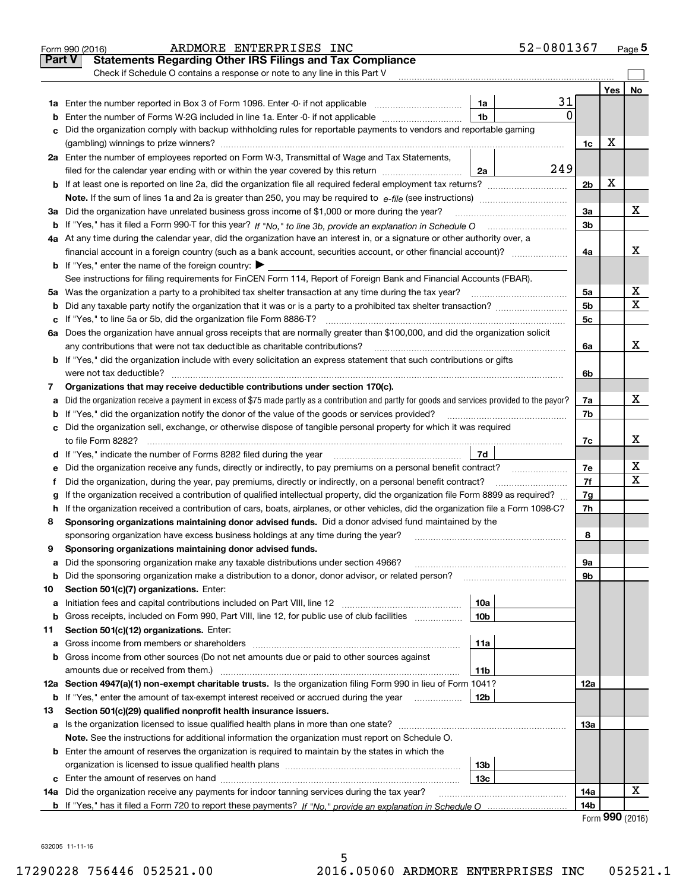|        | 52-0801367<br>ARDMORE ENTERPRISES INC<br>Form 990 (2016)                                                                                        |                |                | $_{\text{Page}}$ 5 |
|--------|-------------------------------------------------------------------------------------------------------------------------------------------------|----------------|----------------|--------------------|
| Part V | <b>Statements Regarding Other IRS Filings and Tax Compliance</b>                                                                                |                |                |                    |
|        | Check if Schedule O contains a response or note to any line in this Part V                                                                      |                |                |                    |
|        |                                                                                                                                                 |                | Yes            | No                 |
|        | 31<br>1a                                                                                                                                        |                |                |                    |
| b      | 0<br>Enter the number of Forms W-2G included in line 1a. Enter -0- if not applicable<br>1b                                                      |                |                |                    |
| c      | Did the organization comply with backup withholding rules for reportable payments to vendors and reportable gaming                              |                |                |                    |
|        |                                                                                                                                                 | 1c             | х              |                    |
|        | 2a Enter the number of employees reported on Form W-3, Transmittal of Wage and Tax Statements,                                                  |                |                |                    |
|        | 249<br>filed for the calendar year ending with or within the year covered by this return<br>2a                                                  |                |                |                    |
|        |                                                                                                                                                 | 2 <sub>b</sub> | X              |                    |
|        | <b>Note.</b> If the sum of lines 1a and 2a is greater than 250, you may be required to $e$ -file (see instructions) $\ldots$                    |                |                |                    |
|        | 3a Did the organization have unrelated business gross income of \$1,000 or more during the year?                                                | 3a             |                | x                  |
|        | b If "Yes," has it filed a Form 990-T for this year? If "No," to line 3b, provide an explanation in Schedule O                                  | 3 <sub>b</sub> |                |                    |
|        | 4a At any time during the calendar year, did the organization have an interest in, or a signature or other authority over, a                    |                |                |                    |
|        | financial account in a foreign country (such as a bank account, securities account, or other financial account)?                                | 4a             |                | X                  |
|        | <b>b</b> If "Yes," enter the name of the foreign country: $\blacktriangleright$                                                                 |                |                |                    |
|        | See instructions for filing requirements for FinCEN Form 114, Report of Foreign Bank and Financial Accounts (FBAR).                             |                |                |                    |
|        | 5a Was the organization a party to a prohibited tax shelter transaction at any time during the tax year?                                        | 5a             |                | х                  |
|        |                                                                                                                                                 | 5 <sub>b</sub> |                | $\mathbf X$        |
|        |                                                                                                                                                 | 5c             |                |                    |
|        | 6a Does the organization have annual gross receipts that are normally greater than \$100,000, and did the organization solicit                  |                |                |                    |
|        | any contributions that were not tax deductible as charitable contributions?                                                                     | 6a             |                | x                  |
|        | b If "Yes," did the organization include with every solicitation an express statement that such contributions or gifts                          |                |                |                    |
|        | were not tax deductible?                                                                                                                        | 6b             |                |                    |
| 7      | Organizations that may receive deductible contributions under section 170(c).                                                                   |                |                |                    |
| a      | Did the organization receive a payment in excess of \$75 made partly as a contribution and partly for goods and services provided to the payor? | 7a             |                | x                  |
| b      | If "Yes," did the organization notify the donor of the value of the goods or services provided?                                                 | 7b             |                |                    |
|        | c Did the organization sell, exchange, or otherwise dispose of tangible personal property for which it was required                             |                |                |                    |
|        | to file Form 8282?                                                                                                                              | 7c             |                | х                  |
|        | 7d<br><b>d</b> If "Yes," indicate the number of Forms 8282 filed during the year                                                                |                |                |                    |
| е      | Did the organization receive any funds, directly or indirectly, to pay premiums on a personal benefit contract?                                 | 7e             |                | х                  |
| 1.     | Did the organization, during the year, pay premiums, directly or indirectly, on a personal benefit contract?                                    | 7f             |                | X                  |
| g      | If the organization received a contribution of qualified intellectual property, did the organization file Form 8899 as required?                | 7g             |                |                    |
|        | h If the organization received a contribution of cars, boats, airplanes, or other vehicles, did the organization file a Form 1098-C?            | 7h             |                |                    |
| 8      | Sponsoring organizations maintaining donor advised funds. Did a donor advised fund maintained by the                                            |                |                |                    |
|        | sponsoring organization have excess business holdings at any time during the year?                                                              | 8              |                |                    |
| 9      | Sponsoring organizations maintaining donor advised funds.                                                                                       |                |                |                    |
| а      | Did the sponsoring organization make any taxable distributions under section 4966?                                                              | 9а             |                |                    |
| b      | Did the sponsoring organization make a distribution to a donor, donor advisor, or related person?                                               | 9b             |                |                    |
| 10     | Section 501(c)(7) organizations. Enter:                                                                                                         |                |                |                    |
| а      | 10a                                                                                                                                             |                |                |                    |
| b      | Gross receipts, included on Form 990, Part VIII, line 12, for public use of club facilities<br>10b                                              |                |                |                    |
| 11     | Section 501(c)(12) organizations. Enter:                                                                                                        |                |                |                    |
| а      | 11a                                                                                                                                             |                |                |                    |
| b      | Gross income from other sources (Do not net amounts due or paid to other sources against                                                        |                |                |                    |
|        | amounts due or received from them.)<br>11b                                                                                                      |                |                |                    |
|        | 12a Section 4947(a)(1) non-exempt charitable trusts. Is the organization filing Form 990 in lieu of Form 1041?                                  | 12a            |                |                    |
| b      | If "Yes," enter the amount of tax-exempt interest received or accrued during the year<br>12b                                                    |                |                |                    |
| 13     | Section 501(c)(29) qualified nonprofit health insurance issuers.                                                                                |                |                |                    |
|        |                                                                                                                                                 | 13а            |                |                    |
|        | Note. See the instructions for additional information the organization must report on Schedule O.                                               |                |                |                    |
|        | <b>b</b> Enter the amount of reserves the organization is required to maintain by the states in which the                                       |                |                |                    |
|        | 13 <sub>b</sub>                                                                                                                                 |                |                |                    |
|        | 13с                                                                                                                                             |                |                |                    |
|        | 14a Did the organization receive any payments for indoor tanning services during the tax year?                                                  | 14a            |                | х                  |
|        |                                                                                                                                                 | 14b            |                |                    |
|        |                                                                                                                                                 |                | $000$ $(0010)$ |                    |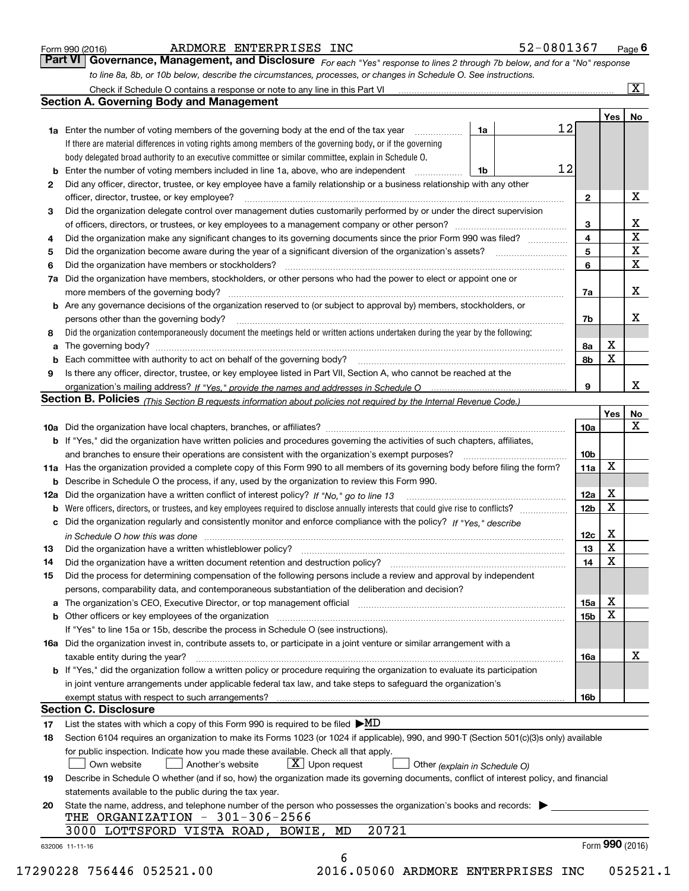| Form 990 (2016) |  |  |
|-----------------|--|--|
|                 |  |  |

### ARDMORE ENTERPRISES INC 52-0801367 52-0801367 52-0801367 52-0801367 52-0801367 67-081367 67-081367 67-081367 67-081367 67-081367 67-081367 67-081367 67-081367 67-081367 67-081367 67-081367 67-081367 67-081367 67-081367 67-

| 52-0801367 |  |  |  |  |  |  |  | Page $\theta$ |
|------------|--|--|--|--|--|--|--|---------------|
|------------|--|--|--|--|--|--|--|---------------|

*For each "Yes" response to lines 2 through 7b below, and for a "No" response to line 8a, 8b, or 10b below, describe the circumstances, processes, or changes in Schedule O. See instructions.* Form 990 (2016) **COMB EXTERPRISES INC** 52-0801367 Page 6<br>**Part VI Governance, Management, and Disclosure** For each "Yes" response to lines 2 through 7b below, and for a "No" response

|     | <b>Section A. Governing Body and Management</b>                                                                                                                            |    |                 |                  |                         |
|-----|----------------------------------------------------------------------------------------------------------------------------------------------------------------------------|----|-----------------|------------------|-------------------------|
|     |                                                                                                                                                                            |    |                 | Yes <sub>1</sub> | No                      |
|     | <b>1a</b> Enter the number of voting members of the governing body at the end of the tax year<br>.                                                                         | 1a | 12              |                  |                         |
|     | If there are material differences in voting rights among members of the governing body, or if the governing                                                                |    |                 |                  |                         |
|     | body delegated broad authority to an executive committee or similar committee, explain in Schedule O.                                                                      |    |                 |                  |                         |
|     | <b>b</b> Enter the number of voting members included in line 1a, above, who are independent <i>manumum</i>                                                                 | 1b | 12              |                  |                         |
| 2   | Did any officer, director, trustee, or key employee have a family relationship or a business relationship with any other                                                   |    |                 |                  |                         |
|     | officer, director, trustee, or key employee?                                                                                                                               |    | $\mathbf{2}$    |                  | X                       |
| 3   | Did the organization delegate control over management duties customarily performed by or under the direct supervision                                                      |    |                 |                  |                         |
|     |                                                                                                                                                                            |    | 3               |                  | х                       |
| 4   | Did the organization make any significant changes to its governing documents since the prior Form 990 was filed?                                                           |    | 4               |                  | $\overline{\texttt{x}}$ |
| 5   |                                                                                                                                                                            |    | 5               |                  | $\overline{\mathbf{x}}$ |
| 6   | Did the organization have members or stockholders?                                                                                                                         |    | 6               |                  | $\overline{\mathbf{x}}$ |
| 7a  | Did the organization have members, stockholders, or other persons who had the power to elect or appoint one or                                                             |    |                 |                  |                         |
|     |                                                                                                                                                                            |    | 7a              |                  | X                       |
|     | <b>b</b> Are any governance decisions of the organization reserved to (or subject to approval by) members, stockholders, or                                                |    |                 |                  |                         |
|     | persons other than the governing body?                                                                                                                                     |    | 7b              |                  | х                       |
| 8   | Did the organization contemporaneously document the meetings held or written actions undertaken during the year by the following:                                          |    |                 |                  |                         |
| a   |                                                                                                                                                                            |    | 8a              | х                |                         |
|     |                                                                                                                                                                            |    | 8b              | X                |                         |
| 9   | Is there any officer, director, trustee, or key employee listed in Part VII, Section A, who cannot be reached at the                                                       |    |                 |                  |                         |
|     |                                                                                                                                                                            |    | 9               |                  | x                       |
|     | Section B. Policies (This Section B requests information about policies not required by the Internal Revenue Code.)                                                        |    |                 |                  |                         |
|     |                                                                                                                                                                            |    |                 | Yes              | No                      |
|     |                                                                                                                                                                            |    | 10a             |                  | $\mathbf X$             |
|     | <b>b</b> If "Yes," did the organization have written policies and procedures governing the activities of such chapters, affiliates,                                        |    |                 |                  |                         |
|     |                                                                                                                                                                            |    | 10 <sub>b</sub> |                  |                         |
|     | 11a Has the organization provided a complete copy of this Form 990 to all members of its governing body before filing the form?                                            |    | 11a             | X                |                         |
|     | <b>b</b> Describe in Schedule O the process, if any, used by the organization to review this Form 990.                                                                     |    |                 |                  |                         |
| 12a |                                                                                                                                                                            |    | 12a             | х                |                         |
| b   |                                                                                                                                                                            |    | 12 <sub>b</sub> | $\mathbf X$      |                         |
|     | c Did the organization regularly and consistently monitor and enforce compliance with the policy? If "Yes." describe                                                       |    |                 |                  |                         |
|     | in Schedule O how this was done www.communication.com/www.communications.com/www.communications.com/                                                                       |    | 12c             | х                |                         |
| 13  |                                                                                                                                                                            |    | 13              | X                |                         |
| 14  | Did the organization have a written document retention and destruction policy? manufactured and the organization have a written document retention and destruction policy? |    | 14              | $\mathbf X$      |                         |
| 15  | Did the process for determining compensation of the following persons include a review and approval by independent                                                         |    |                 |                  |                         |
|     | persons, comparability data, and contemporaneous substantiation of the deliberation and decision?                                                                          |    |                 |                  |                         |
|     |                                                                                                                                                                            |    | 15a             | х                |                         |
|     | <b>b</b> Other officers or key employees of the organization                                                                                                               |    | 15 <sub>b</sub> | X                |                         |
|     | If "Yes" to line 15a or 15b, describe the process in Schedule O (see instructions).                                                                                        |    |                 |                  |                         |
|     | 16a Did the organization invest in, contribute assets to, or participate in a joint venture or similar arrangement with a                                                  |    |                 |                  |                         |
|     | taxable entity during the year?                                                                                                                                            |    | 16a             |                  | х                       |
|     | <b>b</b> If "Yes," did the organization follow a written policy or procedure requiring the organization to evaluate its participation                                      |    |                 |                  |                         |
|     | in joint venture arrangements under applicable federal tax law, and take steps to safeguard the organization's                                                             |    |                 |                  |                         |
|     | exempt status with respect to such arrangements?                                                                                                                           |    | 16b             |                  |                         |
|     | <b>Section C. Disclosure</b>                                                                                                                                               |    |                 |                  |                         |
| 17  | List the states with which a copy of this Form 990 is required to be filed $\blacktriangleright \text{MD}$                                                                 |    |                 |                  |                         |
| 18  | Section 6104 requires an organization to make its Forms 1023 (or 1024 if applicable), 990, and 990-T (Section 501(c)(3)s only) available                                   |    |                 |                  |                         |
|     | for public inspection. Indicate how you made these available. Check all that apply.                                                                                        |    |                 |                  |                         |
|     | $X$ Upon request<br>Own website<br>Another's website<br>Other (explain in Schedule O)                                                                                      |    |                 |                  |                         |
| 19  | Describe in Schedule O whether (and if so, how) the organization made its governing documents, conflict of interest policy, and financial                                  |    |                 |                  |                         |
|     | statements available to the public during the tax year.                                                                                                                    |    |                 |                  |                         |
| 20  | State the name, address, and telephone number of the person who possesses the organization's books and records:                                                            |    |                 |                  |                         |
|     | THE ORGANIZATION - $301-306-2566$                                                                                                                                          |    |                 |                  |                         |
|     |                                                                                                                                                                            |    |                 |                  |                         |
|     | 20721<br>3000 LOTTSFORD VISTA ROAD, BOWIE, MD                                                                                                                              |    |                 |                  |                         |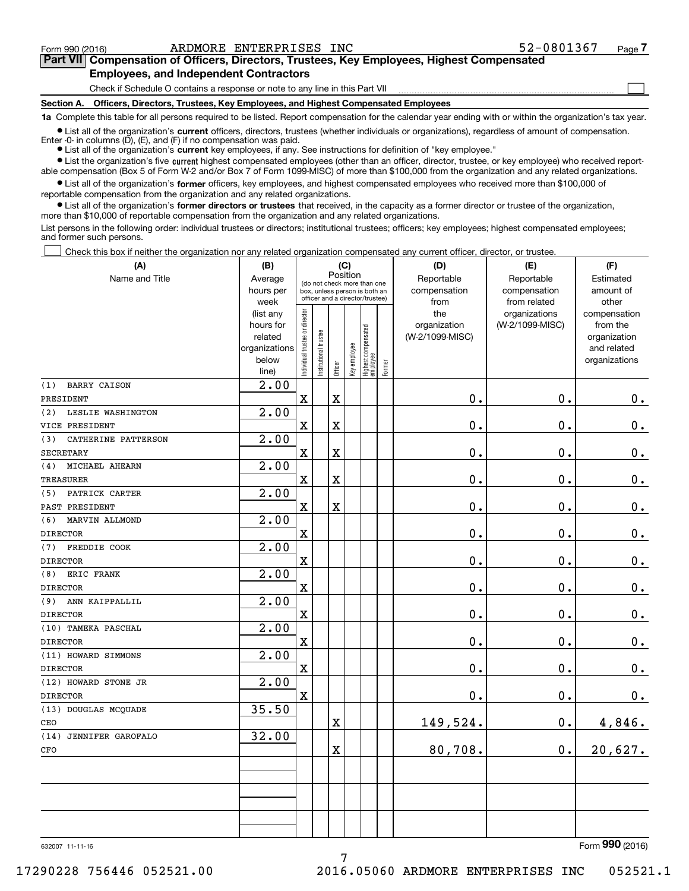$\mathcal{L}^{\text{max}}$ 

| Form 990 (2016) |                                                                                            | ARDMORE ENTERPRISES INC | 52-0801367 | Page 7 |
|-----------------|--------------------------------------------------------------------------------------------|-------------------------|------------|--------|
|                 | Part VII Compensation of Officers, Directors, Trustees, Key Employees, Highest Compensated |                         |            |        |
|                 | <b>Employees, and Independent Contractors</b>                                              |                         |            |        |

Check if Schedule O contains a response or note to any line in this Part VII

**Section A. Officers, Directors, Trustees, Key Employees, and Highest Compensated Employees**

**1a**  Complete this table for all persons required to be listed. Report compensation for the calendar year ending with or within the organization's tax year.

**•** List all of the organization's current officers, directors, trustees (whether individuals or organizations), regardless of amount of compensation. Enter -0- in columns  $(D)$ ,  $(E)$ , and  $(F)$  if no compensation was paid.

● List all of the organization's **current** key employees, if any. See instructions for definition of "key employee."

**•** List the organization's five current highest compensated employees (other than an officer, director, trustee, or key employee) who received reportable compensation (Box 5 of Form W-2 and/or Box 7 of Form 1099-MISC) of more than \$100,000 from the organization and any related organizations.

 $\bullet$  List all of the organization's **former** officers, key employees, and highest compensated employees who received more than \$100,000 of reportable compensation from the organization and any related organizations.

**•** List all of the organization's former directors or trustees that received, in the capacity as a former director or trustee of the organization, more than \$10,000 of reportable compensation from the organization and any related organizations.

List persons in the following order: individual trustees or directors; institutional trustees; officers; key employees; highest compensated employees; and former such persons.

Check this box if neither the organization nor any related organization compensated any current officer, director, or trustee.  $\mathcal{L}^{\text{max}}$ 

| (A)                        | (B)<br>(C)             |                               |                                         |                         | (D)          | (E)                                                              | (F)       |                                 |                 |                          |
|----------------------------|------------------------|-------------------------------|-----------------------------------------|-------------------------|--------------|------------------------------------------------------------------|-----------|---------------------------------|-----------------|--------------------------|
| Name and Title             | Average                |                               | Position<br>(do not check more than one |                         | Reportable   | Reportable                                                       | Estimated |                                 |                 |                          |
|                            | hours per              |                               |                                         |                         |              | box, unless person is both an<br>officer and a director/trustee) |           | compensation                    | compensation    | amount of                |
|                            | week                   |                               |                                         |                         |              |                                                                  |           | from                            | from related    | other                    |
|                            | (list any<br>hours for |                               |                                         |                         |              |                                                                  |           | the                             | organizations   | compensation<br>from the |
|                            | related                |                               |                                         |                         |              |                                                                  |           | organization<br>(W-2/1099-MISC) | (W-2/1099-MISC) | organization             |
|                            | organizations          |                               |                                         |                         |              |                                                                  |           |                                 |                 | and related              |
|                            | below                  | ndividual trustee or director | nstitutional trustee                    |                         | Key employee |                                                                  |           |                                 |                 | organizations            |
|                            | line)                  |                               |                                         | Officer                 |              | Highest compensated<br>  employee                                | Former    |                                 |                 |                          |
| BARRY CAISON<br>(1)        | 2.00                   |                               |                                         |                         |              |                                                                  |           |                                 |                 |                          |
| PRESIDENT                  |                        | $\mathbf x$                   |                                         | $\overline{\mathbf{X}}$ |              |                                                                  |           | 0.                              | $\mathbf 0$ .   | $\mathbf 0$ .            |
| LESLIE WASHINGTON<br>(2)   | 2.00                   |                               |                                         |                         |              |                                                                  |           |                                 |                 |                          |
| VICE PRESIDENT             |                        | $\mathbf X$                   |                                         | $\overline{\text{X}}$   |              |                                                                  |           | 0.                              | $\mathbf 0$ .   | 0.                       |
| CATHERINE PATTERSON<br>(3) | 2.00                   |                               |                                         |                         |              |                                                                  |           |                                 |                 |                          |
| <b>SECRETARY</b>           |                        | $\mathbf X$                   |                                         | $\overline{\textbf{X}}$ |              |                                                                  |           | 0.                              | $\mathbf 0$ .   | $0_{.}$                  |
| MICHAEL AHEARN<br>(4)      | 2.00                   |                               |                                         |                         |              |                                                                  |           |                                 |                 |                          |
| <b>TREASURER</b>           |                        | $\mathbf X$                   |                                         | $\overline{\textbf{X}}$ |              |                                                                  |           | 0.                              | 0.              | $0_{.}$                  |
| PATRICK CARTER<br>(5)      | 2.00                   |                               |                                         |                         |              |                                                                  |           |                                 |                 |                          |
| PAST PRESIDENT             |                        | $\mathbf x$                   |                                         | $\rm X$                 |              |                                                                  |           | 0.                              | $\mathbf 0$ .   | $\mathbf 0$ .            |
| MARVIN ALLMOND<br>(6)      | 2.00                   |                               |                                         |                         |              |                                                                  |           |                                 |                 |                          |
| <b>DIRECTOR</b>            |                        | $\mathbf X$                   |                                         |                         |              |                                                                  |           | 0.                              | $\mathbf 0$ .   | $0$ .                    |
| FREDDIE COOK<br>(7)        | 2.00                   |                               |                                         |                         |              |                                                                  |           |                                 |                 |                          |
| <b>DIRECTOR</b>            |                        | $\mathbf x$                   |                                         |                         |              |                                                                  |           | 0.                              | $\mathbf 0$ .   | $\mathbf 0$ .            |
| ERIC FRANK<br>(8)          | 2.00                   |                               |                                         |                         |              |                                                                  |           |                                 |                 |                          |
| <b>DIRECTOR</b>            |                        | $\mathbf X$                   |                                         |                         |              |                                                                  |           | 0.                              | $\mathbf 0$ .   | $\mathbf 0$ .            |
| (9)<br>ANN KAIPPALLIL      | 2.00                   |                               |                                         |                         |              |                                                                  |           |                                 |                 |                          |
| <b>DIRECTOR</b>            |                        | $\mathbf X$                   |                                         |                         |              |                                                                  |           | 0.                              | $\mathbf 0$ .   | $0_{.}$                  |
| (10) TAMEKA PASCHAL        | 2.00                   |                               |                                         |                         |              |                                                                  |           |                                 |                 |                          |
| <b>DIRECTOR</b>            |                        | $\mathbf X$                   |                                         |                         |              |                                                                  |           | 0.                              | $\mathbf 0$ .   | 0.                       |
| (11) HOWARD SIMMONS        | 2.00                   |                               |                                         |                         |              |                                                                  |           |                                 |                 |                          |
| <b>DIRECTOR</b>            |                        | $\mathbf x$                   |                                         |                         |              |                                                                  |           | 0.                              | $\mathbf 0$ .   | $0$ .                    |
| (12) HOWARD STONE JR       | 2.00                   |                               |                                         |                         |              |                                                                  |           |                                 |                 |                          |
| <b>DIRECTOR</b>            |                        | $\mathbf X$                   |                                         |                         |              |                                                                  |           | 0.                              | 0.              | 0.                       |
| (13) DOUGLAS MCQUADE       | 35.50                  |                               |                                         |                         |              |                                                                  |           |                                 |                 |                          |
| CEO                        |                        |                               |                                         | $\mathbf X$             |              |                                                                  |           | 149,524.                        | 0.              | 4,846.                   |
| (14) JENNIFER GAROFALO     | 32.00                  |                               |                                         |                         |              |                                                                  |           |                                 |                 |                          |
| CFO                        |                        |                               |                                         | $\overline{\mathbf{X}}$ |              |                                                                  |           | 80,708.                         | $\mathbf 0$ .   | 20,627.                  |
|                            |                        |                               |                                         |                         |              |                                                                  |           |                                 |                 |                          |
|                            |                        |                               |                                         |                         |              |                                                                  |           |                                 |                 |                          |
|                            |                        |                               |                                         |                         |              |                                                                  |           |                                 |                 |                          |
|                            |                        |                               |                                         |                         |              |                                                                  |           |                                 |                 |                          |
|                            |                        |                               |                                         |                         |              |                                                                  |           |                                 |                 |                          |
|                            |                        |                               |                                         |                         |              |                                                                  |           |                                 |                 |                          |

7

632007 11-11-16

Form (2016) **990**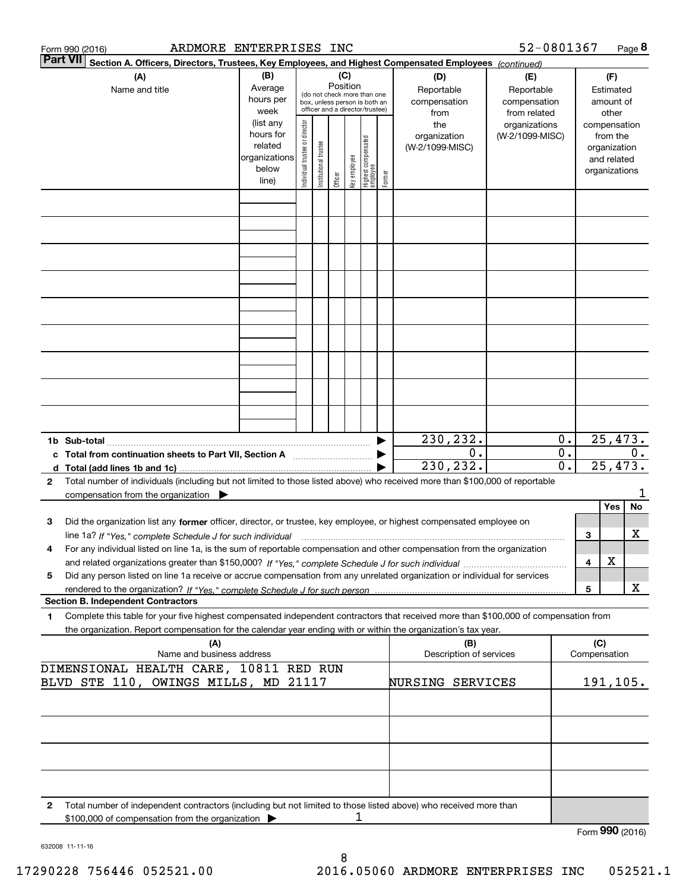|                 | ARDMORE ENTERPRISES INC<br>Form 990 (2016)                                                                                                                                                                                                                                                          |                                                         |                                |                              |                 |              |                                                                                                 |        |                                           | 52-0801367                                        |                        |                     |                                                                          | Page 8  |  |  |
|-----------------|-----------------------------------------------------------------------------------------------------------------------------------------------------------------------------------------------------------------------------------------------------------------------------------------------------|---------------------------------------------------------|--------------------------------|------------------------------|-----------------|--------------|-------------------------------------------------------------------------------------------------|--------|-------------------------------------------|---------------------------------------------------|------------------------|---------------------|--------------------------------------------------------------------------|---------|--|--|
| <b>Part VII</b> | Section A. Officers, Directors, Trustees, Key Employees, and Highest Compensated Employees (continued)                                                                                                                                                                                              |                                                         |                                |                              |                 |              |                                                                                                 |        |                                           |                                                   |                        |                     |                                                                          |         |  |  |
|                 | (A)<br>Name and title                                                                                                                                                                                                                                                                               | (B)<br>Average<br>hours per<br>week<br>(list any        |                                |                              | (C)<br>Position |              | (do not check more than one<br>box, unless person is both an<br>officer and a director/trustee) |        | (D)<br>Reportable<br>compensation<br>from | (E)<br>Reportable<br>compensation<br>from related |                        |                     | (F)<br>Estimated<br>amount of<br>other                                   |         |  |  |
|                 |                                                                                                                                                                                                                                                                                                     | hours for<br>related<br>organizations<br>below<br>line) | Individual trustee or director | I trustee<br>Institutional t | Officer         | Key employee | Highest compensated<br>employee                                                                 | Former | the<br>organization<br>(W-2/1099-MISC)    | organizations<br>(W-2/1099-MISC)                  |                        |                     | compensation<br>from the<br>organization<br>and related<br>organizations |         |  |  |
|                 |                                                                                                                                                                                                                                                                                                     |                                                         |                                |                              |                 |              |                                                                                                 |        |                                           |                                                   |                        |                     |                                                                          |         |  |  |
|                 |                                                                                                                                                                                                                                                                                                     |                                                         |                                |                              |                 |              |                                                                                                 |        |                                           |                                                   |                        |                     |                                                                          |         |  |  |
|                 |                                                                                                                                                                                                                                                                                                     |                                                         |                                |                              |                 |              |                                                                                                 |        |                                           |                                                   |                        |                     |                                                                          |         |  |  |
|                 |                                                                                                                                                                                                                                                                                                     |                                                         |                                |                              |                 |              |                                                                                                 |        |                                           |                                                   |                        |                     |                                                                          |         |  |  |
|                 |                                                                                                                                                                                                                                                                                                     |                                                         |                                |                              |                 |              |                                                                                                 |        |                                           |                                                   |                        |                     |                                                                          |         |  |  |
|                 |                                                                                                                                                                                                                                                                                                     |                                                         |                                |                              |                 |              |                                                                                                 |        |                                           |                                                   |                        |                     |                                                                          |         |  |  |
|                 |                                                                                                                                                                                                                                                                                                     |                                                         |                                |                              |                 |              |                                                                                                 |        | 230,232.                                  |                                                   | 0.                     |                     | 25,473.                                                                  |         |  |  |
|                 | d Total (add lines 1b and 1c).                                                                                                                                                                                                                                                                      |                                                         |                                |                              |                 |              |                                                                                                 |        | 0.<br>230, 232.                           |                                                   | 0.<br>$\overline{0}$ . |                     | 25, 473.                                                                 | $0$ .   |  |  |
| 2               | Total number of individuals (including but not limited to those listed above) who received more than \$100,000 of reportable<br>compensation from the organization $\blacktriangleright$                                                                                                            |                                                         |                                |                              |                 |              |                                                                                                 |        |                                           |                                                   |                        |                     |                                                                          |         |  |  |
| з               | Did the organization list any former officer, director, or trustee, key employee, or highest compensated employee on                                                                                                                                                                                |                                                         |                                |                              |                 |              |                                                                                                 |        |                                           |                                                   |                        | 3                   | Yes                                                                      | No<br>x |  |  |
| 4               | line 1a? If "Yes," complete Schedule J for such individual manufactured contained and the line 1a? If "Yes," complete Schedule J for such individual<br>For any individual listed on line 1a, is the sum of reportable compensation and other compensation from the organization                    |                                                         |                                |                              |                 |              |                                                                                                 |        |                                           |                                                   |                        | 4                   | х                                                                        |         |  |  |
| 5               | Did any person listed on line 1a receive or accrue compensation from any unrelated organization or individual for services                                                                                                                                                                          |                                                         |                                |                              |                 |              |                                                                                                 |        |                                           |                                                   |                        | 5                   |                                                                          | X       |  |  |
| 1               | <b>Section B. Independent Contractors</b><br>Complete this table for your five highest compensated independent contractors that received more than \$100,000 of compensation from<br>the organization. Report compensation for the calendar year ending with or within the organization's tax year. |                                                         |                                |                              |                 |              |                                                                                                 |        |                                           |                                                   |                        |                     |                                                                          |         |  |  |
|                 | (A)<br>Name and business address                                                                                                                                                                                                                                                                    |                                                         |                                |                              |                 |              |                                                                                                 |        | (B)<br>Description of services            |                                                   |                        | (C)<br>Compensation |                                                                          |         |  |  |
|                 | DIMENSIONAL HEALTH CARE, 10811 RED RUN<br>BLVD STE 110, OWINGS MILLS, MD 21117                                                                                                                                                                                                                      |                                                         |                                |                              |                 |              |                                                                                                 |        | NURSING SERVICES                          |                                                   |                        | 191, 105.           |                                                                          |         |  |  |
|                 |                                                                                                                                                                                                                                                                                                     |                                                         |                                |                              |                 |              |                                                                                                 |        |                                           |                                                   |                        |                     |                                                                          |         |  |  |
|                 |                                                                                                                                                                                                                                                                                                     |                                                         |                                |                              |                 |              |                                                                                                 |        |                                           |                                                   |                        |                     |                                                                          |         |  |  |
|                 |                                                                                                                                                                                                                                                                                                     |                                                         |                                |                              |                 |              |                                                                                                 |        |                                           |                                                   |                        |                     |                                                                          |         |  |  |
| 2               | Total number of independent contractors (including but not limited to those listed above) who received more than<br>\$100,000 of compensation from the organization                                                                                                                                 |                                                         |                                |                              |                 | 1            |                                                                                                 |        |                                           |                                                   |                        | Form 990 (2016)     |                                                                          |         |  |  |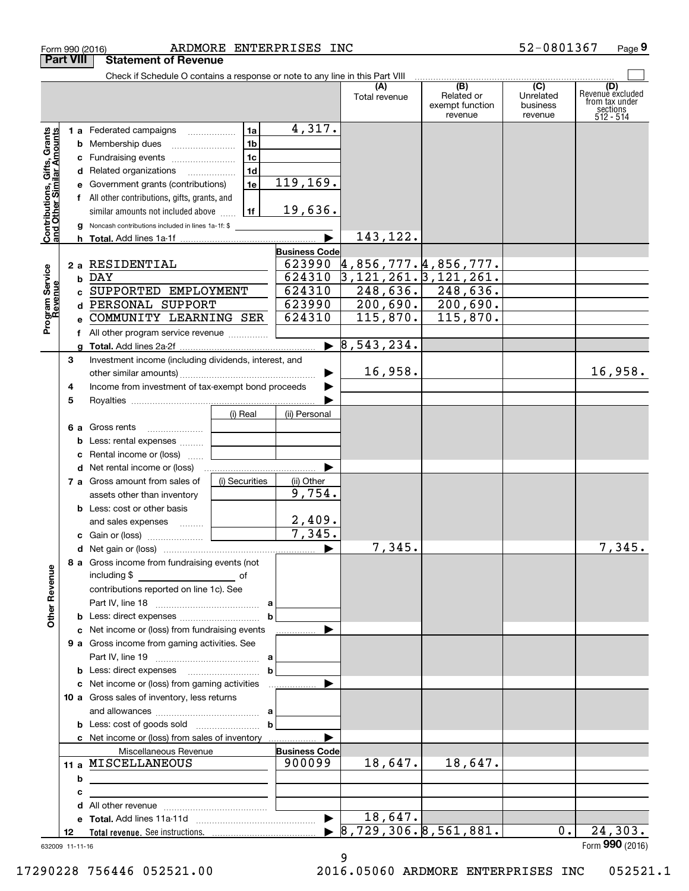|                                                           |    |   | ARDMORE ENTERPRISES INC<br>Form 990 (2016)                                    |                       |                                       |                                                 | 52-0801367                                         | Page 9                                                             |
|-----------------------------------------------------------|----|---|-------------------------------------------------------------------------------|-----------------------|---------------------------------------|-------------------------------------------------|----------------------------------------------------|--------------------------------------------------------------------|
| <b>Part VIII</b>                                          |    |   | <b>Statement of Revenue</b>                                                   |                       |                                       |                                                 |                                                    |                                                                    |
|                                                           |    |   | Check if Schedule O contains a response or note to any line in this Part VIII |                       |                                       |                                                 |                                                    |                                                                    |
|                                                           |    |   |                                                                               |                       | (A)<br>Total revenue                  | (B)<br>Related or<br>exempt function<br>revenue | $\overline{C}$<br>Unrelated<br>business<br>revenue | (D)<br>Revenuè excluded<br>from tax under<br>sections<br>512 - 514 |
|                                                           |    |   | ∣1a İ<br>1 a Federated campaigns                                              | 4,317.                |                                       |                                                 |                                                    |                                                                    |
|                                                           |    |   | 1 <sub>b</sub>                                                                |                       |                                       |                                                 |                                                    |                                                                    |
|                                                           |    |   | 1c                                                                            |                       |                                       |                                                 |                                                    |                                                                    |
|                                                           |    |   | 1d<br>d Related organizations                                                 |                       |                                       |                                                 |                                                    |                                                                    |
|                                                           |    |   | 1e<br>e Government grants (contributions)                                     | 119, 169.             |                                       |                                                 |                                                    |                                                                    |
|                                                           |    |   | f All other contributions, gifts, grants, and                                 |                       |                                       |                                                 |                                                    |                                                                    |
|                                                           |    |   | 1f  <br>similar amounts not included above                                    | 19,636.               |                                       |                                                 |                                                    |                                                                    |
| Contributions, Gifts, Grants<br>and Other Similar Amounts |    |   | g Noncash contributions included in lines 1a-1f: \$                           |                       |                                       |                                                 |                                                    |                                                                    |
|                                                           |    |   |                                                                               |                       | 143,122.                              |                                                 |                                                    |                                                                    |
|                                                           |    |   |                                                                               | <b>Business Code</b>  |                                       |                                                 |                                                    |                                                                    |
|                                                           |    |   | 2 a RESIDENTIAL                                                               |                       | $623990 \; 4,856,777.4,856,777.$      |                                                 |                                                    |                                                                    |
|                                                           |    |   | b DAY                                                                         | 624310                | $3, 121, 261.$ $3, 121, 261.$         |                                                 |                                                    |                                                                    |
|                                                           |    |   | c SUPPORTED EMPLOYMENT                                                        | 624310                |                                       | $248,636.$ 248,636.                             |                                                    |                                                                    |
|                                                           |    |   | d PERSONAL SUPPORT                                                            | 623990                |                                       | $200,690.$ 200,690.                             |                                                    |                                                                    |
| Program Service<br>Revenue                                |    |   | e COMMUNITY LEARNING SER                                                      | 624310                | 115,870.                              | 115,870.                                        |                                                    |                                                                    |
|                                                           |    |   |                                                                               |                       |                                       |                                                 |                                                    |                                                                    |
|                                                           |    |   |                                                                               |                       | $\triangleright$ 8,543,234.           |                                                 |                                                    |                                                                    |
|                                                           | З  |   | Investment income (including dividends, interest, and                         |                       |                                       |                                                 |                                                    |                                                                    |
|                                                           |    |   |                                                                               | ▶                     | 16,958.                               |                                                 |                                                    | 16,958.                                                            |
|                                                           | 4  |   | Income from investment of tax-exempt bond proceeds                            | ▶                     |                                       |                                                 |                                                    |                                                                    |
|                                                           | 5  |   |                                                                               |                       |                                       |                                                 |                                                    |                                                                    |
|                                                           |    |   | (i) Real                                                                      | (ii) Personal         |                                       |                                                 |                                                    |                                                                    |
|                                                           |    |   | <b>6 a</b> Gross rents                                                        |                       |                                       |                                                 |                                                    |                                                                    |
|                                                           |    |   | <b>b</b> Less: rental expenses <i></i>                                        |                       |                                       |                                                 |                                                    |                                                                    |
|                                                           |    |   | c Rental income or (loss)                                                     |                       |                                       |                                                 |                                                    |                                                                    |
|                                                           |    |   | d Net rental income or (loss)                                                 | ▶                     |                                       |                                                 |                                                    |                                                                    |
|                                                           |    |   | (i) Securities<br>7 a Gross amount from sales of                              | (ii) Other            |                                       |                                                 |                                                    |                                                                    |
|                                                           |    |   | assets other than inventory                                                   | 9,754.                |                                       |                                                 |                                                    |                                                                    |
|                                                           |    |   | <b>b</b> Less: cost or other basis                                            |                       |                                       |                                                 |                                                    |                                                                    |
|                                                           |    |   | and sales expenses                                                            | 2,409.                |                                       |                                                 |                                                    |                                                                    |
|                                                           |    |   |                                                                               | 7,345.                |                                       |                                                 |                                                    |                                                                    |
|                                                           |    |   |                                                                               |                       | 7,345.                                |                                                 |                                                    | 7,345.                                                             |
|                                                           |    |   | 8 a Gross income from fundraising events (not                                 |                       |                                       |                                                 |                                                    |                                                                    |
|                                                           |    |   |                                                                               |                       |                                       |                                                 |                                                    |                                                                    |
|                                                           |    |   | contributions reported on line 1c). See                                       |                       |                                       |                                                 |                                                    |                                                                    |
| <b>Other Revenue</b>                                      |    |   |                                                                               |                       |                                       |                                                 |                                                    |                                                                    |
|                                                           |    |   | c Net income or (loss) from fundraising events                                | ▶                     |                                       |                                                 |                                                    |                                                                    |
|                                                           |    |   | 9 a Gross income from gaming activities. See                                  |                       |                                       |                                                 |                                                    |                                                                    |
|                                                           |    |   |                                                                               |                       |                                       |                                                 |                                                    |                                                                    |
|                                                           |    |   | <b>b</b> Less: direct expenses <b>contained b</b>                             |                       |                                       |                                                 |                                                    |                                                                    |
|                                                           |    |   | c Net income or (loss) from gaming activities                                 | ▶                     |                                       |                                                 |                                                    |                                                                    |
|                                                           |    |   | 10 a Gross sales of inventory, less returns                                   |                       |                                       |                                                 |                                                    |                                                                    |
|                                                           |    |   | and allowances $\ldots$ , $a$                                                 |                       |                                       |                                                 |                                                    |                                                                    |
|                                                           |    |   |                                                                               |                       |                                       |                                                 |                                                    |                                                                    |
|                                                           |    |   | c Net income or (loss) from sales of inventory                                |                       |                                       |                                                 |                                                    |                                                                    |
|                                                           |    |   | Miscellaneous Revenue                                                         | <b>Business Code</b>  |                                       |                                                 |                                                    |                                                                    |
|                                                           |    |   | 11 a MISCELLANEOUS                                                            | 900099                | 18,647.                               | 18,647.                                         |                                                    |                                                                    |
|                                                           |    | b |                                                                               |                       |                                       |                                                 |                                                    |                                                                    |
|                                                           |    | с |                                                                               |                       |                                       |                                                 |                                                    |                                                                    |
|                                                           |    |   |                                                                               |                       |                                       |                                                 |                                                    |                                                                    |
|                                                           |    |   |                                                                               | $\blacktriangleright$ | 18,647.                               |                                                 |                                                    |                                                                    |
|                                                           | 12 |   |                                                                               |                       | $\triangleright$ 8,729,306.8,561,881. |                                                 | $0$ .                                              | 24,303.                                                            |
| 632009 11-11-16                                           |    |   |                                                                               |                       | 9                                     |                                                 |                                                    | Form 990 (2016)                                                    |

17290228 756446 052521.00 2016.05060 ARDMORE ENTERPRISES INC 052521.1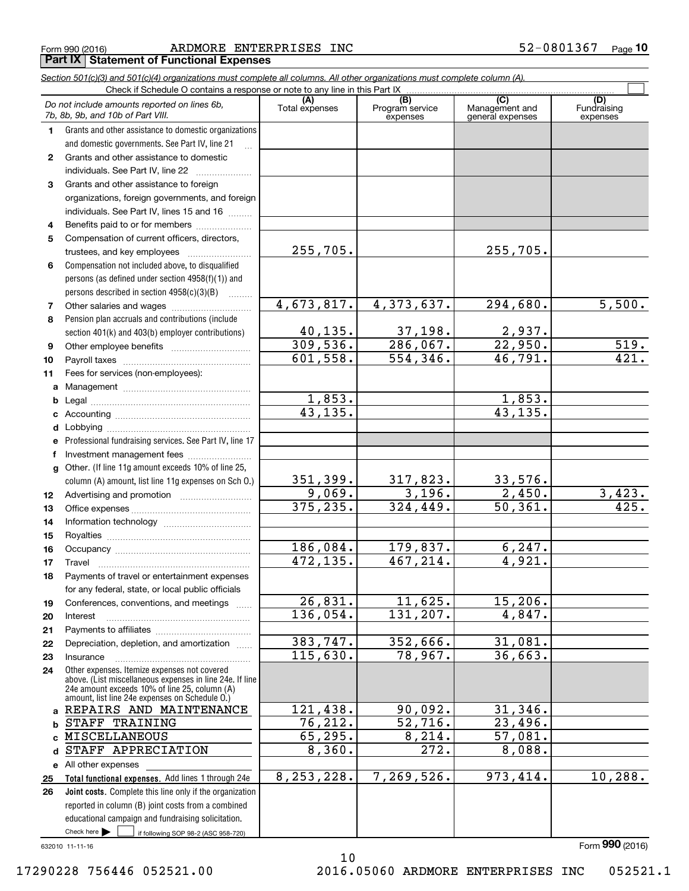|  | Form 990 (2016) |
|--|-----------------|
|  |                 |

Form 990 (2016) ARDMORE ENTERPRISES INC 52-0801367 <sub>Page</sub> **Part IX Statement of Functional Expenses**

|                  | Section 501(c)(3) and 501(c)(4) organizations must complete all columns. All other organizations must complete column (A).<br>Check if Schedule O contains a response or note to any line in this Part IX |                         |                             |                                    |                         |
|------------------|-----------------------------------------------------------------------------------------------------------------------------------------------------------------------------------------------------------|-------------------------|-----------------------------|------------------------------------|-------------------------|
|                  | Do not include amounts reported on lines 6b,                                                                                                                                                              | (A)                     | (B)                         | (C)                                | (D)                     |
|                  | 7b, 8b, 9b, and 10b of Part VIII.                                                                                                                                                                         | Total expenses          | Program service<br>expenses | Management and<br>general expenses | Fundraising<br>expenses |
| 1.               | Grants and other assistance to domestic organizations                                                                                                                                                     |                         |                             |                                    |                         |
|                  | and domestic governments. See Part IV, line 21                                                                                                                                                            |                         |                             |                                    |                         |
| $\mathbf{2}$     | Grants and other assistance to domestic                                                                                                                                                                   |                         |                             |                                    |                         |
|                  | individuals. See Part IV, line 22                                                                                                                                                                         |                         |                             |                                    |                         |
| 3                | Grants and other assistance to foreign                                                                                                                                                                    |                         |                             |                                    |                         |
|                  | organizations, foreign governments, and foreign                                                                                                                                                           |                         |                             |                                    |                         |
|                  | individuals. See Part IV, lines 15 and 16                                                                                                                                                                 |                         |                             |                                    |                         |
| 4                | Benefits paid to or for members                                                                                                                                                                           |                         |                             |                                    |                         |
| 5                | Compensation of current officers, directors,                                                                                                                                                              |                         |                             |                                    |                         |
|                  | trustees, and key employees                                                                                                                                                                               | 255,705.                |                             | 255,705.                           |                         |
| 6                | Compensation not included above, to disqualified                                                                                                                                                          |                         |                             |                                    |                         |
|                  | persons (as defined under section 4958(f)(1)) and                                                                                                                                                         |                         |                             |                                    |                         |
|                  | persons described in section 4958(c)(3)(B)<br>1.1.1.1.1.1.1                                                                                                                                               |                         |                             |                                    |                         |
| 7                |                                                                                                                                                                                                           | 4,673,817.              | 4,373,637.                  | 294,680.                           | 5,500.                  |
| 8                | Pension plan accruals and contributions (include                                                                                                                                                          |                         |                             |                                    |                         |
|                  | section 401(k) and 403(b) employer contributions)                                                                                                                                                         | 40, 135.                | 37,198.                     | 2,937.                             |                         |
| 9                |                                                                                                                                                                                                           | 309,536.                | $\overline{286,067.}$       | 22,950.                            | 519.                    |
| 10               |                                                                                                                                                                                                           | 601,558.                | 554,346.                    | 46,791.                            | 421.                    |
| 11               | Fees for services (non-employees):                                                                                                                                                                        |                         |                             |                                    |                         |
| a                |                                                                                                                                                                                                           |                         |                             |                                    |                         |
| b                |                                                                                                                                                                                                           | 1,853.                  |                             | 1,853.                             |                         |
| с                |                                                                                                                                                                                                           | 43, 135.                |                             | 43, 135.                           |                         |
| d                |                                                                                                                                                                                                           |                         |                             |                                    |                         |
| е                | Professional fundraising services. See Part IV, line 17                                                                                                                                                   |                         |                             |                                    |                         |
| f                | Investment management fees                                                                                                                                                                                |                         |                             |                                    |                         |
| g                | Other. (If line 11g amount exceeds 10% of line 25,                                                                                                                                                        |                         |                             |                                    |                         |
|                  | column (A) amount, list line 11g expenses on Sch O.)                                                                                                                                                      | 351,399.<br>9,069.      | 317,823.<br>3,196.          | 33,576.<br>2,450.                  |                         |
| 12 <sup>12</sup> |                                                                                                                                                                                                           | 375, 235.               | 324, 449.                   | 50, 361.                           | $\frac{3,423}{425}$     |
| 13               |                                                                                                                                                                                                           |                         |                             |                                    |                         |
| 14               |                                                                                                                                                                                                           |                         |                             |                                    |                         |
| 15               |                                                                                                                                                                                                           | 186,084.                | 179,837.                    | 6, 247.                            |                         |
| 16               |                                                                                                                                                                                                           | $\overline{472}$ , 135. | 467,214.                    | 4,921.                             |                         |
| 17               | Payments of travel or entertainment expenses                                                                                                                                                              |                         |                             |                                    |                         |
| 18               | for any federal, state, or local public officials                                                                                                                                                         |                         |                             |                                    |                         |
| 19               | Conferences, conventions, and meetings                                                                                                                                                                    | 26,831.                 | 11,625.                     | 15, 206.                           |                         |
| 20               | $\overline{1}$<br>Interest                                                                                                                                                                                | 136,054.                | 131,207.                    | 4,847.                             |                         |
| 21               |                                                                                                                                                                                                           |                         |                             |                                    |                         |
| 22               | Depreciation, depletion, and amortization                                                                                                                                                                 | 383,747.                | 352,666.                    | 31,081.                            |                         |
| 23               | Insurance                                                                                                                                                                                                 | 115,630.                | 78,967.                     | 36,663.                            |                         |
| 24               | Other expenses. Itemize expenses not covered                                                                                                                                                              |                         |                             |                                    |                         |
|                  | above. (List miscellaneous expenses in line 24e. If line                                                                                                                                                  |                         |                             |                                    |                         |
|                  | 24e amount exceeds 10% of line 25, column (A)<br>amount, list line 24e expenses on Schedule O.)                                                                                                           |                         |                             |                                    |                         |
| a                | REPAIRS AND MAINTENANCE                                                                                                                                                                                   | 121,438.                | 90,092.                     | 31,346.                            |                         |
| b                | STAFF TRAINING                                                                                                                                                                                            | 76,212.                 | 52,716.                     | 23,496.                            |                         |
|                  | MISCELLANEOUS                                                                                                                                                                                             | 65,295.                 | 8,214.                      | 57,081.                            |                         |
| d                | STAFF APPRECIATION                                                                                                                                                                                        | 8,360.                  | 272.                        | 8,088.                             |                         |
|                  | e All other expenses                                                                                                                                                                                      |                         |                             |                                    |                         |
| 25               | Total functional expenses. Add lines 1 through 24e                                                                                                                                                        | 8, 253, 228.            | 7,269,526.                  | 973, 414.                          | 10, 288.                |
| 26               | Joint costs. Complete this line only if the organization                                                                                                                                                  |                         |                             |                                    |                         |
|                  | reported in column (B) joint costs from a combined                                                                                                                                                        |                         |                             |                                    |                         |
|                  | educational campaign and fundraising solicitation.                                                                                                                                                        |                         |                             |                                    |                         |
|                  | Check here $\blacktriangleright$<br>if following SOP 98-2 (ASC 958-720)                                                                                                                                   |                         |                             |                                    |                         |

10

632010 11-11-16

17290228 756446 052521.00 2016.05060 ARDMORE ENTERPRISES INC 052521.1

Form (2016) **990**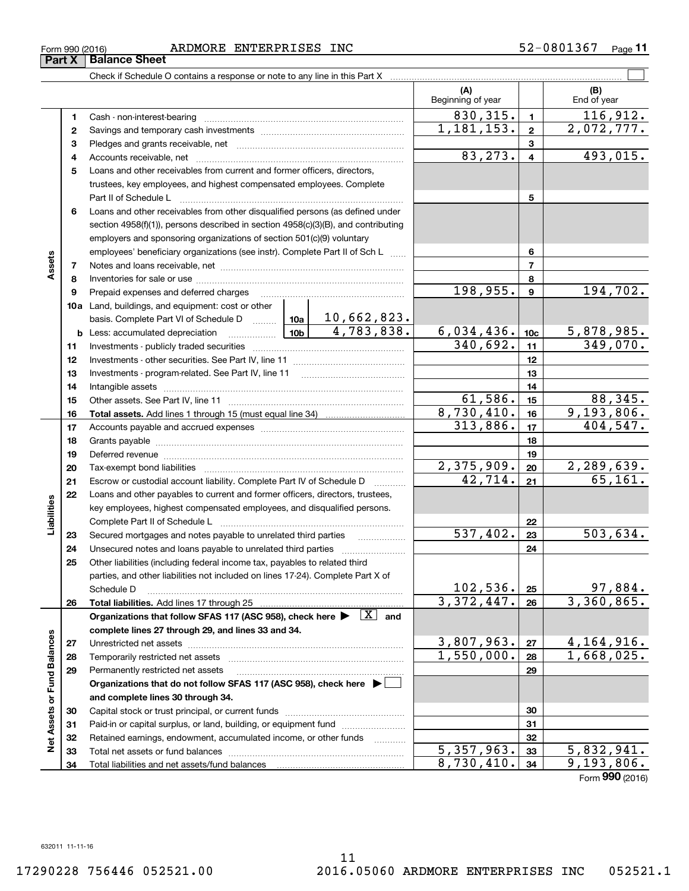**Part X Balance Sheet**

Check if Schedule O contains a response or note to any line in this Part X

|                             |          |                                                                                                                                                                                           |            |                     | (A)<br>Beginning of year |                  | (B)<br>End of year    |
|-----------------------------|----------|-------------------------------------------------------------------------------------------------------------------------------------------------------------------------------------------|------------|---------------------|--------------------------|------------------|-----------------------|
|                             | 1        | Cash - non-interest-bearing                                                                                                                                                               |            |                     | 830, 315.                | $\mathbf{1}$     | 116,912.              |
|                             | 2        |                                                                                                                                                                                           |            |                     | 1, 181, 153.             | $\overline{2}$   | 2,072,777.            |
|                             | з        |                                                                                                                                                                                           |            |                     |                          | 3                |                       |
|                             | 4        |                                                                                                                                                                                           |            |                     | 83, 273.                 | $\overline{4}$   | 493,015.              |
|                             | 5        | Loans and other receivables from current and former officers, directors,                                                                                                                  |            |                     |                          |                  |                       |
|                             |          | trustees, key employees, and highest compensated employees. Complete                                                                                                                      |            |                     |                          |                  |                       |
|                             |          | Part II of Schedule L                                                                                                                                                                     |            |                     |                          | 5                |                       |
|                             | 6        | Loans and other receivables from other disqualified persons (as defined under                                                                                                             |            |                     |                          |                  |                       |
|                             |          | section 4958(f)(1)), persons described in section 4958(c)(3)(B), and contributing                                                                                                         |            |                     |                          |                  |                       |
|                             |          | employers and sponsoring organizations of section 501(c)(9) voluntary                                                                                                                     |            |                     |                          |                  |                       |
|                             |          | employees' beneficiary organizations (see instr). Complete Part II of Sch L                                                                                                               |            |                     |                          | 6                |                       |
| Assets                      | 7        |                                                                                                                                                                                           |            |                     |                          | $\overline{7}$   |                       |
|                             | 8        |                                                                                                                                                                                           |            |                     |                          | 8                |                       |
|                             | 9        | Prepaid expenses and deferred charges                                                                                                                                                     |            |                     | 198,955.                 | $\boldsymbol{9}$ | 194,702.              |
|                             |          | 10a Land, buildings, and equipment: cost or other                                                                                                                                         |            |                     |                          |                  |                       |
|                             |          | basis. Complete Part VI of Schedule D  10a                                                                                                                                                |            | 10,662,823.         |                          |                  |                       |
|                             |          | <u>  10b</u>  <br><b>b</b> Less: accumulated depreciation                                                                                                                                 |            | 4,783,838.          | 6,034,436.               | 10 <sub>c</sub>  | 5,878,985.            |
|                             | 11       |                                                                                                                                                                                           |            |                     | 340,692.                 | 11               | 349,070.              |
|                             | 12       |                                                                                                                                                                                           |            | 12                  |                          |                  |                       |
|                             | 13       |                                                                                                                                                                                           |            | 13                  |                          |                  |                       |
|                             | 14       |                                                                                                                                                                                           |            |                     | 14                       |                  |                       |
|                             | 15       |                                                                                                                                                                                           |            |                     | 61,586.<br>8,730,410.    | 15               | 88,345.<br>9,193,806. |
|                             | 16       |                                                                                                                                                                                           |            |                     | 313,886.                 | 16<br>17         | 404,547.              |
|                             | 17<br>18 |                                                                                                                                                                                           |            | 18                  |                          |                  |                       |
|                             | 19       | Deferred revenue material contracts and contracts are contracted revenue of the contract of the contract of the                                                                           |            | 19                  |                          |                  |                       |
|                             | 20       |                                                                                                                                                                                           | 2,375,909. | 20                  | 2,289,639.               |                  |                       |
|                             | 21       | Escrow or custodial account liability. Complete Part IV of Schedule D                                                                                                                     |            |                     | 42,714.                  | 21               | 65, 161.              |
|                             | 22       | Loans and other payables to current and former officers, directors, trustees,                                                                                                             |            |                     |                          |                  |                       |
| Liabilities                 |          | key employees, highest compensated employees, and disqualified persons.                                                                                                                   |            |                     |                          |                  |                       |
|                             |          | Complete Part II of Schedule L                                                                                                                                                            |            |                     |                          | 22               |                       |
|                             | 23       | Secured mortgages and notes payable to unrelated third parties                                                                                                                            |            |                     | 537,402.                 | 23               | 503,634.              |
|                             | 24       | Unsecured notes and loans payable to unrelated third parties                                                                                                                              |            |                     |                          | 24               |                       |
|                             | 25       | Other liabilities (including federal income tax, payables to related third                                                                                                                |            |                     |                          |                  |                       |
|                             |          | parties, and other liabilities not included on lines 17-24). Complete Part X of                                                                                                           |            |                     |                          |                  |                       |
|                             |          | Schedule D                                                                                                                                                                                |            |                     | 102,536.                 | 25               | 97,884.               |
|                             | 26       | Total liabilities. Add lines 17 through 25                                                                                                                                                |            |                     | 3,372,447.               | 26               | 3,360,865.            |
|                             |          | Organizations that follow SFAS 117 (ASC 958), check here $\blacktriangleright \begin{array}{ c } \hline X & \text{and} \end{array}$<br>complete lines 27 through 29, and lines 33 and 34. |            |                     |                          |                  |                       |
|                             | 27       |                                                                                                                                                                                           |            |                     | 3,807,963.               | 27               | 4,164,916.            |
|                             | 28       | Temporarily restricted net assets                                                                                                                                                         |            |                     | 1,550,000.               | 28               | 1,668,025.            |
|                             | 29       | Permanently restricted net assets                                                                                                                                                         |            |                     |                          | 29               |                       |
|                             |          | Organizations that do not follow SFAS 117 (ASC 958), check here $\blacktriangleright$                                                                                                     |            |                     |                          |                  |                       |
|                             |          | and complete lines 30 through 34.                                                                                                                                                         |            |                     |                          |                  |                       |
| Net Assets or Fund Balances | 30       |                                                                                                                                                                                           |            |                     |                          | 30               |                       |
|                             | 31       | Paid-in or capital surplus, or land, building, or equipment fund                                                                                                                          |            |                     |                          | 31               |                       |
|                             | 32       | Retained earnings, endowment, accumulated income, or other funds                                                                                                                          |            | 1.1.1.1.1.1.1.1.1.1 |                          | 32               |                       |
|                             | 33       | Total net assets or fund balances                                                                                                                                                         |            |                     | 5,357,963.               | 33               | 5,832,941.            |
|                             | 34       |                                                                                                                                                                                           |            |                     | 8,730,410.               | 34               | 9,193,806.            |

Form (2016) **990**

 $\mathcal{L}^{\text{max}}$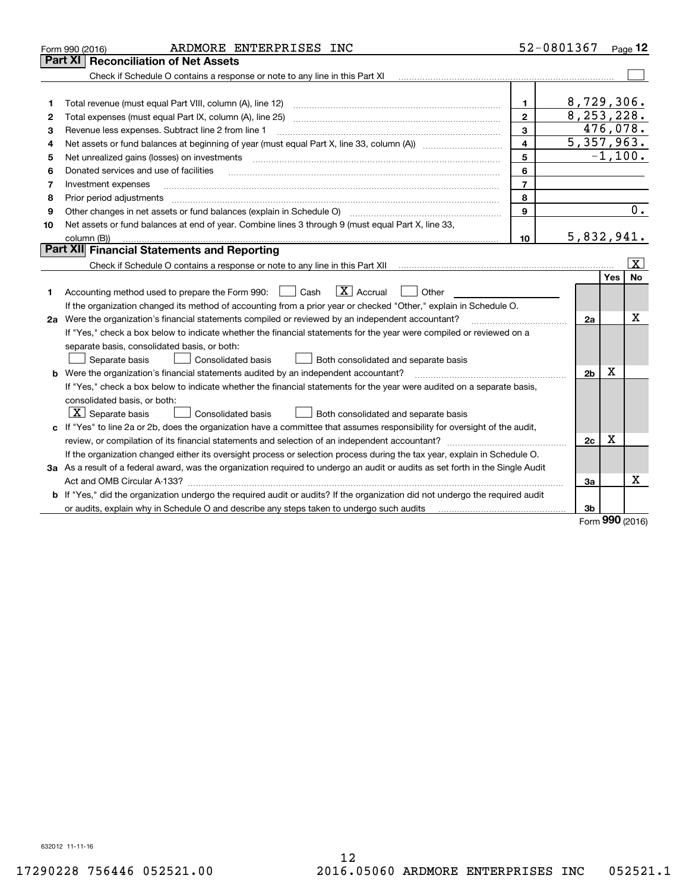| Part XI<br><b>Reconciliation of Net Assets</b><br>Check if Schedule O contains a response or note to any line in this Part XI<br>8,729,306.<br>1.<br>1<br>8,253,228.<br>$\mathbf{2}$<br>Total expenses (must equal Part IX, column (A), line 25)<br>2<br>476,078.<br>3<br>Revenue less expenses. Subtract line 2 from line 1<br>3<br>5,357,963.<br>$\overline{\mathbf{4}}$<br>4<br>$-1,100.$<br>5<br>Net unrealized gains (losses) on investments<br>5<br>6<br>Donated services and use of facilities<br>6<br>$\overline{7}$<br>Investment expenses<br>7<br>8<br>8<br>Prior period adjustments<br>$\overline{0}$ .<br>9<br>Other changes in net assets or fund balances (explain in Schedule O)<br>9<br>Net assets or fund balances at end of year. Combine lines 3 through 9 (must equal Part X, line 33,<br>10<br>5,832,941.<br>column (B))<br>10<br>Part XII Financial Statements and Reporting<br>$\vert X \vert$<br>Yes<br><b>No</b><br>$\boxed{\text{X}}$ Accrual<br>Accounting method used to prepare the Form 990: [16] Cash<br>Other<br>1<br>If the organization changed its method of accounting from a prior year or checked "Other," explain in Schedule O.<br>х<br>2a Were the organization's financial statements compiled or reviewed by an independent accountant?<br>2a<br>If "Yes," check a box below to indicate whether the financial statements for the year were compiled or reviewed on a<br>separate basis, consolidated basis, or both:<br>Separate basis<br><b>Consolidated basis</b><br>Both consolidated and separate basis<br>х<br><b>b</b> Were the organization's financial statements audited by an independent accountant?<br>2b<br>If "Yes," check a box below to indicate whether the financial statements for the year were audited on a separate basis,<br>consolidated basis, or both:<br>$ \mathbf{X} $ Separate basis<br>Consolidated basis<br>Both consolidated and separate basis<br>c If "Yes" to line 2a or 2b, does the organization have a committee that assumes responsibility for oversight of the audit,<br>х<br>2c<br>If the organization changed either its oversight process or selection process during the tax year, explain in Schedule O.<br>3a As a result of a federal award, was the organization required to undergo an audit or audits as set forth in the Single Audit<br>Χ<br>Act and OMB Circular A-133?<br>За<br>b If "Yes," did the organization undergo the required audit or audits? If the organization did not undergo the required audit<br>or audits, explain why in Schedule O and describe any steps taken to undergo such audits<br>3b<br><b>nnn</b> | ARDMORE ENTERPRISES INC<br>Form 990 (2016) | 52-0801367 | Page 12 |
|----------------------------------------------------------------------------------------------------------------------------------------------------------------------------------------------------------------------------------------------------------------------------------------------------------------------------------------------------------------------------------------------------------------------------------------------------------------------------------------------------------------------------------------------------------------------------------------------------------------------------------------------------------------------------------------------------------------------------------------------------------------------------------------------------------------------------------------------------------------------------------------------------------------------------------------------------------------------------------------------------------------------------------------------------------------------------------------------------------------------------------------------------------------------------------------------------------------------------------------------------------------------------------------------------------------------------------------------------------------------------------------------------------------------------------------------------------------------------------------------------------------------------------------------------------------------------------------------------------------------------------------------------------------------------------------------------------------------------------------------------------------------------------------------------------------------------------------------------------------------------------------------------------------------------------------------------------------------------------------------------------------------------------------------------------------------------------------------------------------------------------------------------------------------------------------------------------------------------------------------------------------------------------------------------------------------------------------------------------------------------------------------------------------------------------------------------------------------------------------------------------------------------------------------------------------------------------------------------------------------------------|--------------------------------------------|------------|---------|
|                                                                                                                                                                                                                                                                                                                                                                                                                                                                                                                                                                                                                                                                                                                                                                                                                                                                                                                                                                                                                                                                                                                                                                                                                                                                                                                                                                                                                                                                                                                                                                                                                                                                                                                                                                                                                                                                                                                                                                                                                                                                                                                                                                                                                                                                                                                                                                                                                                                                                                                                                                                                                                  |                                            |            |         |
|                                                                                                                                                                                                                                                                                                                                                                                                                                                                                                                                                                                                                                                                                                                                                                                                                                                                                                                                                                                                                                                                                                                                                                                                                                                                                                                                                                                                                                                                                                                                                                                                                                                                                                                                                                                                                                                                                                                                                                                                                                                                                                                                                                                                                                                                                                                                                                                                                                                                                                                                                                                                                                  |                                            |            |         |
|                                                                                                                                                                                                                                                                                                                                                                                                                                                                                                                                                                                                                                                                                                                                                                                                                                                                                                                                                                                                                                                                                                                                                                                                                                                                                                                                                                                                                                                                                                                                                                                                                                                                                                                                                                                                                                                                                                                                                                                                                                                                                                                                                                                                                                                                                                                                                                                                                                                                                                                                                                                                                                  |                                            |            |         |
|                                                                                                                                                                                                                                                                                                                                                                                                                                                                                                                                                                                                                                                                                                                                                                                                                                                                                                                                                                                                                                                                                                                                                                                                                                                                                                                                                                                                                                                                                                                                                                                                                                                                                                                                                                                                                                                                                                                                                                                                                                                                                                                                                                                                                                                                                                                                                                                                                                                                                                                                                                                                                                  |                                            |            |         |
|                                                                                                                                                                                                                                                                                                                                                                                                                                                                                                                                                                                                                                                                                                                                                                                                                                                                                                                                                                                                                                                                                                                                                                                                                                                                                                                                                                                                                                                                                                                                                                                                                                                                                                                                                                                                                                                                                                                                                                                                                                                                                                                                                                                                                                                                                                                                                                                                                                                                                                                                                                                                                                  |                                            |            |         |
|                                                                                                                                                                                                                                                                                                                                                                                                                                                                                                                                                                                                                                                                                                                                                                                                                                                                                                                                                                                                                                                                                                                                                                                                                                                                                                                                                                                                                                                                                                                                                                                                                                                                                                                                                                                                                                                                                                                                                                                                                                                                                                                                                                                                                                                                                                                                                                                                                                                                                                                                                                                                                                  |                                            |            |         |
|                                                                                                                                                                                                                                                                                                                                                                                                                                                                                                                                                                                                                                                                                                                                                                                                                                                                                                                                                                                                                                                                                                                                                                                                                                                                                                                                                                                                                                                                                                                                                                                                                                                                                                                                                                                                                                                                                                                                                                                                                                                                                                                                                                                                                                                                                                                                                                                                                                                                                                                                                                                                                                  |                                            |            |         |
|                                                                                                                                                                                                                                                                                                                                                                                                                                                                                                                                                                                                                                                                                                                                                                                                                                                                                                                                                                                                                                                                                                                                                                                                                                                                                                                                                                                                                                                                                                                                                                                                                                                                                                                                                                                                                                                                                                                                                                                                                                                                                                                                                                                                                                                                                                                                                                                                                                                                                                                                                                                                                                  |                                            |            |         |
|                                                                                                                                                                                                                                                                                                                                                                                                                                                                                                                                                                                                                                                                                                                                                                                                                                                                                                                                                                                                                                                                                                                                                                                                                                                                                                                                                                                                                                                                                                                                                                                                                                                                                                                                                                                                                                                                                                                                                                                                                                                                                                                                                                                                                                                                                                                                                                                                                                                                                                                                                                                                                                  |                                            |            |         |
|                                                                                                                                                                                                                                                                                                                                                                                                                                                                                                                                                                                                                                                                                                                                                                                                                                                                                                                                                                                                                                                                                                                                                                                                                                                                                                                                                                                                                                                                                                                                                                                                                                                                                                                                                                                                                                                                                                                                                                                                                                                                                                                                                                                                                                                                                                                                                                                                                                                                                                                                                                                                                                  |                                            |            |         |
|                                                                                                                                                                                                                                                                                                                                                                                                                                                                                                                                                                                                                                                                                                                                                                                                                                                                                                                                                                                                                                                                                                                                                                                                                                                                                                                                                                                                                                                                                                                                                                                                                                                                                                                                                                                                                                                                                                                                                                                                                                                                                                                                                                                                                                                                                                                                                                                                                                                                                                                                                                                                                                  |                                            |            |         |
|                                                                                                                                                                                                                                                                                                                                                                                                                                                                                                                                                                                                                                                                                                                                                                                                                                                                                                                                                                                                                                                                                                                                                                                                                                                                                                                                                                                                                                                                                                                                                                                                                                                                                                                                                                                                                                                                                                                                                                                                                                                                                                                                                                                                                                                                                                                                                                                                                                                                                                                                                                                                                                  |                                            |            |         |
|                                                                                                                                                                                                                                                                                                                                                                                                                                                                                                                                                                                                                                                                                                                                                                                                                                                                                                                                                                                                                                                                                                                                                                                                                                                                                                                                                                                                                                                                                                                                                                                                                                                                                                                                                                                                                                                                                                                                                                                                                                                                                                                                                                                                                                                                                                                                                                                                                                                                                                                                                                                                                                  |                                            |            |         |
|                                                                                                                                                                                                                                                                                                                                                                                                                                                                                                                                                                                                                                                                                                                                                                                                                                                                                                                                                                                                                                                                                                                                                                                                                                                                                                                                                                                                                                                                                                                                                                                                                                                                                                                                                                                                                                                                                                                                                                                                                                                                                                                                                                                                                                                                                                                                                                                                                                                                                                                                                                                                                                  |                                            |            |         |
|                                                                                                                                                                                                                                                                                                                                                                                                                                                                                                                                                                                                                                                                                                                                                                                                                                                                                                                                                                                                                                                                                                                                                                                                                                                                                                                                                                                                                                                                                                                                                                                                                                                                                                                                                                                                                                                                                                                                                                                                                                                                                                                                                                                                                                                                                                                                                                                                                                                                                                                                                                                                                                  |                                            |            |         |
|                                                                                                                                                                                                                                                                                                                                                                                                                                                                                                                                                                                                                                                                                                                                                                                                                                                                                                                                                                                                                                                                                                                                                                                                                                                                                                                                                                                                                                                                                                                                                                                                                                                                                                                                                                                                                                                                                                                                                                                                                                                                                                                                                                                                                                                                                                                                                                                                                                                                                                                                                                                                                                  |                                            |            |         |
|                                                                                                                                                                                                                                                                                                                                                                                                                                                                                                                                                                                                                                                                                                                                                                                                                                                                                                                                                                                                                                                                                                                                                                                                                                                                                                                                                                                                                                                                                                                                                                                                                                                                                                                                                                                                                                                                                                                                                                                                                                                                                                                                                                                                                                                                                                                                                                                                                                                                                                                                                                                                                                  |                                            |            |         |
|                                                                                                                                                                                                                                                                                                                                                                                                                                                                                                                                                                                                                                                                                                                                                                                                                                                                                                                                                                                                                                                                                                                                                                                                                                                                                                                                                                                                                                                                                                                                                                                                                                                                                                                                                                                                                                                                                                                                                                                                                                                                                                                                                                                                                                                                                                                                                                                                                                                                                                                                                                                                                                  |                                            |            |         |
|                                                                                                                                                                                                                                                                                                                                                                                                                                                                                                                                                                                                                                                                                                                                                                                                                                                                                                                                                                                                                                                                                                                                                                                                                                                                                                                                                                                                                                                                                                                                                                                                                                                                                                                                                                                                                                                                                                                                                                                                                                                                                                                                                                                                                                                                                                                                                                                                                                                                                                                                                                                                                                  |                                            |            |         |
|                                                                                                                                                                                                                                                                                                                                                                                                                                                                                                                                                                                                                                                                                                                                                                                                                                                                                                                                                                                                                                                                                                                                                                                                                                                                                                                                                                                                                                                                                                                                                                                                                                                                                                                                                                                                                                                                                                                                                                                                                                                                                                                                                                                                                                                                                                                                                                                                                                                                                                                                                                                                                                  |                                            |            |         |
|                                                                                                                                                                                                                                                                                                                                                                                                                                                                                                                                                                                                                                                                                                                                                                                                                                                                                                                                                                                                                                                                                                                                                                                                                                                                                                                                                                                                                                                                                                                                                                                                                                                                                                                                                                                                                                                                                                                                                                                                                                                                                                                                                                                                                                                                                                                                                                                                                                                                                                                                                                                                                                  |                                            |            |         |
|                                                                                                                                                                                                                                                                                                                                                                                                                                                                                                                                                                                                                                                                                                                                                                                                                                                                                                                                                                                                                                                                                                                                                                                                                                                                                                                                                                                                                                                                                                                                                                                                                                                                                                                                                                                                                                                                                                                                                                                                                                                                                                                                                                                                                                                                                                                                                                                                                                                                                                                                                                                                                                  |                                            |            |         |
|                                                                                                                                                                                                                                                                                                                                                                                                                                                                                                                                                                                                                                                                                                                                                                                                                                                                                                                                                                                                                                                                                                                                                                                                                                                                                                                                                                                                                                                                                                                                                                                                                                                                                                                                                                                                                                                                                                                                                                                                                                                                                                                                                                                                                                                                                                                                                                                                                                                                                                                                                                                                                                  |                                            |            |         |
|                                                                                                                                                                                                                                                                                                                                                                                                                                                                                                                                                                                                                                                                                                                                                                                                                                                                                                                                                                                                                                                                                                                                                                                                                                                                                                                                                                                                                                                                                                                                                                                                                                                                                                                                                                                                                                                                                                                                                                                                                                                                                                                                                                                                                                                                                                                                                                                                                                                                                                                                                                                                                                  |                                            |            |         |
|                                                                                                                                                                                                                                                                                                                                                                                                                                                                                                                                                                                                                                                                                                                                                                                                                                                                                                                                                                                                                                                                                                                                                                                                                                                                                                                                                                                                                                                                                                                                                                                                                                                                                                                                                                                                                                                                                                                                                                                                                                                                                                                                                                                                                                                                                                                                                                                                                                                                                                                                                                                                                                  |                                            |            |         |
|                                                                                                                                                                                                                                                                                                                                                                                                                                                                                                                                                                                                                                                                                                                                                                                                                                                                                                                                                                                                                                                                                                                                                                                                                                                                                                                                                                                                                                                                                                                                                                                                                                                                                                                                                                                                                                                                                                                                                                                                                                                                                                                                                                                                                                                                                                                                                                                                                                                                                                                                                                                                                                  |                                            |            |         |
|                                                                                                                                                                                                                                                                                                                                                                                                                                                                                                                                                                                                                                                                                                                                                                                                                                                                                                                                                                                                                                                                                                                                                                                                                                                                                                                                                                                                                                                                                                                                                                                                                                                                                                                                                                                                                                                                                                                                                                                                                                                                                                                                                                                                                                                                                                                                                                                                                                                                                                                                                                                                                                  |                                            |            |         |
|                                                                                                                                                                                                                                                                                                                                                                                                                                                                                                                                                                                                                                                                                                                                                                                                                                                                                                                                                                                                                                                                                                                                                                                                                                                                                                                                                                                                                                                                                                                                                                                                                                                                                                                                                                                                                                                                                                                                                                                                                                                                                                                                                                                                                                                                                                                                                                                                                                                                                                                                                                                                                                  |                                            |            |         |
|                                                                                                                                                                                                                                                                                                                                                                                                                                                                                                                                                                                                                                                                                                                                                                                                                                                                                                                                                                                                                                                                                                                                                                                                                                                                                                                                                                                                                                                                                                                                                                                                                                                                                                                                                                                                                                                                                                                                                                                                                                                                                                                                                                                                                                                                                                                                                                                                                                                                                                                                                                                                                                  |                                            |            |         |
|                                                                                                                                                                                                                                                                                                                                                                                                                                                                                                                                                                                                                                                                                                                                                                                                                                                                                                                                                                                                                                                                                                                                                                                                                                                                                                                                                                                                                                                                                                                                                                                                                                                                                                                                                                                                                                                                                                                                                                                                                                                                                                                                                                                                                                                                                                                                                                                                                                                                                                                                                                                                                                  |                                            |            |         |
|                                                                                                                                                                                                                                                                                                                                                                                                                                                                                                                                                                                                                                                                                                                                                                                                                                                                                                                                                                                                                                                                                                                                                                                                                                                                                                                                                                                                                                                                                                                                                                                                                                                                                                                                                                                                                                                                                                                                                                                                                                                                                                                                                                                                                                                                                                                                                                                                                                                                                                                                                                                                                                  |                                            |            |         |
|                                                                                                                                                                                                                                                                                                                                                                                                                                                                                                                                                                                                                                                                                                                                                                                                                                                                                                                                                                                                                                                                                                                                                                                                                                                                                                                                                                                                                                                                                                                                                                                                                                                                                                                                                                                                                                                                                                                                                                                                                                                                                                                                                                                                                                                                                                                                                                                                                                                                                                                                                                                                                                  |                                            |            |         |
|                                                                                                                                                                                                                                                                                                                                                                                                                                                                                                                                                                                                                                                                                                                                                                                                                                                                                                                                                                                                                                                                                                                                                                                                                                                                                                                                                                                                                                                                                                                                                                                                                                                                                                                                                                                                                                                                                                                                                                                                                                                                                                                                                                                                                                                                                                                                                                                                                                                                                                                                                                                                                                  |                                            |            |         |
|                                                                                                                                                                                                                                                                                                                                                                                                                                                                                                                                                                                                                                                                                                                                                                                                                                                                                                                                                                                                                                                                                                                                                                                                                                                                                                                                                                                                                                                                                                                                                                                                                                                                                                                                                                                                                                                                                                                                                                                                                                                                                                                                                                                                                                                                                                                                                                                                                                                                                                                                                                                                                                  |                                            |            |         |

Form (2016) **990**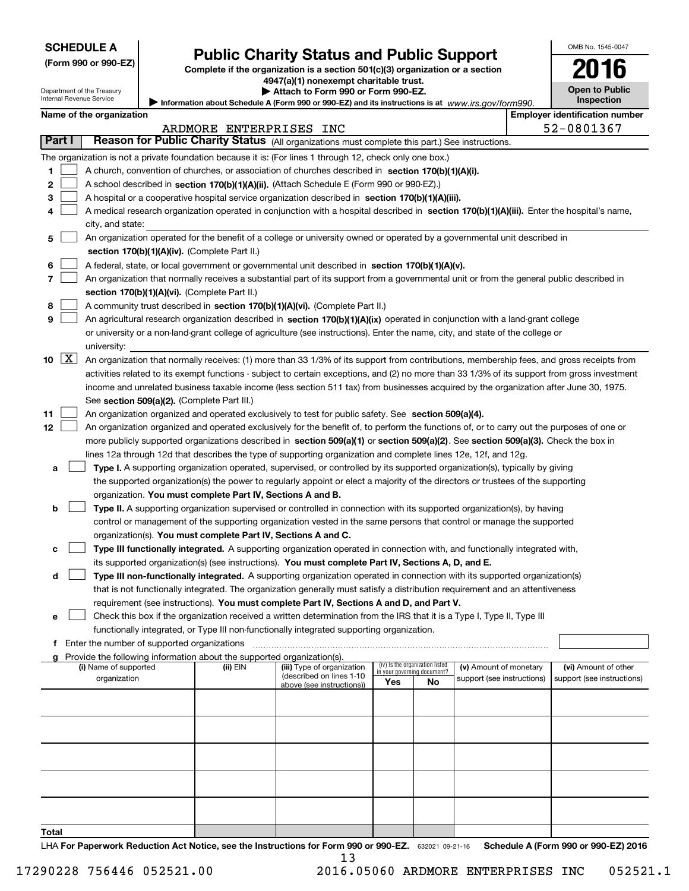| <b>SCHEDULE A</b> |  |
|-------------------|--|
|-------------------|--|

Department of the Treasury Internal Revenue Service

| (Form 990 or 990-EZ) |  |  |  |  |
|----------------------|--|--|--|--|
|----------------------|--|--|--|--|

# **Public Charity Status and Public Support**

**Complete if the organization is a section 501(c)(3) organization or a section 4947(a)(1) nonexempt charitable trust.**

**| Attach to Form 990 or Form 990-EZ.** 

Information about Schedule A (Form 990 or 990-EZ) and its instructions is at *www.irs.gov/form990.* 

| OMB No. 1545-0047                   |
|-------------------------------------|
| $\mathbf{1}$                        |
| <b>Open to Public</b><br>Inspection |

|       | <b>Employer identification number</b><br>Name of the organization |                                                                                                                                                                                             |                         |                                                       |     |                                                                |                            |                            |
|-------|-------------------------------------------------------------------|---------------------------------------------------------------------------------------------------------------------------------------------------------------------------------------------|-------------------------|-------------------------------------------------------|-----|----------------------------------------------------------------|----------------------------|----------------------------|
|       |                                                                   |                                                                                                                                                                                             | ARDMORE ENTERPRISES INC |                                                       |     |                                                                |                            | 52-0801367                 |
|       | Part I                                                            | Reason for Public Charity Status (All organizations must complete this part.) See instructions.                                                                                             |                         |                                                       |     |                                                                |                            |                            |
|       |                                                                   | The organization is not a private foundation because it is: (For lines 1 through 12, check only one box.)                                                                                   |                         |                                                       |     |                                                                |                            |                            |
| 1     |                                                                   | A church, convention of churches, or association of churches described in section 170(b)(1)(A)(i).                                                                                          |                         |                                                       |     |                                                                |                            |                            |
| 2     |                                                                   | A school described in section 170(b)(1)(A)(ii). (Attach Schedule E (Form 990 or 990-EZ).)                                                                                                   |                         |                                                       |     |                                                                |                            |                            |
| 3     |                                                                   | A hospital or a cooperative hospital service organization described in section 170(b)(1)(A)(iii).                                                                                           |                         |                                                       |     |                                                                |                            |                            |
| 4     |                                                                   | A medical research organization operated in conjunction with a hospital described in section 170(b)(1)(A)(iii). Enter the hospital's name,                                                  |                         |                                                       |     |                                                                |                            |                            |
|       |                                                                   | city, and state:                                                                                                                                                                            |                         |                                                       |     |                                                                |                            |                            |
| 5     |                                                                   | An organization operated for the benefit of a college or university owned or operated by a governmental unit described in                                                                   |                         |                                                       |     |                                                                |                            |                            |
|       |                                                                   | section 170(b)(1)(A)(iv). (Complete Part II.)                                                                                                                                               |                         |                                                       |     |                                                                |                            |                            |
| 6     |                                                                   | A federal, state, or local government or governmental unit described in section 170(b)(1)(A)(v).                                                                                            |                         |                                                       |     |                                                                |                            |                            |
| 7     |                                                                   | An organization that normally receives a substantial part of its support from a governmental unit or from the general public described in                                                   |                         |                                                       |     |                                                                |                            |                            |
|       |                                                                   | section 170(b)(1)(A)(vi). (Complete Part II.)                                                                                                                                               |                         |                                                       |     |                                                                |                            |                            |
| 8     |                                                                   | A community trust described in section 170(b)(1)(A)(vi). (Complete Part II.)                                                                                                                |                         |                                                       |     |                                                                |                            |                            |
| 9     |                                                                   | An agricultural research organization described in section 170(b)(1)(A)(ix) operated in conjunction with a land-grant college                                                               |                         |                                                       |     |                                                                |                            |                            |
|       |                                                                   | or university or a non-land-grant college of agriculture (see instructions). Enter the name, city, and state of the college or                                                              |                         |                                                       |     |                                                                |                            |                            |
|       |                                                                   | university:                                                                                                                                                                                 |                         |                                                       |     |                                                                |                            |                            |
|       | 10 $X$                                                            | An organization that normally receives: (1) more than 33 1/3% of its support from contributions, membership fees, and gross receipts from                                                   |                         |                                                       |     |                                                                |                            |                            |
|       |                                                                   | activities related to its exempt functions - subject to certain exceptions, and (2) no more than 33 1/3% of its support from gross investment                                               |                         |                                                       |     |                                                                |                            |                            |
|       |                                                                   | income and unrelated business taxable income (less section 511 tax) from businesses acquired by the organization after June 30, 1975.                                                       |                         |                                                       |     |                                                                |                            |                            |
|       |                                                                   | See section 509(a)(2). (Complete Part III.)                                                                                                                                                 |                         |                                                       |     |                                                                |                            |                            |
| 11    |                                                                   | An organization organized and operated exclusively to test for public safety. See section 509(a)(4).                                                                                        |                         |                                                       |     |                                                                |                            |                            |
| 12    |                                                                   | An organization organized and operated exclusively for the benefit of, to perform the functions of, or to carry out the purposes of one or                                                  |                         |                                                       |     |                                                                |                            |                            |
|       |                                                                   | more publicly supported organizations described in section 509(a)(1) or section 509(a)(2). See section 509(a)(3). Check the box in                                                          |                         |                                                       |     |                                                                |                            |                            |
|       |                                                                   | lines 12a through 12d that describes the type of supporting organization and complete lines 12e, 12f, and 12g.                                                                              |                         |                                                       |     |                                                                |                            |                            |
| a     |                                                                   | Type I. A supporting organization operated, supervised, or controlled by its supported organization(s), typically by giving                                                                 |                         |                                                       |     |                                                                |                            |                            |
|       |                                                                   | the supported organization(s) the power to regularly appoint or elect a majority of the directors or trustees of the supporting                                                             |                         |                                                       |     |                                                                |                            |                            |
|       |                                                                   | organization. You must complete Part IV, Sections A and B.                                                                                                                                  |                         |                                                       |     |                                                                |                            |                            |
| b     |                                                                   | Type II. A supporting organization supervised or controlled in connection with its supported organization(s), by having                                                                     |                         |                                                       |     |                                                                |                            |                            |
|       |                                                                   | control or management of the supporting organization vested in the same persons that control or manage the supported                                                                        |                         |                                                       |     |                                                                |                            |                            |
|       |                                                                   | organization(s). You must complete Part IV, Sections A and C.<br>Type III functionally integrated. A supporting organization operated in connection with, and functionally integrated with, |                         |                                                       |     |                                                                |                            |                            |
| с     |                                                                   | its supported organization(s) (see instructions). You must complete Part IV, Sections A, D, and E.                                                                                          |                         |                                                       |     |                                                                |                            |                            |
| d     |                                                                   | Type III non-functionally integrated. A supporting organization operated in connection with its supported organization(s)                                                                   |                         |                                                       |     |                                                                |                            |                            |
|       |                                                                   | that is not functionally integrated. The organization generally must satisfy a distribution requirement and an attentiveness                                                                |                         |                                                       |     |                                                                |                            |                            |
|       |                                                                   | requirement (see instructions). You must complete Part IV, Sections A and D, and Part V.                                                                                                    |                         |                                                       |     |                                                                |                            |                            |
| е     |                                                                   | Check this box if the organization received a written determination from the IRS that it is a Type I, Type II, Type III                                                                     |                         |                                                       |     |                                                                |                            |                            |
|       |                                                                   | functionally integrated, or Type III non-functionally integrated supporting organization.                                                                                                   |                         |                                                       |     |                                                                |                            |                            |
|       |                                                                   | f Enter the number of supported organizations                                                                                                                                               |                         |                                                       |     |                                                                |                            |                            |
|       |                                                                   | Provide the following information about the supported organization(s).                                                                                                                      |                         |                                                       |     |                                                                |                            |                            |
|       |                                                                   | (i) Name of supported                                                                                                                                                                       | (ii) EIN                | (iii) Type of organization                            |     | (iv) Is the organization listed<br>in your governing document? | (v) Amount of monetary     | (vi) Amount of other       |
|       |                                                                   | organization                                                                                                                                                                                |                         | (described on lines 1-10<br>above (see instructions)) | Yes | No                                                             | support (see instructions) | support (see instructions) |
|       |                                                                   |                                                                                                                                                                                             |                         |                                                       |     |                                                                |                            |                            |
|       |                                                                   |                                                                                                                                                                                             |                         |                                                       |     |                                                                |                            |                            |
|       |                                                                   |                                                                                                                                                                                             |                         |                                                       |     |                                                                |                            |                            |
|       |                                                                   |                                                                                                                                                                                             |                         |                                                       |     |                                                                |                            |                            |
|       |                                                                   |                                                                                                                                                                                             |                         |                                                       |     |                                                                |                            |                            |
|       |                                                                   |                                                                                                                                                                                             |                         |                                                       |     |                                                                |                            |                            |
|       |                                                                   |                                                                                                                                                                                             |                         |                                                       |     |                                                                |                            |                            |
|       |                                                                   |                                                                                                                                                                                             |                         |                                                       |     |                                                                |                            |                            |
|       |                                                                   |                                                                                                                                                                                             |                         |                                                       |     |                                                                |                            |                            |
| Total |                                                                   |                                                                                                                                                                                             |                         |                                                       |     |                                                                |                            |                            |
|       |                                                                   |                                                                                                                                                                                             |                         |                                                       |     |                                                                |                            |                            |

LHA For Paperwork Reduction Act Notice, see the Instructions for Form 990 or 990-EZ. 632021 09-21-16 Schedule A (Form 990 or 990-EZ) 2016 13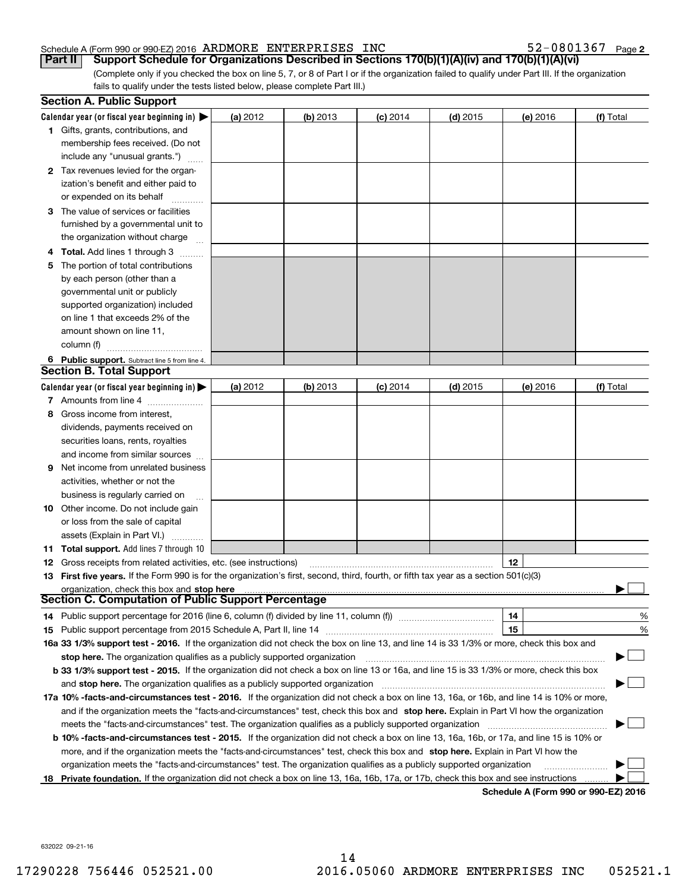#### Schedule A (Form 990 or 990-EZ) 2016 Page ARDMORE ENTERPRISES INC 52-0801367

**2**

(Complete only if you checked the box on line 5, 7, or 8 of Part I or if the organization failed to qualify under Part III. If the organization fails to qualify under the tests listed below, please complete Part III.) **Part II Support Schedule for Organizations Described in Sections 170(b)(1)(A)(iv) and 170(b)(1)(A)(vi)**

|    | <b>Section A. Public Support</b>                                                                                                           |            |            |            |            |          |                                      |
|----|--------------------------------------------------------------------------------------------------------------------------------------------|------------|------------|------------|------------|----------|--------------------------------------|
|    | Calendar year (or fiscal year beginning in) $\blacktriangleright$                                                                          | (a) 2012   | $(b)$ 2013 | $(c)$ 2014 | $(d)$ 2015 | (e) 2016 | (f) Total                            |
|    | <b>1</b> Gifts, grants, contributions, and                                                                                                 |            |            |            |            |          |                                      |
|    | membership fees received. (Do not                                                                                                          |            |            |            |            |          |                                      |
|    | include any "unusual grants.")                                                                                                             |            |            |            |            |          |                                      |
|    | 2 Tax revenues levied for the organ-                                                                                                       |            |            |            |            |          |                                      |
|    | ization's benefit and either paid to                                                                                                       |            |            |            |            |          |                                      |
|    | or expended on its behalf                                                                                                                  |            |            |            |            |          |                                      |
|    | 3 The value of services or facilities                                                                                                      |            |            |            |            |          |                                      |
|    | furnished by a governmental unit to                                                                                                        |            |            |            |            |          |                                      |
|    | the organization without charge                                                                                                            |            |            |            |            |          |                                      |
|    | 4 Total. Add lines 1 through 3                                                                                                             |            |            |            |            |          |                                      |
| 5. | The portion of total contributions                                                                                                         |            |            |            |            |          |                                      |
|    | by each person (other than a                                                                                                               |            |            |            |            |          |                                      |
|    | governmental unit or publicly                                                                                                              |            |            |            |            |          |                                      |
|    | supported organization) included                                                                                                           |            |            |            |            |          |                                      |
|    | on line 1 that exceeds 2% of the                                                                                                           |            |            |            |            |          |                                      |
|    | amount shown on line 11,                                                                                                                   |            |            |            |            |          |                                      |
|    | column (f)                                                                                                                                 |            |            |            |            |          |                                      |
|    | 6 Public support. Subtract line 5 from line 4.                                                                                             |            |            |            |            |          |                                      |
|    | <b>Section B. Total Support</b>                                                                                                            |            |            |            |            |          |                                      |
|    | Calendar year (or fiscal year beginning in) $\blacktriangleright$                                                                          | (a) $2012$ | $(b)$ 2013 | $(c)$ 2014 | $(d)$ 2015 | (e) 2016 | (f) Total                            |
|    | 7 Amounts from line 4                                                                                                                      |            |            |            |            |          |                                      |
|    | 8 Gross income from interest,                                                                                                              |            |            |            |            |          |                                      |
|    | dividends, payments received on                                                                                                            |            |            |            |            |          |                                      |
|    | securities loans, rents, royalties                                                                                                         |            |            |            |            |          |                                      |
|    | and income from similar sources                                                                                                            |            |            |            |            |          |                                      |
|    | <b>9</b> Net income from unrelated business                                                                                                |            |            |            |            |          |                                      |
|    | activities, whether or not the                                                                                                             |            |            |            |            |          |                                      |
|    | business is regularly carried on                                                                                                           |            |            |            |            |          |                                      |
|    | <b>10</b> Other income. Do not include gain                                                                                                |            |            |            |            |          |                                      |
|    | or loss from the sale of capital                                                                                                           |            |            |            |            |          |                                      |
|    | assets (Explain in Part VI.)                                                                                                               |            |            |            |            |          |                                      |
|    | <b>11 Total support.</b> Add lines 7 through 10                                                                                            |            |            |            |            |          |                                      |
|    | <b>12</b> Gross receipts from related activities, etc. (see instructions)                                                                  |            |            |            |            | 12       |                                      |
|    | 13 First five years. If the Form 990 is for the organization's first, second, third, fourth, or fifth tax year as a section 501(c)(3)      |            |            |            |            |          |                                      |
|    | organization, check this box and stop here<br>Section C. Computation of Public Support Percentage                                          |            |            |            |            |          |                                      |
|    |                                                                                                                                            |            |            |            |            |          |                                      |
|    |                                                                                                                                            |            |            |            |            | 14       | %                                    |
|    |                                                                                                                                            |            |            |            |            | 15       | %                                    |
|    | 16a 33 1/3% support test - 2016. If the organization did not check the box on line 13, and line 14 is 33 1/3% or more, check this box and  |            |            |            |            |          |                                      |
|    | stop here. The organization qualifies as a publicly supported organization                                                                 |            |            |            |            |          |                                      |
|    | b 33 1/3% support test - 2015. If the organization did not check a box on line 13 or 16a, and line 15 is 33 1/3% or more, check this box   |            |            |            |            |          |                                      |
|    | and stop here. The organization qualifies as a publicly supported organization                                                             |            |            |            |            |          |                                      |
|    | 17a 10% -facts-and-circumstances test - 2016. If the organization did not check a box on line 13, 16a, or 16b, and line 14 is 10% or more, |            |            |            |            |          |                                      |
|    | and if the organization meets the "facts-and-circumstances" test, check this box and stop here. Explain in Part VI how the organization    |            |            |            |            |          |                                      |
|    | meets the "facts-and-circumstances" test. The organization qualifies as a publicly supported organization <i>marroummumumum</i>            |            |            |            |            |          |                                      |
|    | b 10% -facts-and-circumstances test - 2015. If the organization did not check a box on line 13, 16a, 16b, or 17a, and line 15 is 10% or    |            |            |            |            |          |                                      |
|    | more, and if the organization meets the "facts-and-circumstances" test, check this box and stop here. Explain in Part VI how the           |            |            |            |            |          |                                      |
|    | organization meets the "facts-and-circumstances" test. The organization qualifies as a publicly supported organization                     |            |            |            |            |          |                                      |
| 18 | Private foundation. If the organization did not check a box on line 13, 16a, 16b, 17a, or 17b, check this box and see instructions         |            |            |            |            |          | Schedule A (Form 990 or 990-F7) 2016 |

**Schedule A (Form 990 or 990-EZ) 2016**

632022 09-21-16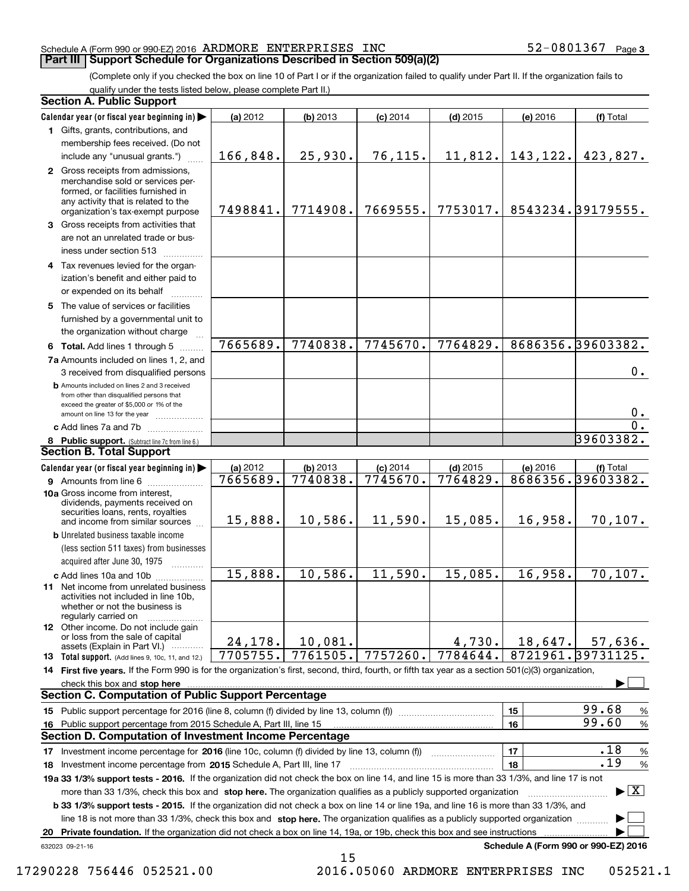### Schedule A (Form 990 or 990-EZ) 2016 Page ARDMORE ENTERPRISES INC 52-0801367

(Complete only if you checked the box on line 10 of Part I or if the organization failed to qualify under Part II. If the organization fails to qualify under the tests listed below, please complete Part II.)

|    | <b>Section A. Public Support</b>                                                                                                                                                                                               |          |            |            |            |          |                                          |
|----|--------------------------------------------------------------------------------------------------------------------------------------------------------------------------------------------------------------------------------|----------|------------|------------|------------|----------|------------------------------------------|
|    | Calendar year (or fiscal year beginning in)                                                                                                                                                                                    | (a) 2012 | (b) 2013   | $(c)$ 2014 | $(d)$ 2015 | (e) 2016 | (f) Total                                |
|    | 1 Gifts, grants, contributions, and                                                                                                                                                                                            |          |            |            |            |          |                                          |
|    | membership fees received. (Do not                                                                                                                                                                                              |          |            |            |            |          |                                          |
|    | include any "unusual grants.")                                                                                                                                                                                                 | 166,848. | 25,930.    | 76, 115.   | 11,812.    | 143,122. | 423,827.                                 |
|    | 2 Gross receipts from admissions,<br>merchandise sold or services per-<br>formed, or facilities furnished in<br>any activity that is related to the<br>organization's tax-exempt purpose                                       | 7498841. | 7714908.   | 7669555.   | 7753017.   |          | 8543234.39179555.                        |
|    | 3 Gross receipts from activities that<br>are not an unrelated trade or bus-                                                                                                                                                    |          |            |            |            |          |                                          |
|    | iness under section 513                                                                                                                                                                                                        |          |            |            |            |          |                                          |
|    | 4 Tax revenues levied for the organ-<br>ization's benefit and either paid to                                                                                                                                                   |          |            |            |            |          |                                          |
|    | or expended on its behalf<br>5 The value of services or facilities<br>furnished by a governmental unit to                                                                                                                      |          |            |            |            |          |                                          |
|    | the organization without charge                                                                                                                                                                                                |          |            |            |            |          |                                          |
|    | 6 Total. Add lines 1 through 5                                                                                                                                                                                                 | 7665689. | 7740838.   | 7745670.   | 7764829.   |          | 8686356.39603382.                        |
|    | 7a Amounts included on lines 1, 2, and<br>3 received from disqualified persons                                                                                                                                                 |          |            |            |            |          | 0.                                       |
|    | <b>b</b> Amounts included on lines 2 and 3 received<br>from other than disqualified persons that<br>exceed the greater of \$5,000 or 1% of the<br>amount on line 13 for the year                                               |          |            |            |            |          | 0.                                       |
|    | c Add lines 7a and 7b                                                                                                                                                                                                          |          |            |            |            |          | 0.                                       |
|    | 8 Public support. (Subtract line 7c from line 6.)                                                                                                                                                                              |          |            |            |            |          | 39603382.                                |
|    | Section B. Total Support                                                                                                                                                                                                       |          |            |            |            |          |                                          |
|    | Calendar year (or fiscal year beginning in)                                                                                                                                                                                    | (a) 2012 | $(b)$ 2013 | $(c)$ 2014 | $(d)$ 2015 | (e) 2016 | (f) Total                                |
|    | <b>9</b> Amounts from line 6                                                                                                                                                                                                   | 7665689. | 7740838.   | 7745670.   | 7764829.   |          | 8686356.39603382.                        |
|    | 10a Gross income from interest,<br>dividends, payments received on<br>securities loans, rents, royalties<br>and income from similar sources                                                                                    | 15,888.  | 10,586.    | 11,590.    | 15,085.    | 16,958.  | 70, 107.                                 |
|    | <b>b</b> Unrelated business taxable income<br>(less section 511 taxes) from businesses<br>acquired after June 30, 1975                                                                                                         |          |            |            |            |          |                                          |
|    | c Add lines 10a and 10b                                                                                                                                                                                                        | 15,888.  | 10,586.    | 11,590.    | 15,085.    | 16,958.  | 70, 107.                                 |
|    | <b>11</b> Net income from unrelated business<br>activities not included in line 10b,<br>whether or not the business is<br>regularly carried on                                                                                 |          |            |            |            |          |                                          |
|    | <b>12</b> Other income. Do not include gain<br>or loss from the sale of capital<br>assets (Explain in Part VI.)                                                                                                                | 24,178.  | 10,081.    |            | 4,730.     | 18,647.  | 57,636.                                  |
|    | 13 Total support. (Add lines 9, 10c, 11, and 12.)                                                                                                                                                                              | 7705755. | 7761505.   | 7757260.   | 7784644.   |          | 8721961.39731125.                        |
|    | 14 First five years. If the Form 990 is for the organization's first, second, third, fourth, or fifth tax year as a section 501(c)(3) organization,                                                                            |          |            |            |            |          |                                          |
|    | check this box and stop here with an intermediate control to the control of the state of the state of the control of the state of the control of the control of the control of the control of the control of the control of th |          |            |            |            |          |                                          |
|    | <b>Section C. Computation of Public Support Percentage</b>                                                                                                                                                                     |          |            |            |            |          |                                          |
|    | 15 Public support percentage for 2016 (line 8, column (f) divided by line 13, column (f))                                                                                                                                      |          |            |            |            | 15       | 99.68<br>$\%$                            |
|    | 16 Public support percentage from 2015 Schedule A, Part III, line 15                                                                                                                                                           |          |            |            |            | 16       | 99.60<br>$\%$                            |
|    | Section D. Computation of Investment Income Percentage                                                                                                                                                                         |          |            |            |            |          |                                          |
|    | 17 Investment income percentage for 2016 (line 10c, column (f) divided by line 13, column (f)                                                                                                                                  |          |            |            |            | 17       | .18<br>%                                 |
|    | 18 Investment income percentage from 2015 Schedule A, Part III, line 17                                                                                                                                                        |          |            |            |            | 18       | .19<br>$\%$                              |
|    | 19a 33 1/3% support tests - 2016. If the organization did not check the box on line 14, and line 15 is more than 33 1/3%, and line 17 is not                                                                                   |          |            |            |            |          |                                          |
|    | more than 33 1/3%, check this box and stop here. The organization qualifies as a publicly supported organization                                                                                                               |          |            |            |            |          | $\blacktriangleright$ $\boxed{\text{X}}$ |
|    | b 33 1/3% support tests - 2015. If the organization did not check a box on line 14 or line 19a, and line 16 is more than 33 1/3%, and                                                                                          |          |            |            |            |          |                                          |
|    | line 18 is not more than 33 1/3%, check this box and stop here. The organization qualifies as a publicly supported organization                                                                                                |          |            |            |            |          |                                          |
| 20 | Private foundation. If the organization did not check a box on line 14, 19a, or 19b, check this box and see instructions                                                                                                       |          |            |            |            |          |                                          |
|    | 632023 09-21-16                                                                                                                                                                                                                |          | 15         |            |            |          | Schedule A (Form 990 or 990-EZ) 2016     |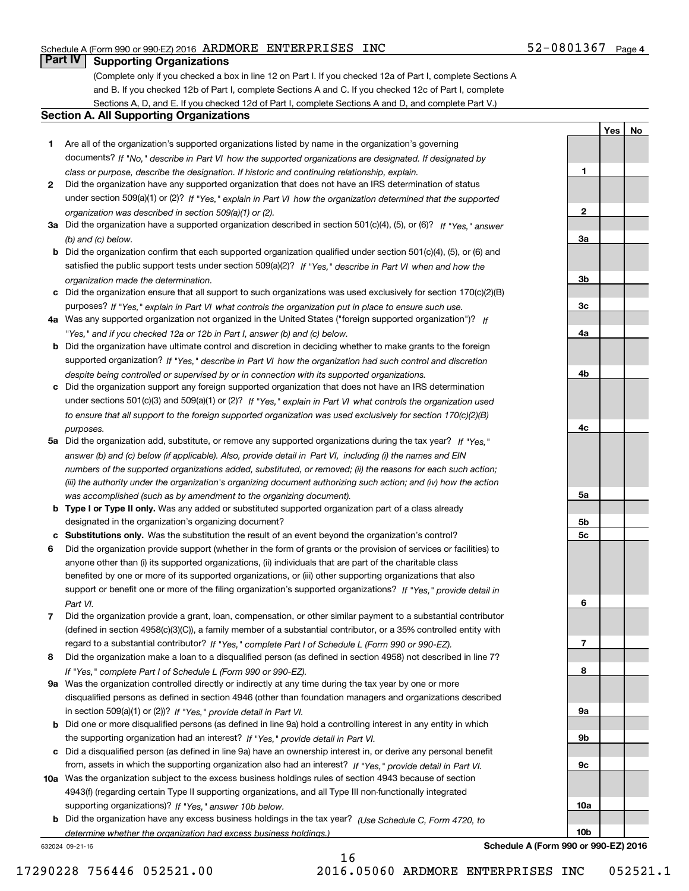### Schedule A (Form 990 or 990-EZ) 2016 Page ARDMORE ENTERPRISES INC 52-0801367

### 52-0801367 Page 4

**1**

**2**

**3a**

**3b**

**3c**

**4a**

**4b**

**4c**

**5a**

**5b5c**

**6**

**7**

**8**

**9a**

**9b**

**9c**

**10a**

**10b**

**YesNo**

### **Part IV Supporting Organizations**

(Complete only if you checked a box in line 12 on Part I. If you checked 12a of Part I, complete Sections A and B. If you checked 12b of Part I, complete Sections A and C. If you checked 12c of Part I, complete Sections A, D, and E. If you checked 12d of Part I, complete Sections A and D, and complete Part V.)

### **Section A. All Supporting Organizations**

- **1** Are all of the organization's supported organizations listed by name in the organization's governing documents? If "No," describe in Part VI how the supported organizations are designated. If designated by *class or purpose, describe the designation. If historic and continuing relationship, explain.*
- **2** Did the organization have any supported organization that does not have an IRS determination of status under section 509(a)(1) or (2)? If "Yes," explain in Part VI how the organization determined that the supported *organization was described in section 509(a)(1) or (2).*
- **3a** Did the organization have a supported organization described in section 501(c)(4), (5), or (6)? If "Yes," answer *(b) and (c) below.*
- **b** Did the organization confirm that each supported organization qualified under section 501(c)(4), (5), or (6) and satisfied the public support tests under section 509(a)(2)? If "Yes," describe in Part VI when and how the *organization made the determination.*
- **c**Did the organization ensure that all support to such organizations was used exclusively for section 170(c)(2)(B) purposes? If "Yes," explain in Part VI what controls the organization put in place to ensure such use.
- **4a***If* Was any supported organization not organized in the United States ("foreign supported organization")? *"Yes," and if you checked 12a or 12b in Part I, answer (b) and (c) below.*
- **b** Did the organization have ultimate control and discretion in deciding whether to make grants to the foreign supported organization? If "Yes," describe in Part VI how the organization had such control and discretion *despite being controlled or supervised by or in connection with its supported organizations.*
- **c** Did the organization support any foreign supported organization that does not have an IRS determination under sections 501(c)(3) and 509(a)(1) or (2)? If "Yes," explain in Part VI what controls the organization used *to ensure that all support to the foreign supported organization was used exclusively for section 170(c)(2)(B) purposes.*
- **5a** Did the organization add, substitute, or remove any supported organizations during the tax year? If "Yes," answer (b) and (c) below (if applicable). Also, provide detail in Part VI, including (i) the names and EIN *numbers of the supported organizations added, substituted, or removed; (ii) the reasons for each such action; (iii) the authority under the organization's organizing document authorizing such action; and (iv) how the action was accomplished (such as by amendment to the organizing document).*
- **b** Type I or Type II only. Was any added or substituted supported organization part of a class already designated in the organization's organizing document?
- **cSubstitutions only.**  Was the substitution the result of an event beyond the organization's control?
- **6** Did the organization provide support (whether in the form of grants or the provision of services or facilities) to *If "Yes," provide detail in* support or benefit one or more of the filing organization's supported organizations? anyone other than (i) its supported organizations, (ii) individuals that are part of the charitable class benefited by one or more of its supported organizations, or (iii) other supporting organizations that also *Part VI.*
- **7**Did the organization provide a grant, loan, compensation, or other similar payment to a substantial contributor *If "Yes," complete Part I of Schedule L (Form 990 or 990-EZ).* regard to a substantial contributor? (defined in section 4958(c)(3)(C)), a family member of a substantial contributor, or a 35% controlled entity with
- **8** Did the organization make a loan to a disqualified person (as defined in section 4958) not described in line 7? *If "Yes," complete Part I of Schedule L (Form 990 or 990-EZ).*
- **9a** Was the organization controlled directly or indirectly at any time during the tax year by one or more in section 509(a)(1) or (2))? If "Yes," *provide detail in Part VI.* disqualified persons as defined in section 4946 (other than foundation managers and organizations described
- **b** Did one or more disqualified persons (as defined in line 9a) hold a controlling interest in any entity in which the supporting organization had an interest? If "Yes," provide detail in Part VI.
- **c**Did a disqualified person (as defined in line 9a) have an ownership interest in, or derive any personal benefit from, assets in which the supporting organization also had an interest? If "Yes," provide detail in Part VI.
- **10a** Was the organization subject to the excess business holdings rules of section 4943 because of section supporting organizations)? If "Yes," answer 10b below. 4943(f) (regarding certain Type II supporting organizations, and all Type III non-functionally integrated
- **b** Did the organization have any excess business holdings in the tax year? (Use Schedule C, Form 4720, to *determine whether the organization had excess business holdings.)*

16

632024 09-21-16

**Schedule A (Form 990 or 990-EZ) 2016**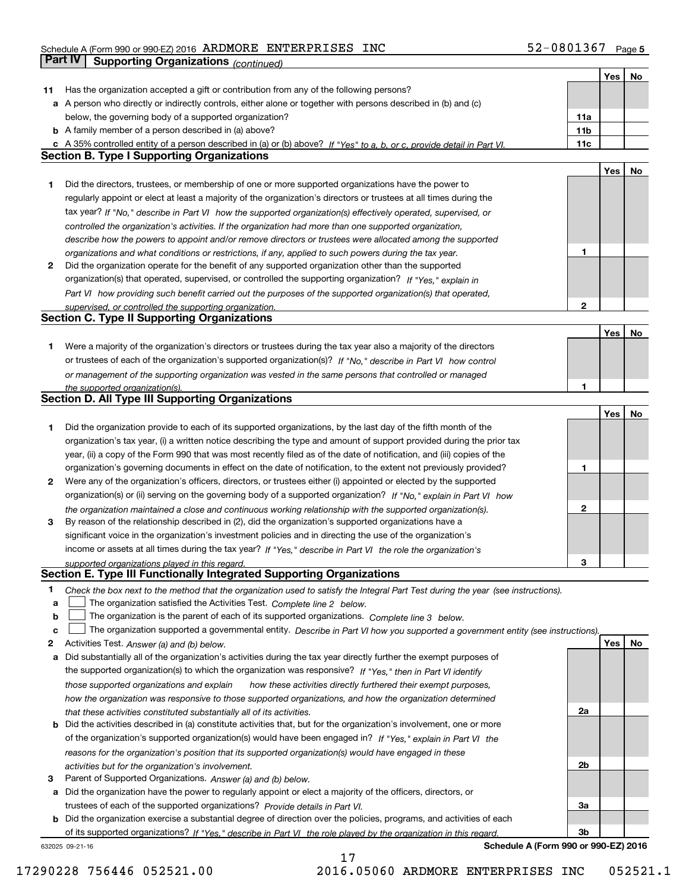### Schedule A (Form 990 or 990-EZ) 2016 Page ARDMORE ENTERPRISES INC 52-0801367 **Part IV** Supporting Organizations (*continued*)

|    |                                                                                                                                   |                 | Yes | No |
|----|-----------------------------------------------------------------------------------------------------------------------------------|-----------------|-----|----|
| 11 | Has the organization accepted a gift or contribution from any of the following persons?                                           |                 |     |    |
|    | a A person who directly or indirectly controls, either alone or together with persons described in (b) and (c)                    |                 |     |    |
|    | below, the governing body of a supported organization?                                                                            | 11a             |     |    |
|    | <b>b</b> A family member of a person described in (a) above?                                                                      | 11 <sub>b</sub> |     |    |
|    | c A 35% controlled entity of a person described in (a) or (b) above? If "Yes" to a, b, or c, provide detail in Part VI.           | 11c             |     |    |
|    | <b>Section B. Type I Supporting Organizations</b>                                                                                 |                 |     |    |
|    |                                                                                                                                   |                 | Yes | No |
| 1. | Did the directors, trustees, or membership of one or more supported organizations have the power to                               |                 |     |    |
|    | regularly appoint or elect at least a majority of the organization's directors or trustees at all times during the                |                 |     |    |
|    |                                                                                                                                   |                 |     |    |
|    | tax year? If "No," describe in Part VI how the supported organization(s) effectively operated, supervised, or                     |                 |     |    |
|    | controlled the organization's activities. If the organization had more than one supported organization,                           |                 |     |    |
|    | describe how the powers to appoint and/or remove directors or trustees were allocated among the supported                         | 1               |     |    |
|    | organizations and what conditions or restrictions, if any, applied to such powers during the tax year.                            |                 |     |    |
| 2  | Did the organization operate for the benefit of any supported organization other than the supported                               |                 |     |    |
|    | organization(s) that operated, supervised, or controlled the supporting organization? If "Yes," explain in                        |                 |     |    |
|    | Part VI how providing such benefit carried out the purposes of the supported organization(s) that operated,                       |                 |     |    |
|    | supervised, or controlled the supporting organization.                                                                            | $\mathbf{2}$    |     |    |
|    | <b>Section C. Type II Supporting Organizations</b>                                                                                |                 |     |    |
|    |                                                                                                                                   |                 | Yes | No |
| 1. | Were a majority of the organization's directors or trustees during the tax year also a majority of the directors                  |                 |     |    |
|    | or trustees of each of the organization's supported organization(s)? If "No," describe in Part VI how control                     |                 |     |    |
|    | or management of the supporting organization was vested in the same persons that controlled or managed                            |                 |     |    |
|    | the supported organization(s).                                                                                                    | 1               |     |    |
|    | Section D. All Type III Supporting Organizations                                                                                  |                 |     |    |
|    |                                                                                                                                   |                 | Yes | No |
| 1  | Did the organization provide to each of its supported organizations, by the last day of the fifth month of the                    |                 |     |    |
|    | organization's tax year, (i) a written notice describing the type and amount of support provided during the prior tax             |                 |     |    |
|    | year, (ii) a copy of the Form 990 that was most recently filed as of the date of notification, and (iii) copies of the            |                 |     |    |
|    | organization's governing documents in effect on the date of notification, to the extent not previously provided?                  | 1               |     |    |
| 2  | Were any of the organization's officers, directors, or trustees either (i) appointed or elected by the supported                  |                 |     |    |
|    | organization(s) or (ii) serving on the governing body of a supported organization? If "No," explain in Part VI how                |                 |     |    |
|    | the organization maintained a close and continuous working relationship with the supported organization(s).                       | $\mathbf 2$     |     |    |
| 3  | By reason of the relationship described in (2), did the organization's supported organizations have a                             |                 |     |    |
|    | significant voice in the organization's investment policies and in directing the use of the organization's                        |                 |     |    |
|    | income or assets at all times during the tax year? If "Yes," describe in Part VI the role the organization's                      |                 |     |    |
|    | supported organizations played in this regard.                                                                                    | 3               |     |    |
|    | Section E. Type III Functionally Integrated Supporting Organizations                                                              |                 |     |    |
| 1. | Check the box next to the method that the organization used to satisfy the Integral Part Test during the year (see instructions). |                 |     |    |
| а  | The organization satisfied the Activities Test. Complete line 2 below.                                                            |                 |     |    |
| b  | The organization is the parent of each of its supported organizations. Complete line 3 below.                                     |                 |     |    |
| c  | The organization supported a governmental entity. Describe in Part VI how you supported a government entity (see instructions).   |                 |     |    |
| 2  | Activities Test. Answer (a) and (b) below.                                                                                        |                 | Yes | No |
| а  | Did substantially all of the organization's activities during the tax year directly further the exempt purposes of                |                 |     |    |
|    | the supported organization(s) to which the organization was responsive? If "Yes," then in Part VI identify                        |                 |     |    |
|    | those supported organizations and explain<br>how these activities directly furthered their exempt purposes,                       |                 |     |    |
|    | how the organization was responsive to those supported organizations, and how the organization determined                         |                 |     |    |
|    | that these activities constituted substantially all of its activities.                                                            | 2a              |     |    |
| b  | Did the activities described in (a) constitute activities that, but for the organization's involvement, one or more               |                 |     |    |
|    | of the organization's supported organization(s) would have been engaged in? If "Yes," explain in Part VI the                      |                 |     |    |
|    |                                                                                                                                   |                 |     |    |
|    | reasons for the organization's position that its supported organization(s) would have engaged in these                            | 2b              |     |    |
|    | activities but for the organization's involvement.                                                                                |                 |     |    |
| З  | Parent of Supported Organizations. Answer (a) and (b) below.                                                                      |                 |     |    |
| а  | Did the organization have the power to regularly appoint or elect a majority of the officers, directors, or                       |                 |     |    |
|    | trustees of each of the supported organizations? Provide details in Part VI.                                                      | За              |     |    |
| b  | Did the organization exercise a substantial degree of direction over the policies, programs, and activities of each               |                 |     |    |
|    | of its supported organizations? If "Yes," describe in Part VI the role played by the organization in this regard                  | 3b              |     |    |
|    | Schedule A (Form 990 or 990-EZ) 2016<br>632025 09-21-16                                                                           |                 |     |    |

17 17290228 756446 052521.00 2016.05060 ARDMORE ENTERPRISES INC 052521.1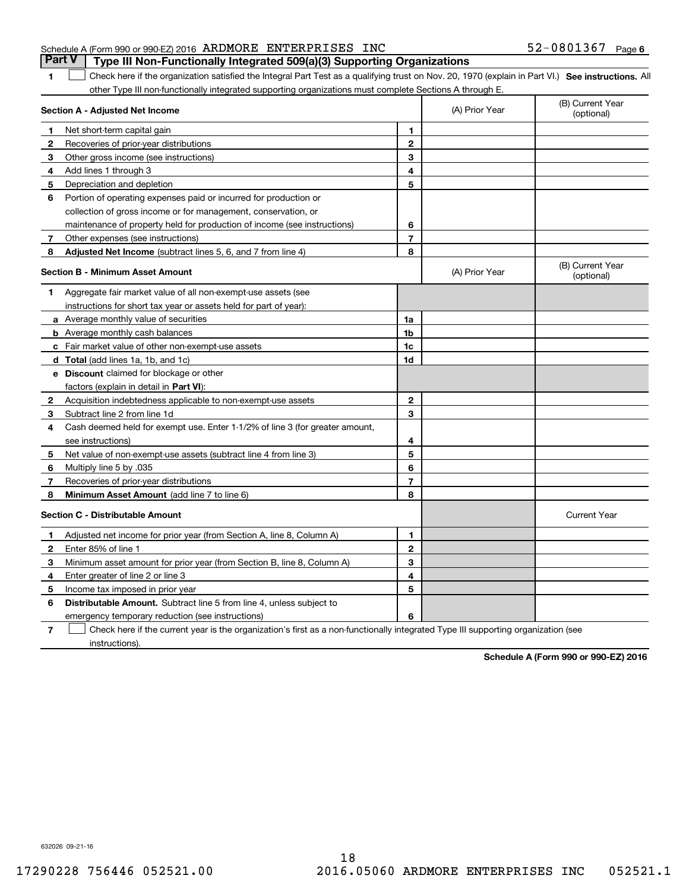|                                                              |  | <b>Part V</b> Type III Non-Functionally Integrated 509(a)(3) Supporting Organizations |                       |  |
|--------------------------------------------------------------|--|---------------------------------------------------------------------------------------|-----------------------|--|
| Schedule A (Form 990 or 990-EZ) 2016 ARDMORE ENTERPRISES INC |  |                                                                                       | $52 - 0801367$ Page 6 |  |

1 Check here if the organization satisfied the Integral Part Test as a qualifying trust on Nov. 20, 1970 (explain in Part VI.) See instructions. All other Type III non-functionally integrated supporting organizations must complete Sections A through E.

|    | Section A - Adjusted Net Income                                              |                | (A) Prior Year | (B) Current Year<br>(optional) |
|----|------------------------------------------------------------------------------|----------------|----------------|--------------------------------|
| 1  | Net short-term capital gain                                                  | 1              |                |                                |
| 2  | Recoveries of prior-year distributions                                       | $\overline{2}$ |                |                                |
| З  | Other gross income (see instructions)                                        | 3              |                |                                |
| 4  | Add lines 1 through 3                                                        | 4              |                |                                |
| 5  | Depreciation and depletion                                                   | 5              |                |                                |
| 6  | Portion of operating expenses paid or incurred for production or             |                |                |                                |
|    | collection of gross income or for management, conservation, or               |                |                |                                |
|    | maintenance of property held for production of income (see instructions)     | 6              |                |                                |
| 7  | Other expenses (see instructions)                                            | 7              |                |                                |
| 8  | Adjusted Net Income (subtract lines 5, 6, and 7 from line 4)                 | 8              |                |                                |
|    | <b>Section B - Minimum Asset Amount</b>                                      |                | (A) Prior Year | (B) Current Year<br>(optional) |
| 1. | Aggregate fair market value of all non-exempt-use assets (see                |                |                |                                |
|    | instructions for short tax year or assets held for part of year):            |                |                |                                |
|    | a Average monthly value of securities                                        | 1a             |                |                                |
|    | <b>b</b> Average monthly cash balances                                       | 1b             |                |                                |
|    | c Fair market value of other non-exempt-use assets                           | 1c             |                |                                |
|    | <b>d</b> Total (add lines 1a, 1b, and 1c)                                    | 1d             |                |                                |
|    | e Discount claimed for blockage or other                                     |                |                |                                |
|    | factors (explain in detail in Part VI):                                      |                |                |                                |
| 2  | Acquisition indebtedness applicable to non-exempt-use assets                 | $\mathbf{2}$   |                |                                |
| З  | Subtract line 2 from line 1d                                                 | 3              |                |                                |
| 4  | Cash deemed held for exempt use. Enter 1-1/2% of line 3 (for greater amount, |                |                |                                |
|    | see instructions)                                                            | 4              |                |                                |
| 5  | Net value of non-exempt-use assets (subtract line 4 from line 3)             | 5              |                |                                |
| 6  | Multiply line 5 by .035                                                      | 6              |                |                                |
| 7  | Recoveries of prior-year distributions                                       | $\overline{7}$ |                |                                |
| 8  | Minimum Asset Amount (add line 7 to line 6)                                  | 8              |                |                                |
|    | <b>Section C - Distributable Amount</b>                                      |                |                | <b>Current Year</b>            |
| 1  | Adjusted net income for prior year (from Section A, line 8, Column A)        | 1              |                |                                |
| 2  | Enter 85% of line 1                                                          | $\overline{2}$ |                |                                |
| 3  | Minimum asset amount for prior year (from Section B, line 8, Column A)       | 3              |                |                                |
| 4  | Enter greater of line 2 or line 3                                            | 4              |                |                                |
| 5  | Income tax imposed in prior year                                             | 5              |                |                                |
| 6  | <b>Distributable Amount.</b> Subtract line 5 from line 4, unless subject to  |                |                |                                |
|    | emergency temporary reduction (see instructions)                             | 6              |                |                                |
|    |                                                                              |                |                |                                |

**7**Check here if the current year is the organization's first as a non-functionally integrated Type III supporting organization (see instructions).

**Schedule A (Form 990 or 990-EZ) 2016**

632026 09-21-16

**1**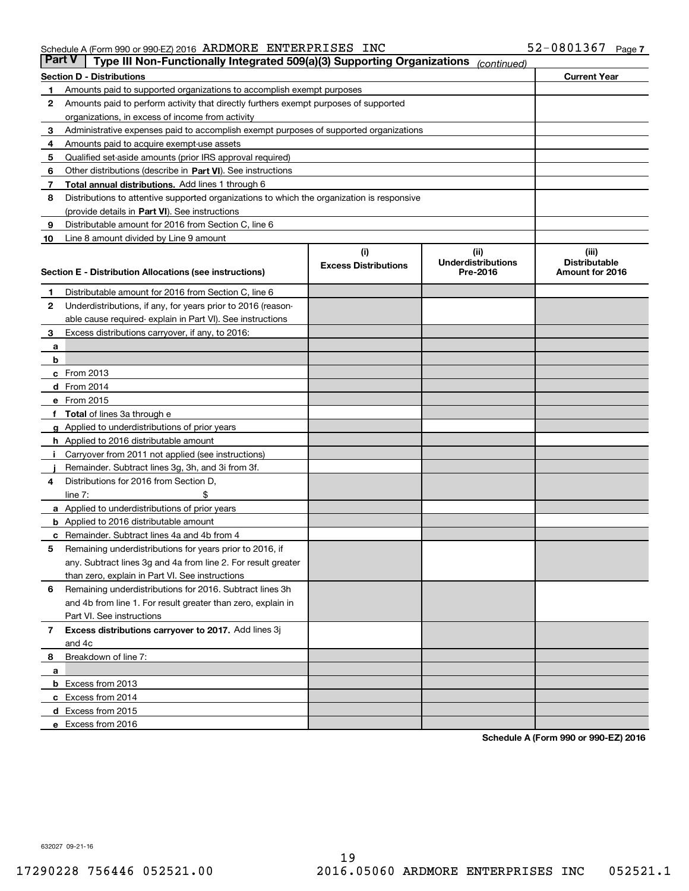| <b>Part V</b> | Type III Non-Functionally Integrated 509(a)(3) Supporting Organizations                    |                                    | (continued)                                    |                                                  |  |  |
|---------------|--------------------------------------------------------------------------------------------|------------------------------------|------------------------------------------------|--------------------------------------------------|--|--|
|               | <b>Section D - Distributions</b>                                                           |                                    |                                                | <b>Current Year</b>                              |  |  |
| 1             | Amounts paid to supported organizations to accomplish exempt purposes                      |                                    |                                                |                                                  |  |  |
| 2             | Amounts paid to perform activity that directly furthers exempt purposes of supported       |                                    |                                                |                                                  |  |  |
|               | organizations, in excess of income from activity                                           |                                    |                                                |                                                  |  |  |
| 3             | Administrative expenses paid to accomplish exempt purposes of supported organizations      |                                    |                                                |                                                  |  |  |
| 4             | Amounts paid to acquire exempt-use assets                                                  |                                    |                                                |                                                  |  |  |
| 5             | Qualified set-aside amounts (prior IRS approval required)                                  |                                    |                                                |                                                  |  |  |
| 6             | Other distributions (describe in Part VI). See instructions                                |                                    |                                                |                                                  |  |  |
| 7             | <b>Total annual distributions.</b> Add lines 1 through 6                                   |                                    |                                                |                                                  |  |  |
| 8             | Distributions to attentive supported organizations to which the organization is responsive |                                    |                                                |                                                  |  |  |
|               | (provide details in Part VI). See instructions                                             |                                    |                                                |                                                  |  |  |
| 9             | Distributable amount for 2016 from Section C, line 6                                       |                                    |                                                |                                                  |  |  |
| 10            | Line 8 amount divided by Line 9 amount                                                     |                                    |                                                |                                                  |  |  |
|               | <b>Section E - Distribution Allocations (see instructions)</b>                             | (i)<br><b>Excess Distributions</b> | (iii)<br><b>Underdistributions</b><br>Pre-2016 | (iii)<br><b>Distributable</b><br>Amount for 2016 |  |  |
| 1             | Distributable amount for 2016 from Section C, line 6                                       |                                    |                                                |                                                  |  |  |
| 2             | Underdistributions, if any, for years prior to 2016 (reason-                               |                                    |                                                |                                                  |  |  |
|               | able cause required-explain in Part VI). See instructions                                  |                                    |                                                |                                                  |  |  |
| 3             | Excess distributions carryover, if any, to 2016:                                           |                                    |                                                |                                                  |  |  |
| а             |                                                                                            |                                    |                                                |                                                  |  |  |
| b             |                                                                                            |                                    |                                                |                                                  |  |  |
|               | c From 2013                                                                                |                                    |                                                |                                                  |  |  |
|               | d From 2014                                                                                |                                    |                                                |                                                  |  |  |
|               | e From 2015                                                                                |                                    |                                                |                                                  |  |  |
|               | Total of lines 3a through e                                                                |                                    |                                                |                                                  |  |  |
| g             | Applied to underdistributions of prior years                                               |                                    |                                                |                                                  |  |  |
|               | <b>h</b> Applied to 2016 distributable amount                                              |                                    |                                                |                                                  |  |  |
|               | Carryover from 2011 not applied (see instructions)                                         |                                    |                                                |                                                  |  |  |
|               | Remainder. Subtract lines 3g, 3h, and 3i from 3f.                                          |                                    |                                                |                                                  |  |  |
| 4             | Distributions for 2016 from Section D,                                                     |                                    |                                                |                                                  |  |  |
|               | line $7:$                                                                                  |                                    |                                                |                                                  |  |  |
|               | <b>a</b> Applied to underdistributions of prior years                                      |                                    |                                                |                                                  |  |  |
|               | <b>b</b> Applied to 2016 distributable amount                                              |                                    |                                                |                                                  |  |  |
|               | c Remainder. Subtract lines 4a and 4b from 4                                               |                                    |                                                |                                                  |  |  |
| 5             | Remaining underdistributions for years prior to 2016, if                                   |                                    |                                                |                                                  |  |  |
|               | any. Subtract lines 3g and 4a from line 2. For result greater                              |                                    |                                                |                                                  |  |  |
|               | than zero, explain in Part VI. See instructions                                            |                                    |                                                |                                                  |  |  |
| 6             | Remaining underdistributions for 2016. Subtract lines 3h                                   |                                    |                                                |                                                  |  |  |
|               | and 4b from line 1. For result greater than zero, explain in                               |                                    |                                                |                                                  |  |  |
|               | Part VI. See instructions                                                                  |                                    |                                                |                                                  |  |  |
| 7             | Excess distributions carryover to 2017. Add lines 3j                                       |                                    |                                                |                                                  |  |  |
|               | and 4c                                                                                     |                                    |                                                |                                                  |  |  |
| 8             | Breakdown of line 7:                                                                       |                                    |                                                |                                                  |  |  |
| a             |                                                                                            |                                    |                                                |                                                  |  |  |
|               | <b>b</b> Excess from 2013                                                                  |                                    |                                                |                                                  |  |  |
|               | c Excess from 2014                                                                         |                                    |                                                |                                                  |  |  |
|               | d Excess from 2015                                                                         |                                    |                                                |                                                  |  |  |
|               | e Excess from 2016                                                                         |                                    |                                                |                                                  |  |  |

**Schedule A (Form 990 or 990-EZ) 2016**

632027 09-21-16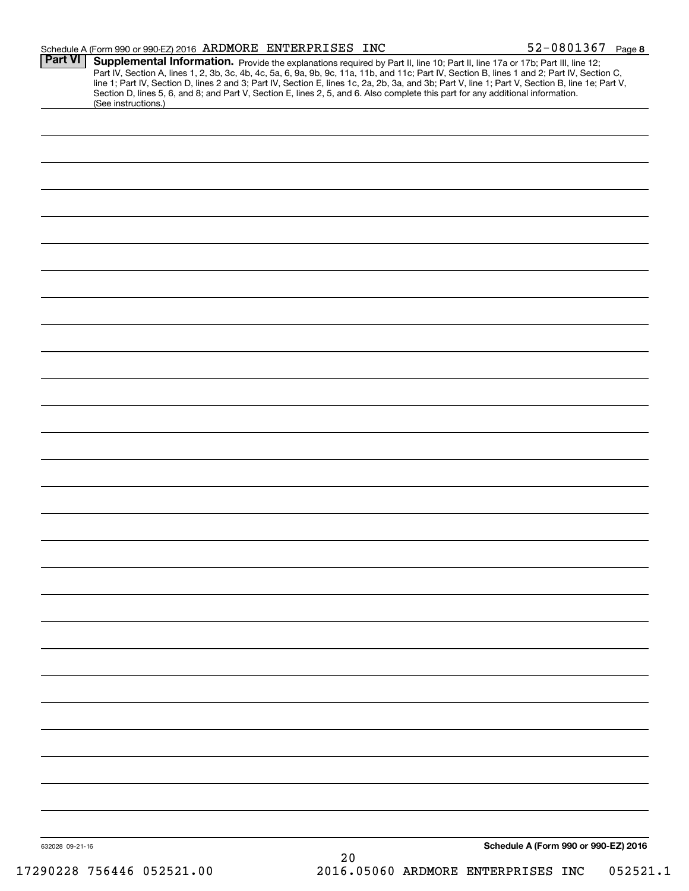|                 | Schedule A (Form 990 or 990-EZ) 2016 ARDMORE ENTERPRISES INC                                                                                                                                                                                                                                                                                                                                                                                                                                                                                                                                |    | 52-0801367 Page 8                    |
|-----------------|---------------------------------------------------------------------------------------------------------------------------------------------------------------------------------------------------------------------------------------------------------------------------------------------------------------------------------------------------------------------------------------------------------------------------------------------------------------------------------------------------------------------------------------------------------------------------------------------|----|--------------------------------------|
| <b>Part VI</b>  | Supplemental Information. Provide the explanations required by Part II, line 10; Part II, line 17a or 17b; Part III, line 12;<br>Part IV, Section A, lines 1, 2, 3b, 3c, 4b, 4c, 5a, 6, 9a, 9b, 9c, 11a, 11b, and 11c; Part IV, Section B, lines 1 and 2; Part IV, Section C,<br>line 1; Part IV, Section D, lines 2 and 3; Part IV, Section E, lines 1c, 2a, 2b, 3a, and 3b; Part V, line 1; Part V, Section B, line 1e; Part V,<br>Section D, lines 5, 6, and 8; and Part V, Section E, lines 2, 5, and 6. Also complete this part for any additional information.<br>(See instructions.) |    |                                      |
|                 |                                                                                                                                                                                                                                                                                                                                                                                                                                                                                                                                                                                             |    |                                      |
|                 |                                                                                                                                                                                                                                                                                                                                                                                                                                                                                                                                                                                             |    |                                      |
|                 |                                                                                                                                                                                                                                                                                                                                                                                                                                                                                                                                                                                             |    |                                      |
|                 |                                                                                                                                                                                                                                                                                                                                                                                                                                                                                                                                                                                             |    |                                      |
|                 |                                                                                                                                                                                                                                                                                                                                                                                                                                                                                                                                                                                             |    |                                      |
|                 |                                                                                                                                                                                                                                                                                                                                                                                                                                                                                                                                                                                             |    |                                      |
|                 |                                                                                                                                                                                                                                                                                                                                                                                                                                                                                                                                                                                             |    |                                      |
|                 |                                                                                                                                                                                                                                                                                                                                                                                                                                                                                                                                                                                             |    |                                      |
|                 |                                                                                                                                                                                                                                                                                                                                                                                                                                                                                                                                                                                             |    |                                      |
|                 |                                                                                                                                                                                                                                                                                                                                                                                                                                                                                                                                                                                             |    |                                      |
|                 |                                                                                                                                                                                                                                                                                                                                                                                                                                                                                                                                                                                             |    |                                      |
|                 |                                                                                                                                                                                                                                                                                                                                                                                                                                                                                                                                                                                             |    |                                      |
|                 |                                                                                                                                                                                                                                                                                                                                                                                                                                                                                                                                                                                             |    |                                      |
|                 |                                                                                                                                                                                                                                                                                                                                                                                                                                                                                                                                                                                             |    |                                      |
|                 |                                                                                                                                                                                                                                                                                                                                                                                                                                                                                                                                                                                             |    |                                      |
|                 |                                                                                                                                                                                                                                                                                                                                                                                                                                                                                                                                                                                             |    |                                      |
|                 |                                                                                                                                                                                                                                                                                                                                                                                                                                                                                                                                                                                             |    |                                      |
|                 |                                                                                                                                                                                                                                                                                                                                                                                                                                                                                                                                                                                             |    |                                      |
|                 |                                                                                                                                                                                                                                                                                                                                                                                                                                                                                                                                                                                             |    |                                      |
|                 |                                                                                                                                                                                                                                                                                                                                                                                                                                                                                                                                                                                             |    |                                      |
|                 |                                                                                                                                                                                                                                                                                                                                                                                                                                                                                                                                                                                             |    |                                      |
|                 |                                                                                                                                                                                                                                                                                                                                                                                                                                                                                                                                                                                             |    |                                      |
|                 |                                                                                                                                                                                                                                                                                                                                                                                                                                                                                                                                                                                             |    |                                      |
|                 |                                                                                                                                                                                                                                                                                                                                                                                                                                                                                                                                                                                             |    |                                      |
|                 |                                                                                                                                                                                                                                                                                                                                                                                                                                                                                                                                                                                             |    |                                      |
|                 |                                                                                                                                                                                                                                                                                                                                                                                                                                                                                                                                                                                             |    |                                      |
|                 |                                                                                                                                                                                                                                                                                                                                                                                                                                                                                                                                                                                             |    |                                      |
| 632028 09-21-16 |                                                                                                                                                                                                                                                                                                                                                                                                                                                                                                                                                                                             | 20 | Schedule A (Form 990 or 990-EZ) 2016 |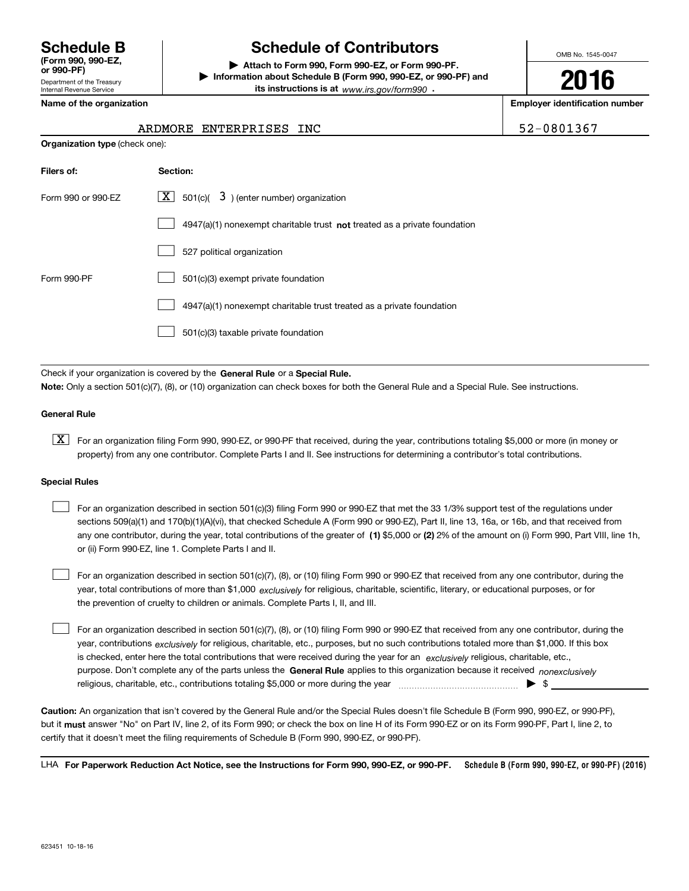Department of the Treasury **(Form 990, 990-EZ, or 990-PF)**

# **Schedule B Schedule of Contributors**

**| Attach to Form 990, Form 990-EZ, or Form 990-PF. | Information about Schedule B (Form 990, 990-EZ, or 990-PF) and its instructions is at** www.irs.gov/form990  $\cdot$ 

OMB No. 1545-0047

**2016**

**Name of the organization Employer identification number**

| Internal Revenue Service |  |                         |  |  |
|--------------------------|--|-------------------------|--|--|
|                          |  | Nama af tha araani-atia |  |  |

**Organization type** (check one):

# ARDMORE ENTERPRISES INC  $\vert$  52-0801367

| Filers of:         | Section:                                                                           |
|--------------------|------------------------------------------------------------------------------------|
| Form 990 or 990-EZ | $X$ 501(c)(<br>$3$ ) (enter number) organization                                   |
|                    | $4947(a)(1)$ nonexempt charitable trust <b>not</b> treated as a private foundation |
|                    | 527 political organization                                                         |
| Form 990-PF        | 501(c)(3) exempt private foundation                                                |
|                    | 4947(a)(1) nonexempt charitable trust treated as a private foundation              |
|                    | 501(c)(3) taxable private foundation                                               |

Check if your organization is covered by the **General Rule** or a **Special Rule. Note:**  Only a section 501(c)(7), (8), or (10) organization can check boxes for both the General Rule and a Special Rule. See instructions.

### **General Rule**

 $\boxed{\textbf{X}}$  For an organization filing Form 990, 990-EZ, or 990-PF that received, during the year, contributions totaling \$5,000 or more (in money or property) from any one contributor. Complete Parts I and II. See instructions for determining a contributor's total contributions.

#### **Special Rules**

 $\Box$ 

 $\mathcal{L}^{\text{max}}$ 

| For an organization described in section 501(c)(3) filing Form 990 or 990-EZ that met the 33 1/3% support test of the requlations under              |
|------------------------------------------------------------------------------------------------------------------------------------------------------|
| sections 509(a)(1) and 170(b)(1)(A)(vi), that checked Schedule A (Form 990 or 990-EZ), Part II, line 13, 16a, or 16b, and that received from         |
| any one contributor, during the year, total contributions of the greater of (1) \$5,000 or (2) 2% of the amount on (i) Form 990, Part VIII, line 1h, |
| or (ii) Form 990-EZ, line 1. Complete Parts I and II.                                                                                                |

year, total contributions of more than \$1,000 *exclusively* for religious, charitable, scientific, literary, or educational purposes, or for For an organization described in section 501(c)(7), (8), or (10) filing Form 990 or 990-EZ that received from any one contributor, during the the prevention of cruelty to children or animals. Complete Parts I, II, and III.  $\mathcal{L}^{\text{max}}$ 

purpose. Don't complete any of the parts unless the **General Rule** applies to this organization because it received *nonexclusively* year, contributions <sub>exclusively</sub> for religious, charitable, etc., purposes, but no such contributions totaled more than \$1,000. If this box is checked, enter here the total contributions that were received during the year for an  $\;$ exclusively religious, charitable, etc., For an organization described in section 501(c)(7), (8), or (10) filing Form 990 or 990-EZ that received from any one contributor, during the religious, charitable, etc., contributions totaling \$5,000 or more during the year  $\ldots$  $\ldots$  $\ldots$  $\ldots$  $\ldots$  $\ldots$ 

**Caution:**  An organization that isn't covered by the General Rule and/or the Special Rules doesn't file Schedule B (Form 990, 990-EZ, or 990-PF),  **must** but it answer "No" on Part IV, line 2, of its Form 990; or check the box on line H of its Form 990-EZ or on its Form 990-PF, Part I, line 2, to certify that it doesn't meet the filing requirements of Schedule B (Form 990, 990-EZ, or 990-PF).

**Schedule B (Form 990, 990-EZ, or 990-PF) (2016) For Paperwork Reduction Act Notice, see the Instructions for Form 990, 990-EZ, or 990-PF.** LHA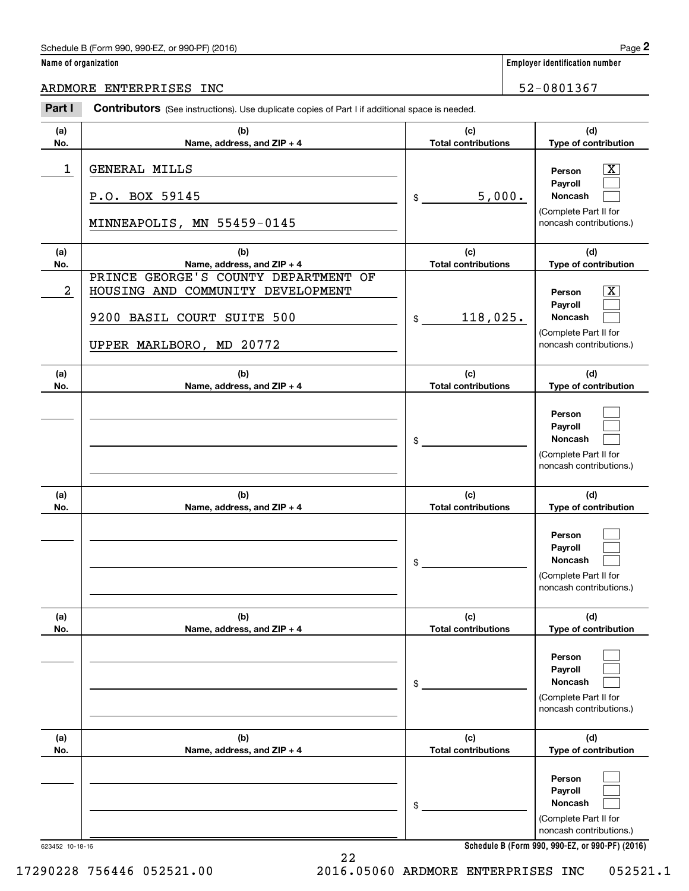# Schedule B (Form 990, 990-EZ, or 990-PF) (2016) Page 2

|  | Name of organization |
|--|----------------------|
|--|----------------------|

(Complete Part II for noncash contributions.)

| 623452 10-18-16 |
|-----------------|
|                 |

|  |  | . . |
|--|--|-----|
|  |  |     |
|  |  |     |
|  |  |     |
|  |  |     |
|  |  |     |
|  |  |     |
|  |  |     |

|  | Paɑe |  |
|--|------|--|

|                      | Schedule B (Form 990, 990-EZ, or 990-PF) (2016)                                                                                     |                                   |        | Page 2                                                                                           |
|----------------------|-------------------------------------------------------------------------------------------------------------------------------------|-----------------------------------|--------|--------------------------------------------------------------------------------------------------|
| Name of organization |                                                                                                                                     |                                   |        | <b>Employer identification number</b>                                                            |
|                      | ARDMORE ENTERPRISES INC                                                                                                             |                                   |        | 52-0801367                                                                                       |
| Part I               | Contributors (See instructions). Use duplicate copies of Part I if additional space is needed.                                      |                                   |        |                                                                                                  |
| (a)<br>No.           | (b)<br>Name, address, and ZIP + 4                                                                                                   | (c)<br><b>Total contributions</b> |        | (d)<br>Type of contribution                                                                      |
| 1                    | GENERAL MILLS<br>P.O. BOX 59145<br>MINNEAPOLIS, MN 55459-0145                                                                       | \$                                | 5,000. | $\mathbf{X}$<br>Person<br>Payroll<br>Noncash<br>(Complete Part II for<br>noncash contributions.) |
| (a)<br>No.           | (b)<br>Name, address, and ZIP + 4                                                                                                   | (c)<br><b>Total contributions</b> |        | (d)<br>Type of contribution                                                                      |
| $\overline{2}$       | PRINCE GEORGE'S COUNTY DEPARTMENT OF<br>HOUSING AND COMMUNITY DEVELOPMENT<br>9200 BASIL COURT SUITE 500<br>UPPER MARLBORO, MD 20772 | 118,025.<br>\$                    |        | $\mathbf{X}$<br>Person<br>Payroll<br>Noncash<br>(Complete Part II for<br>noncash contributions.) |
| (a)<br>No.           | (b)<br>Name, address, and ZIP + 4                                                                                                   | (c)<br><b>Total contributions</b> |        | (d)<br>Type of contribution                                                                      |
|                      |                                                                                                                                     | \$                                |        | Person<br>Payroll<br>Noncash<br>(Complete Part II for<br>noncash contributions.)                 |
| (a)<br>No.           | (b)<br>Name, address, and ZIP + 4                                                                                                   | (c)<br><b>Total contributions</b> |        | (d)<br>Type of contribution                                                                      |
|                      |                                                                                                                                     | \$                                |        | Person<br>Payroll<br>Noncash<br>(Complete Part II for<br>noncash contributions.)                 |
| (a)<br>No.           | (b)<br>Name, address, and ZIP + 4                                                                                                   | (c)<br><b>Total contributions</b> |        | (d)<br>Type of contribution                                                                      |
|                      |                                                                                                                                     | \$                                |        | Person<br>Payroll<br>Noncash<br>(Complete Part II for<br>noncash contributions.)                 |
| (a)<br>No.           | (b)<br>Name, address, and ZIP + 4                                                                                                   | (c)<br><b>Total contributions</b> |        | (d)<br>Type of contribution                                                                      |
|                      |                                                                                                                                     | \$                                |        | Person<br>Payroll<br><b>Noncash</b>                                                              |

22

17290228 756446 052521.00 2016.05060 ARDMORE ENTERPRISES INC 052521.1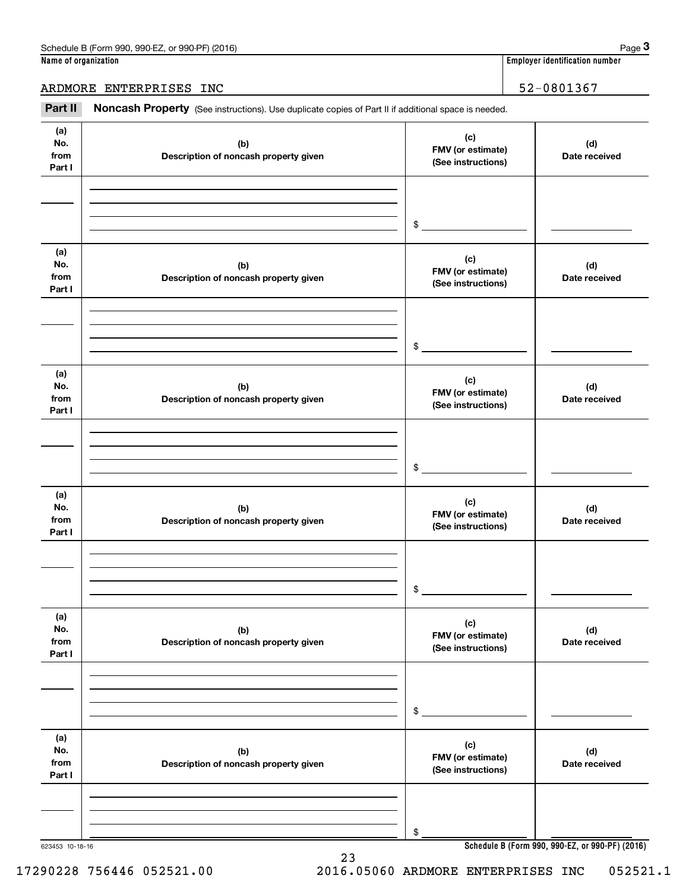### ARDMORE ENTERPRISES INC<br>
52-0801367

Employer identification number<br> **ARDMORE ENTERPRISES INC**<br> **Part II Noncash Property** (See instructions). Use duplicate copies of Part II if additional space is needed.<br> **Part II Noncash Property** (See instructions). U

| (a)<br>No.<br>from<br>Part I | (b)<br>Description of noncash property given | (c)<br>FMV (or estimate)<br>(See instructions) | (d)<br>Date received                            |
|------------------------------|----------------------------------------------|------------------------------------------------|-------------------------------------------------|
|                              |                                              |                                                |                                                 |
|                              |                                              |                                                |                                                 |
|                              |                                              | $\frac{1}{2}$                                  |                                                 |
| (a)<br>No.<br>from<br>Part I | (b)<br>Description of noncash property given | (c)<br>FMV (or estimate)<br>(See instructions) | (d)<br>Date received                            |
|                              |                                              |                                                |                                                 |
|                              |                                              |                                                |                                                 |
|                              |                                              | $\frac{1}{2}$                                  |                                                 |
| (a)<br>No.<br>from<br>Part I | (b)<br>Description of noncash property given | (c)<br>FMV (or estimate)<br>(See instructions) | (d)<br>Date received                            |
|                              |                                              |                                                |                                                 |
|                              |                                              |                                                |                                                 |
|                              |                                              | $\mathsf{\$}$                                  |                                                 |
| (a)                          |                                              |                                                |                                                 |
| No.                          | (b)                                          | (c)<br>FMV (or estimate)                       | (d)                                             |
| from<br>Part I               | Description of noncash property given        | (See instructions)                             | Date received                                   |
|                              |                                              |                                                |                                                 |
|                              |                                              |                                                |                                                 |
|                              |                                              | \$                                             |                                                 |
| (a)                          |                                              |                                                |                                                 |
| No.                          | (b)                                          | (c)<br>FMV (or estimate)                       | (d)                                             |
| from<br>Part I               | Description of noncash property given        | (See instructions)                             | Date received                                   |
|                              |                                              |                                                |                                                 |
|                              |                                              |                                                |                                                 |
|                              |                                              | \$                                             |                                                 |
| (a)                          |                                              |                                                |                                                 |
| No.                          | (b)                                          | (c)<br>FMV (or estimate)                       | (d)                                             |
| from<br>Part I               | Description of noncash property given        | (See instructions)                             | Date received                                   |
|                              |                                              |                                                |                                                 |
|                              |                                              |                                                |                                                 |
|                              |                                              | \$                                             |                                                 |
| 623453 10-18-16              |                                              |                                                | Schedule B (Form 990, 990-EZ, or 990-PF) (2016) |

23

**Schedule B (Form 990, 990-EZ, or 990-PF) (2016)**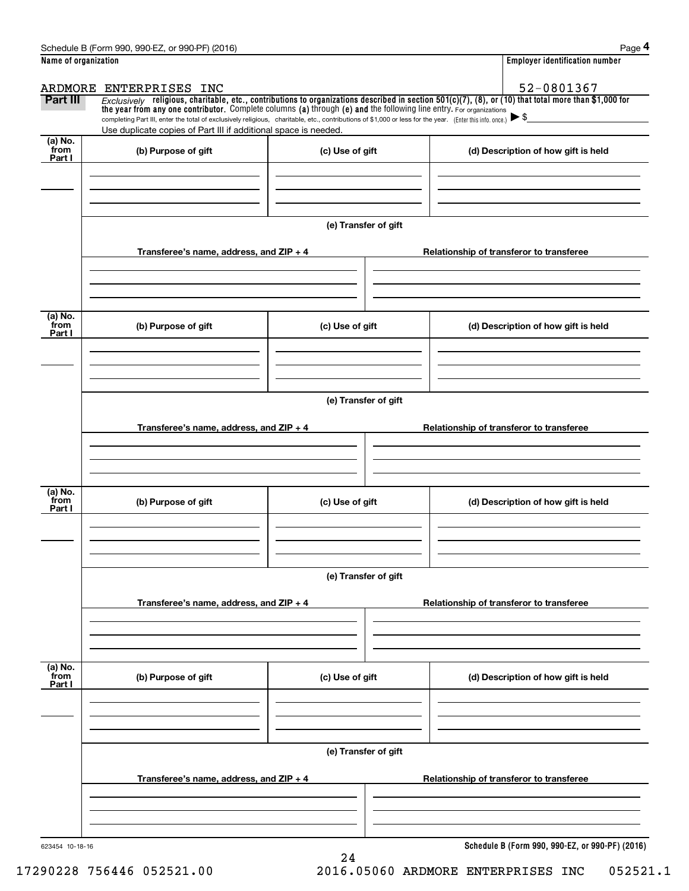|                      | Schedule B (Form 990, 990-EZ, or 990-PF) (2016)                                                                                                                                                                             |                      | Page 4                                                                                                                                                  |  |  |  |  |
|----------------------|-----------------------------------------------------------------------------------------------------------------------------------------------------------------------------------------------------------------------------|----------------------|---------------------------------------------------------------------------------------------------------------------------------------------------------|--|--|--|--|
| Name of organization |                                                                                                                                                                                                                             |                      | Employer identification number                                                                                                                          |  |  |  |  |
|                      | ARDMORE ENTERPRISES INC                                                                                                                                                                                                     |                      | 52-0801367                                                                                                                                              |  |  |  |  |
| Part III             | the year from any one contributor. Complete columns (a) through (e) and the following line entry. For organizations                                                                                                         |                      | $Exclusively$ religious, charitable, etc., contributions to organizations described in section 501(c)(7), (8), or (10) that total more than \$1,000 for |  |  |  |  |
|                      | completing Part III, enter the total of exclusively religious, charitable, etc., contributions of \$1,000 or less for the year. (Enter this info. once.)<br>Use duplicate copies of Part III if additional space is needed. |                      |                                                                                                                                                         |  |  |  |  |
| $(a)$ No.            |                                                                                                                                                                                                                             |                      |                                                                                                                                                         |  |  |  |  |
| from<br>Part I       | (b) Purpose of gift                                                                                                                                                                                                         | (c) Use of gift      | (d) Description of how gift is held                                                                                                                     |  |  |  |  |
|                      |                                                                                                                                                                                                                             |                      |                                                                                                                                                         |  |  |  |  |
|                      |                                                                                                                                                                                                                             |                      |                                                                                                                                                         |  |  |  |  |
|                      |                                                                                                                                                                                                                             |                      |                                                                                                                                                         |  |  |  |  |
|                      |                                                                                                                                                                                                                             | (e) Transfer of gift |                                                                                                                                                         |  |  |  |  |
|                      | Transferee's name, address, and $ZIP + 4$                                                                                                                                                                                   |                      | Relationship of transferor to transferee                                                                                                                |  |  |  |  |
|                      |                                                                                                                                                                                                                             |                      |                                                                                                                                                         |  |  |  |  |
|                      |                                                                                                                                                                                                                             |                      |                                                                                                                                                         |  |  |  |  |
| (a) No.              |                                                                                                                                                                                                                             |                      |                                                                                                                                                         |  |  |  |  |
| from<br>Part I       | (b) Purpose of gift                                                                                                                                                                                                         | (c) Use of gift      | (d) Description of how gift is held                                                                                                                     |  |  |  |  |
|                      |                                                                                                                                                                                                                             |                      |                                                                                                                                                         |  |  |  |  |
|                      |                                                                                                                                                                                                                             |                      |                                                                                                                                                         |  |  |  |  |
|                      |                                                                                                                                                                                                                             |                      |                                                                                                                                                         |  |  |  |  |
|                      | (e) Transfer of gift                                                                                                                                                                                                        |                      |                                                                                                                                                         |  |  |  |  |
|                      | Transferee's name, address, and $ZIP + 4$                                                                                                                                                                                   |                      | Relationship of transferor to transferee                                                                                                                |  |  |  |  |
|                      |                                                                                                                                                                                                                             |                      |                                                                                                                                                         |  |  |  |  |
|                      |                                                                                                                                                                                                                             |                      |                                                                                                                                                         |  |  |  |  |
|                      |                                                                                                                                                                                                                             |                      |                                                                                                                                                         |  |  |  |  |
| (a) No.<br>from      | (b) Purpose of gift                                                                                                                                                                                                         | (c) Use of gift      | (d) Description of how gift is held                                                                                                                     |  |  |  |  |
| Part I               |                                                                                                                                                                                                                             |                      |                                                                                                                                                         |  |  |  |  |
|                      |                                                                                                                                                                                                                             |                      |                                                                                                                                                         |  |  |  |  |
|                      |                                                                                                                                                                                                                             |                      |                                                                                                                                                         |  |  |  |  |
|                      |                                                                                                                                                                                                                             | (e) Transfer of gift |                                                                                                                                                         |  |  |  |  |
|                      |                                                                                                                                                                                                                             |                      |                                                                                                                                                         |  |  |  |  |
|                      | Transferee's name, address, and ZIP + 4                                                                                                                                                                                     |                      | Relationship of transferor to transferee                                                                                                                |  |  |  |  |
|                      |                                                                                                                                                                                                                             |                      |                                                                                                                                                         |  |  |  |  |
|                      |                                                                                                                                                                                                                             |                      |                                                                                                                                                         |  |  |  |  |
| (a) No.<br>from      | (b) Purpose of gift                                                                                                                                                                                                         | (c) Use of gift      | (d) Description of how gift is held                                                                                                                     |  |  |  |  |
| Part I               |                                                                                                                                                                                                                             |                      |                                                                                                                                                         |  |  |  |  |
|                      |                                                                                                                                                                                                                             |                      |                                                                                                                                                         |  |  |  |  |
|                      |                                                                                                                                                                                                                             |                      |                                                                                                                                                         |  |  |  |  |
|                      |                                                                                                                                                                                                                             | (e) Transfer of gift |                                                                                                                                                         |  |  |  |  |
|                      |                                                                                                                                                                                                                             |                      |                                                                                                                                                         |  |  |  |  |
|                      | Transferee's name, address, and $ZIP + 4$                                                                                                                                                                                   |                      | Relationship of transferor to transferee                                                                                                                |  |  |  |  |
|                      |                                                                                                                                                                                                                             |                      |                                                                                                                                                         |  |  |  |  |
|                      |                                                                                                                                                                                                                             |                      |                                                                                                                                                         |  |  |  |  |
|                      |                                                                                                                                                                                                                             |                      |                                                                                                                                                         |  |  |  |  |
| 623454 10-18-16      |                                                                                                                                                                                                                             | 24                   | Schedule B (Form 990, 990-EZ, or 990-PF) (2016)                                                                                                         |  |  |  |  |

17290228 756446 052521.00 2016.05060 ARDMORE ENTERPRISES INC 052521.1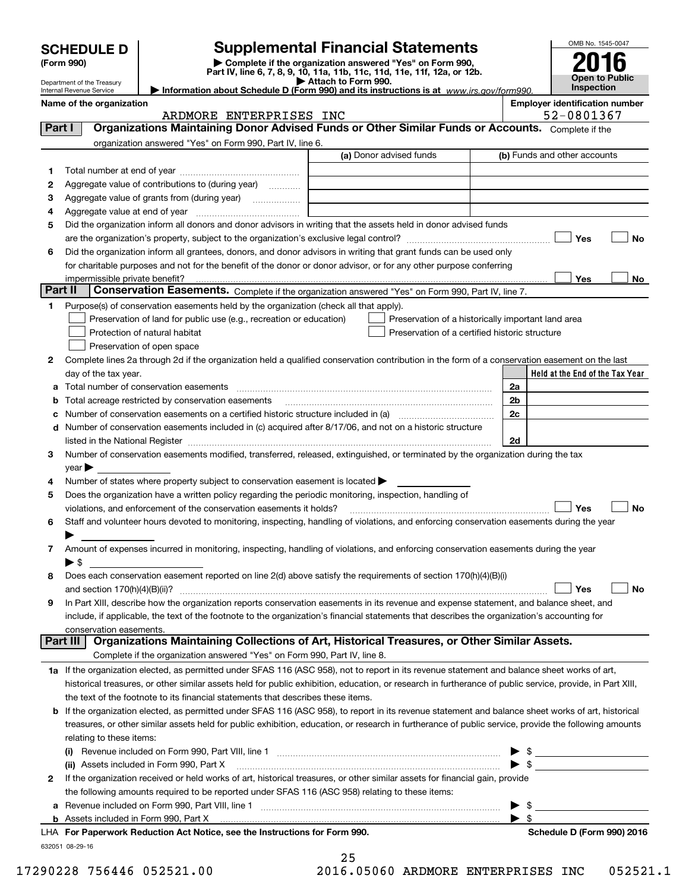|                                 |                                                        |                                                                                                        |                                                                                                                                                                                                                                                                                                                                                                   |                          | OMB No. 1545-0047                                                                                                                                                                                                                                                                                                   |           |  |  |
|---------------------------------|--------------------------------------------------------|--------------------------------------------------------------------------------------------------------|-------------------------------------------------------------------------------------------------------------------------------------------------------------------------------------------------------------------------------------------------------------------------------------------------------------------------------------------------------------------|--------------------------|---------------------------------------------------------------------------------------------------------------------------------------------------------------------------------------------------------------------------------------------------------------------------------------------------------------------|-----------|--|--|
| <b>SCHEDULE D</b><br>(Form 990) |                                                        |                                                                                                        | <b>Supplemental Financial Statements</b><br>Complete if the organization answered "Yes" on Form 990,                                                                                                                                                                                                                                                              |                          |                                                                                                                                                                                                                                                                                                                     |           |  |  |
|                                 |                                                        |                                                                                                        | Part IV, line 6, 7, 8, 9, 10, 11a, 11b, 11c, 11d, 11e, 11f, 12a, or 12b.                                                                                                                                                                                                                                                                                          |                          |                                                                                                                                                                                                                                                                                                                     |           |  |  |
|                                 | Department of the Treasury<br>Internal Revenue Service |                                                                                                        | Attach to Form 990.<br>Information about Schedule D (Form 990) and its instructions is at $www.irs.gov/form990$ .                                                                                                                                                                                                                                                 |                          | <b>Open to Public</b><br><b>Inspection</b>                                                                                                                                                                                                                                                                          |           |  |  |
|                                 | Name of the organization                               |                                                                                                        |                                                                                                                                                                                                                                                                                                                                                                   |                          | <b>Employer identification number</b>                                                                                                                                                                                                                                                                               |           |  |  |
|                                 |                                                        | ARDMORE ENTERPRISES INC                                                                                |                                                                                                                                                                                                                                                                                                                                                                   |                          | 52-0801367                                                                                                                                                                                                                                                                                                          |           |  |  |
| Part I                          |                                                        |                                                                                                        | Organizations Maintaining Donor Advised Funds or Other Similar Funds or Accounts. Complete if the                                                                                                                                                                                                                                                                 |                          |                                                                                                                                                                                                                                                                                                                     |           |  |  |
|                                 |                                                        | organization answered "Yes" on Form 990, Part IV, line 6.                                              | (a) Donor advised funds                                                                                                                                                                                                                                                                                                                                           |                          | (b) Funds and other accounts                                                                                                                                                                                                                                                                                        |           |  |  |
| 1.                              |                                                        |                                                                                                        |                                                                                                                                                                                                                                                                                                                                                                   |                          |                                                                                                                                                                                                                                                                                                                     |           |  |  |
| 2                               |                                                        | Aggregate value of contributions to (during year) <i>mimimal</i>                                       |                                                                                                                                                                                                                                                                                                                                                                   |                          |                                                                                                                                                                                                                                                                                                                     |           |  |  |
| 3                               |                                                        |                                                                                                        |                                                                                                                                                                                                                                                                                                                                                                   |                          |                                                                                                                                                                                                                                                                                                                     |           |  |  |
| 4                               |                                                        |                                                                                                        |                                                                                                                                                                                                                                                                                                                                                                   |                          |                                                                                                                                                                                                                                                                                                                     |           |  |  |
| 5                               |                                                        |                                                                                                        | Did the organization inform all donors and donor advisors in writing that the assets held in donor advised funds                                                                                                                                                                                                                                                  |                          |                                                                                                                                                                                                                                                                                                                     |           |  |  |
|                                 |                                                        |                                                                                                        |                                                                                                                                                                                                                                                                                                                                                                   |                          | Yes                                                                                                                                                                                                                                                                                                                 | No        |  |  |
| 6                               |                                                        |                                                                                                        | Did the organization inform all grantees, donors, and donor advisors in writing that grant funds can be used only                                                                                                                                                                                                                                                 |                          |                                                                                                                                                                                                                                                                                                                     |           |  |  |
|                                 |                                                        |                                                                                                        | for charitable purposes and not for the benefit of the donor or donor advisor, or for any other purpose conferring                                                                                                                                                                                                                                                |                          |                                                                                                                                                                                                                                                                                                                     |           |  |  |
| Part II                         | impermissible private benefit?                         |                                                                                                        | Conservation Easements. Complete if the organization answered "Yes" on Form 990, Part IV, line 7.                                                                                                                                                                                                                                                                 |                          | Yes                                                                                                                                                                                                                                                                                                                 | No l      |  |  |
| 1                               |                                                        | Purpose(s) of conservation easements held by the organization (check all that apply).                  |                                                                                                                                                                                                                                                                                                                                                                   |                          |                                                                                                                                                                                                                                                                                                                     |           |  |  |
|                                 |                                                        | Preservation of land for public use (e.g., recreation or education)                                    | Preservation of a historically important land area                                                                                                                                                                                                                                                                                                                |                          |                                                                                                                                                                                                                                                                                                                     |           |  |  |
|                                 |                                                        | Protection of natural habitat                                                                          | Preservation of a certified historic structure                                                                                                                                                                                                                                                                                                                    |                          |                                                                                                                                                                                                                                                                                                                     |           |  |  |
|                                 |                                                        | Preservation of open space                                                                             |                                                                                                                                                                                                                                                                                                                                                                   |                          |                                                                                                                                                                                                                                                                                                                     |           |  |  |
| 2                               |                                                        |                                                                                                        | Complete lines 2a through 2d if the organization held a qualified conservation contribution in the form of a conservation easement on the last                                                                                                                                                                                                                    |                          |                                                                                                                                                                                                                                                                                                                     |           |  |  |
|                                 | day of the tax year.                                   |                                                                                                        |                                                                                                                                                                                                                                                                                                                                                                   |                          | Held at the End of the Tax Year                                                                                                                                                                                                                                                                                     |           |  |  |
| a                               |                                                        | Total number of conservation easements                                                                 |                                                                                                                                                                                                                                                                                                                                                                   | 2a                       |                                                                                                                                                                                                                                                                                                                     |           |  |  |
|                                 |                                                        | <b>b</b> Total acreage restricted by conservation easements                                            |                                                                                                                                                                                                                                                                                                                                                                   | 2 <sub>b</sub>           |                                                                                                                                                                                                                                                                                                                     |           |  |  |
|                                 |                                                        |                                                                                                        | c Number of conservation easements on a certified historic structure included in (a) manufacture included in (a)                                                                                                                                                                                                                                                  | 2c                       |                                                                                                                                                                                                                                                                                                                     |           |  |  |
|                                 |                                                        |                                                                                                        | d Number of conservation easements included in (c) acquired after 8/17/06, and not on a historic structure                                                                                                                                                                                                                                                        |                          |                                                                                                                                                                                                                                                                                                                     |           |  |  |
|                                 |                                                        |                                                                                                        | listed in the National Register [111] Marshall Register [11] Marshall Register [11] Marshall Register [11] Marshall Register [11] Marshall Register [11] Marshall Register [11] Marshall Register [11] Marshall Register [11]<br>Number of conservation easements modified, transferred, released, extinguished, or terminated by the organization during the tax | 2d                       |                                                                                                                                                                                                                                                                                                                     |           |  |  |
| 3                               | $year \blacktriangleright$                             |                                                                                                        |                                                                                                                                                                                                                                                                                                                                                                   |                          |                                                                                                                                                                                                                                                                                                                     |           |  |  |
| 4                               |                                                        | Number of states where property subject to conservation easement is located                            |                                                                                                                                                                                                                                                                                                                                                                   |                          |                                                                                                                                                                                                                                                                                                                     |           |  |  |
| 5                               |                                                        | Does the organization have a written policy regarding the periodic monitoring, inspection, handling of |                                                                                                                                                                                                                                                                                                                                                                   |                          |                                                                                                                                                                                                                                                                                                                     |           |  |  |
|                                 |                                                        | violations, and enforcement of the conservation easements it holds?                                    |                                                                                                                                                                                                                                                                                                                                                                   |                          | Yes                                                                                                                                                                                                                                                                                                                 | <b>No</b> |  |  |
| 6                               |                                                        |                                                                                                        | Staff and volunteer hours devoted to monitoring, inspecting, handling of violations, and enforcing conservation easements during the year                                                                                                                                                                                                                         |                          |                                                                                                                                                                                                                                                                                                                     |           |  |  |
|                                 |                                                        |                                                                                                        |                                                                                                                                                                                                                                                                                                                                                                   |                          |                                                                                                                                                                                                                                                                                                                     |           |  |  |
| 7                               |                                                        |                                                                                                        | Amount of expenses incurred in monitoring, inspecting, handling of violations, and enforcing conservation easements during the year                                                                                                                                                                                                                               |                          |                                                                                                                                                                                                                                                                                                                     |           |  |  |
|                                 | $\blacktriangleright$ \$                               |                                                                                                        |                                                                                                                                                                                                                                                                                                                                                                   |                          |                                                                                                                                                                                                                                                                                                                     |           |  |  |
| 8                               |                                                        |                                                                                                        | Does each conservation easement reported on line 2(d) above satisfy the requirements of section 170(h)(4)(B)(i)                                                                                                                                                                                                                                                   |                          |                                                                                                                                                                                                                                                                                                                     |           |  |  |
|                                 |                                                        |                                                                                                        |                                                                                                                                                                                                                                                                                                                                                                   |                          | Yes                                                                                                                                                                                                                                                                                                                 | No        |  |  |
| 9                               |                                                        |                                                                                                        | In Part XIII, describe how the organization reports conservation easements in its revenue and expense statement, and balance sheet, and<br>include, if applicable, the text of the footnote to the organization's financial statements that describes the organization's accounting for                                                                           |                          |                                                                                                                                                                                                                                                                                                                     |           |  |  |
|                                 | conservation easements.                                |                                                                                                        |                                                                                                                                                                                                                                                                                                                                                                   |                          |                                                                                                                                                                                                                                                                                                                     |           |  |  |
|                                 |                                                        |                                                                                                        | Part III   Organizations Maintaining Collections of Art, Historical Treasures, or Other Similar Assets.                                                                                                                                                                                                                                                           |                          |                                                                                                                                                                                                                                                                                                                     |           |  |  |
|                                 |                                                        | Complete if the organization answered "Yes" on Form 990, Part IV, line 8.                              |                                                                                                                                                                                                                                                                                                                                                                   |                          |                                                                                                                                                                                                                                                                                                                     |           |  |  |
|                                 |                                                        |                                                                                                        | 1a If the organization elected, as permitted under SFAS 116 (ASC 958), not to report in its revenue statement and balance sheet works of art,                                                                                                                                                                                                                     |                          |                                                                                                                                                                                                                                                                                                                     |           |  |  |
|                                 |                                                        |                                                                                                        | historical treasures, or other similar assets held for public exhibition, education, or research in furtherance of public service, provide, in Part XIII,                                                                                                                                                                                                         |                          |                                                                                                                                                                                                                                                                                                                     |           |  |  |
|                                 |                                                        | the text of the footnote to its financial statements that describes these items.                       |                                                                                                                                                                                                                                                                                                                                                                   |                          |                                                                                                                                                                                                                                                                                                                     |           |  |  |
|                                 |                                                        |                                                                                                        | <b>b</b> If the organization elected, as permitted under SFAS 116 (ASC 958), to report in its revenue statement and balance sheet works of art, historical                                                                                                                                                                                                        |                          |                                                                                                                                                                                                                                                                                                                     |           |  |  |
|                                 |                                                        |                                                                                                        | treasures, or other similar assets held for public exhibition, education, or research in furtherance of public service, provide the following amounts                                                                                                                                                                                                             |                          |                                                                                                                                                                                                                                                                                                                     |           |  |  |
|                                 | relating to these items:                               |                                                                                                        |                                                                                                                                                                                                                                                                                                                                                                   |                          |                                                                                                                                                                                                                                                                                                                     |           |  |  |
|                                 |                                                        |                                                                                                        |                                                                                                                                                                                                                                                                                                                                                                   |                          |                                                                                                                                                                                                                                                                                                                     |           |  |  |
|                                 |                                                        |                                                                                                        | (ii) Assets included in Form 990, Part X [11] manufactured in the set of the set of the set of the set of the set of the set of the set of the set of the set of the set of the set of the set of the set of the set of the se                                                                                                                                    |                          | $\triangleright$ \$                                                                                                                                                                                                                                                                                                 |           |  |  |
| 2                               |                                                        | the following amounts required to be reported under SFAS 116 (ASC 958) relating to these items:        | If the organization received or held works of art, historical treasures, or other similar assets for financial gain, provide                                                                                                                                                                                                                                      |                          |                                                                                                                                                                                                                                                                                                                     |           |  |  |
| а                               |                                                        |                                                                                                        | Revenue included on Form 990, Part VIII, line 1 [2000] [2000] [2000] [2000] [3000] [3000] [3000] [3000] [3000                                                                                                                                                                                                                                                     |                          | $\frac{1}{2}$ $\frac{1}{2}$ $\frac{1}{2}$ $\frac{1}{2}$ $\frac{1}{2}$ $\frac{1}{2}$ $\frac{1}{2}$ $\frac{1}{2}$ $\frac{1}{2}$ $\frac{1}{2}$ $\frac{1}{2}$ $\frac{1}{2}$ $\frac{1}{2}$ $\frac{1}{2}$ $\frac{1}{2}$ $\frac{1}{2}$ $\frac{1}{2}$ $\frac{1}{2}$ $\frac{1}{2}$ $\frac{1}{2}$ $\frac{1}{2}$ $\frac{1}{2}$ |           |  |  |
|                                 |                                                        |                                                                                                        |                                                                                                                                                                                                                                                                                                                                                                   | $\blacktriangleright$ \$ |                                                                                                                                                                                                                                                                                                                     |           |  |  |

| LHA For Paperwork Reduction Act Notice, see the Instructions for Form 990. |
|----------------------------------------------------------------------------|
| 632051 08-29-16                                                            |

| 25 |                  |
|----|------------------|
|    | .6.05060 ARDMORE |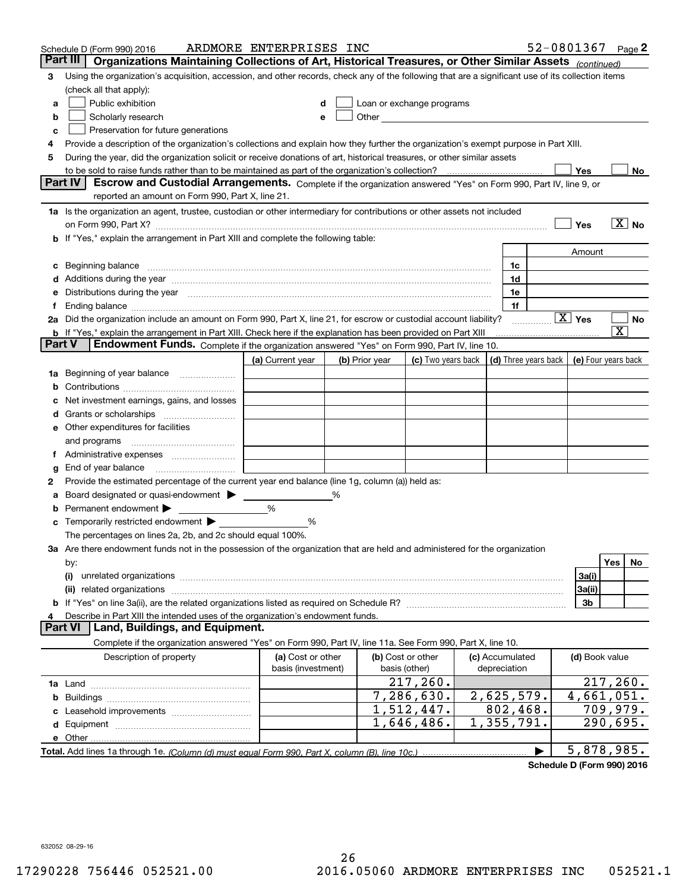|        | Schedule D (Form 990) 2016                                                                                                                                                                                                     | ARDMORE ENTERPRISES INC |   |                |                                                                                                                                                                                                                               |                 |                      | 52-0801367 Page 2      |                       |                   |
|--------|--------------------------------------------------------------------------------------------------------------------------------------------------------------------------------------------------------------------------------|-------------------------|---|----------------|-------------------------------------------------------------------------------------------------------------------------------------------------------------------------------------------------------------------------------|-----------------|----------------------|------------------------|-----------------------|-------------------|
|        | Part III<br>Organizations Maintaining Collections of Art, Historical Treasures, or Other Similar Assets (continued)                                                                                                            |                         |   |                |                                                                                                                                                                                                                               |                 |                      |                        |                       |                   |
| 3      | Using the organization's acquisition, accession, and other records, check any of the following that are a significant use of its collection items                                                                              |                         |   |                |                                                                                                                                                                                                                               |                 |                      |                        |                       |                   |
|        | (check all that apply):                                                                                                                                                                                                        |                         |   |                |                                                                                                                                                                                                                               |                 |                      |                        |                       |                   |
| a      | Public exhibition                                                                                                                                                                                                              |                         |   |                | Loan or exchange programs                                                                                                                                                                                                     |                 |                      |                        |                       |                   |
| b      | Scholarly research                                                                                                                                                                                                             | е                       |   |                | Other and the contract of the contract of the contract of the contract of the contract of the contract of the contract of the contract of the contract of the contract of the contract of the contract of the contract of the |                 |                      |                        |                       |                   |
| с      | Preservation for future generations                                                                                                                                                                                            |                         |   |                |                                                                                                                                                                                                                               |                 |                      |                        |                       |                   |
| 4      | Provide a description of the organization's collections and explain how they further the organization's exempt purpose in Part XIII.                                                                                           |                         |   |                |                                                                                                                                                                                                                               |                 |                      |                        |                       |                   |
| 5      | During the year, did the organization solicit or receive donations of art, historical treasures, or other similar assets                                                                                                       |                         |   |                |                                                                                                                                                                                                                               |                 |                      |                        |                       |                   |
|        | to be sold to raise funds rather than to be maintained as part of the organization's collection?                                                                                                                               |                         |   |                |                                                                                                                                                                                                                               |                 |                      | Yes                    |                       | No                |
|        | <b>Part IV</b><br>Escrow and Custodial Arrangements. Complete if the organization answered "Yes" on Form 990, Part IV, line 9, or                                                                                              |                         |   |                |                                                                                                                                                                                                                               |                 |                      |                        |                       |                   |
|        | reported an amount on Form 990, Part X, line 21.                                                                                                                                                                               |                         |   |                |                                                                                                                                                                                                                               |                 |                      |                        |                       |                   |
|        | 1a Is the organization an agent, trustee, custodian or other intermediary for contributions or other assets not included                                                                                                       |                         |   |                |                                                                                                                                                                                                                               |                 |                      |                        |                       |                   |
|        | on Form 990, Part X? [11] matter contracts and contracts and contracts are contracted and contracts are contracted and contract and contract of the contract of the contract of the contract of the contract of the contract o |                         |   |                |                                                                                                                                                                                                                               |                 |                      | Yes                    |                       | $\overline{X}$ No |
|        | b If "Yes," explain the arrangement in Part XIII and complete the following table:                                                                                                                                             |                         |   |                |                                                                                                                                                                                                                               |                 |                      |                        |                       |                   |
|        |                                                                                                                                                                                                                                |                         |   |                |                                                                                                                                                                                                                               |                 |                      | Amount                 |                       |                   |
| c      | Beginning balance material continuum contracts and contact the contract of the contract of the contract of the                                                                                                                 |                         |   |                |                                                                                                                                                                                                                               | 1c              |                      |                        |                       |                   |
|        | Additions during the year manufactured and an annual contract of the year manufactured and a set of the year manufactured and a set of the year manufactured and a set of the year manufactured and set of the set of the set  |                         |   |                |                                                                                                                                                                                                                               | 1d<br>1e        |                      |                        |                       |                   |
| Ť.     | Distributions during the year manufactured and continuum and continuum and continuum and continuum and continuum                                                                                                               |                         |   |                |                                                                                                                                                                                                                               | 1f              |                      |                        |                       |                   |
|        | 2a Did the organization include an amount on Form 990, Part X, line 21, for escrow or custodial account liability?                                                                                                             |                         |   |                |                                                                                                                                                                                                                               |                 |                      | $\boxed{\text{X}}$ Yes |                       | No                |
|        | <b>b</b> If "Yes," explain the arrangement in Part XIII. Check here if the explanation has been provided on Part XIII                                                                                                          |                         |   |                |                                                                                                                                                                                                                               |                 | .                    |                        | $\overline{\text{X}}$ |                   |
| Part V | Endowment Funds. Complete if the organization answered "Yes" on Form 990, Part IV, line 10.                                                                                                                                    |                         |   |                |                                                                                                                                                                                                                               |                 |                      |                        |                       |                   |
|        |                                                                                                                                                                                                                                | (a) Current year        |   | (b) Prior year | (c) Two years back                                                                                                                                                                                                            |                 | (d) Three years back | (e) Four years back    |                       |                   |
| 1a     | Beginning of year balance                                                                                                                                                                                                      |                         |   |                |                                                                                                                                                                                                                               |                 |                      |                        |                       |                   |
|        |                                                                                                                                                                                                                                |                         |   |                |                                                                                                                                                                                                                               |                 |                      |                        |                       |                   |
|        | Net investment earnings, gains, and losses                                                                                                                                                                                     |                         |   |                |                                                                                                                                                                                                                               |                 |                      |                        |                       |                   |
| d      |                                                                                                                                                                                                                                |                         |   |                |                                                                                                                                                                                                                               |                 |                      |                        |                       |                   |
|        | e Other expenditures for facilities                                                                                                                                                                                            |                         |   |                |                                                                                                                                                                                                                               |                 |                      |                        |                       |                   |
|        | and programs                                                                                                                                                                                                                   |                         |   |                |                                                                                                                                                                                                                               |                 |                      |                        |                       |                   |
|        |                                                                                                                                                                                                                                |                         |   |                |                                                                                                                                                                                                                               |                 |                      |                        |                       |                   |
| g      | End of year balance                                                                                                                                                                                                            |                         |   |                |                                                                                                                                                                                                                               |                 |                      |                        |                       |                   |
| 2      | Provide the estimated percentage of the current year end balance (line 1g, column (a)) held as:                                                                                                                                |                         |   |                |                                                                                                                                                                                                                               |                 |                      |                        |                       |                   |
| а      | Board designated or quasi-endowment                                                                                                                                                                                            |                         | % |                |                                                                                                                                                                                                                               |                 |                      |                        |                       |                   |
|        | Permanent endowment $\blacktriangleright$                                                                                                                                                                                      | %                       |   |                |                                                                                                                                                                                                                               |                 |                      |                        |                       |                   |
|        | Temporarily restricted endowment $\blacktriangleright$                                                                                                                                                                         | %                       |   |                |                                                                                                                                                                                                                               |                 |                      |                        |                       |                   |
|        | The percentages on lines 2a, 2b, and 2c should equal 100%.                                                                                                                                                                     |                         |   |                |                                                                                                                                                                                                                               |                 |                      |                        |                       |                   |
|        | 3a Are there endowment funds not in the possession of the organization that are held and administered for the organization                                                                                                     |                         |   |                |                                                                                                                                                                                                                               |                 |                      |                        |                       |                   |
|        | by:                                                                                                                                                                                                                            |                         |   |                |                                                                                                                                                                                                                               |                 |                      |                        | Yes                   | No.               |
|        | (i)                                                                                                                                                                                                                            |                         |   |                |                                                                                                                                                                                                                               |                 |                      | 3a(i)                  |                       |                   |
|        | (ii) related organizations                                                                                                                                                                                                     |                         |   |                |                                                                                                                                                                                                                               |                 |                      | 3a(ii)                 |                       |                   |
|        |                                                                                                                                                                                                                                |                         |   |                |                                                                                                                                                                                                                               |                 |                      | 3b                     |                       |                   |
|        | Describe in Part XIII the intended uses of the organization's endowment funds.<br>Land, Buildings, and Equipment.<br>Part VI                                                                                                   |                         |   |                |                                                                                                                                                                                                                               |                 |                      |                        |                       |                   |
|        | Complete if the organization answered "Yes" on Form 990, Part IV, line 11a. See Form 990, Part X, line 10.                                                                                                                     |                         |   |                |                                                                                                                                                                                                                               |                 |                      |                        |                       |                   |
|        | Description of property                                                                                                                                                                                                        | (a) Cost or other       |   |                | (b) Cost or other                                                                                                                                                                                                             | (c) Accumulated |                      | (d) Book value         |                       |                   |
|        |                                                                                                                                                                                                                                | basis (investment)      |   |                | basis (other)                                                                                                                                                                                                                 | depreciation    |                      |                        |                       |                   |
|        |                                                                                                                                                                                                                                |                         |   |                | 217, 260.                                                                                                                                                                                                                     |                 |                      | 217,260.               |                       |                   |
| b      |                                                                                                                                                                                                                                |                         |   |                | 7,286,630.                                                                                                                                                                                                                    | 2,625,579.      |                      | 4,661,051.             |                       |                   |
|        |                                                                                                                                                                                                                                |                         |   |                | 1,512,447.                                                                                                                                                                                                                    | 802, 468.       |                      | 709,979.               |                       |                   |
|        |                                                                                                                                                                                                                                |                         |   |                | 1,646,486.                                                                                                                                                                                                                    | 1,355,791.      |                      | 290,695.               |                       |                   |
|        |                                                                                                                                                                                                                                |                         |   |                |                                                                                                                                                                                                                               |                 |                      |                        |                       |                   |
|        |                                                                                                                                                                                                                                |                         |   |                |                                                                                                                                                                                                                               |                 |                      | 5,878,985.             |                       |                   |
|        |                                                                                                                                                                                                                                |                         |   |                |                                                                                                                                                                                                                               |                 |                      |                        |                       |                   |

**Schedule D (Form 990) 2016**

632052 08-29-16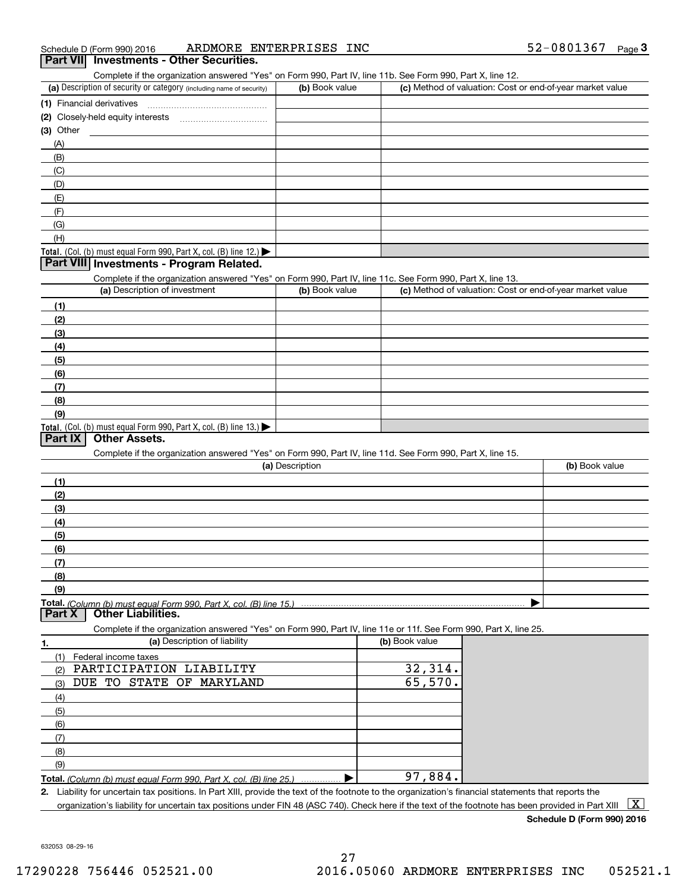| 52-0801367<br>INC<br>ENTERPRISES<br>ARDMORE<br>Schedule D (Form 990) 2016 |  | Page |
|---------------------------------------------------------------------------|--|------|
|---------------------------------------------------------------------------|--|------|

|                                                                                                                   | ARDMORE ENTERPRISES INC |                | 52-0801367<br>$Page$ <sup>3</sup>                         |
|-------------------------------------------------------------------------------------------------------------------|-------------------------|----------------|-----------------------------------------------------------|
| Part VII Investments - Other Securities.                                                                          |                         |                |                                                           |
| Complete if the organization answered "Yes" on Form 990, Part IV, line 11b. See Form 990, Part X, line 12.        |                         |                |                                                           |
| (a) Description of security or category (including name of security)                                              | (b) Book value          |                | (c) Method of valuation: Cost or end-of-year market value |
|                                                                                                                   |                         |                |                                                           |
|                                                                                                                   |                         |                |                                                           |
| $(3)$ Other                                                                                                       |                         |                |                                                           |
| (A)                                                                                                               |                         |                |                                                           |
| (B)                                                                                                               |                         |                |                                                           |
| (C)                                                                                                               |                         |                |                                                           |
| (D)                                                                                                               |                         |                |                                                           |
| (E)                                                                                                               |                         |                |                                                           |
| (F)                                                                                                               |                         |                |                                                           |
| (G)                                                                                                               |                         |                |                                                           |
| (H)                                                                                                               |                         |                |                                                           |
| Total. (Col. (b) must equal Form 990, Part X, col. (B) line 12.)                                                  |                         |                |                                                           |
| Part VIII Investments - Program Related.                                                                          |                         |                |                                                           |
| Complete if the organization answered "Yes" on Form 990, Part IV, line 11c. See Form 990, Part X, line 13.        |                         |                |                                                           |
| (a) Description of investment                                                                                     | (b) Book value          |                | (c) Method of valuation: Cost or end-of-year market value |
| (1)                                                                                                               |                         |                |                                                           |
| (2)                                                                                                               |                         |                |                                                           |
| (3)                                                                                                               |                         |                |                                                           |
| (4)                                                                                                               |                         |                |                                                           |
| (5)                                                                                                               |                         |                |                                                           |
| (6)                                                                                                               |                         |                |                                                           |
| (7)                                                                                                               |                         |                |                                                           |
| (8)                                                                                                               |                         |                |                                                           |
|                                                                                                                   |                         |                |                                                           |
| (9)                                                                                                               |                         |                |                                                           |
| Total. (Col. (b) must equal Form 990, Part X, col. (B) line 13.)                                                  |                         |                |                                                           |
| <b>Other Assets.</b><br>Part IX                                                                                   |                         |                |                                                           |
| Complete if the organization answered "Yes" on Form 990, Part IV, line 11d. See Form 990, Part X, line 15.        |                         |                |                                                           |
|                                                                                                                   | (a) Description         |                | (b) Book value                                            |
|                                                                                                                   |                         |                |                                                           |
| (1)                                                                                                               |                         |                |                                                           |
| (2)                                                                                                               |                         |                |                                                           |
| (3)                                                                                                               |                         |                |                                                           |
| (4)                                                                                                               |                         |                |                                                           |
| (5)                                                                                                               |                         |                |                                                           |
| (6)                                                                                                               |                         |                |                                                           |
| (7)                                                                                                               |                         |                |                                                           |
| (8)                                                                                                               |                         |                |                                                           |
| (9)                                                                                                               |                         |                |                                                           |
| <b>Other Liabilities.</b><br>Part X                                                                               |                         |                |                                                           |
|                                                                                                                   |                         |                |                                                           |
| Complete if the organization answered "Yes" on Form 990, Part IV, line 11e or 11f. See Form 990, Part X, line 25. |                         | (b) Book value |                                                           |
| (a) Description of liability<br>1.                                                                                |                         |                |                                                           |
| Federal income taxes<br>(1)                                                                                       |                         |                |                                                           |
| PARTICIPATION LIABILITY<br>(2)                                                                                    |                         | 32,314.        |                                                           |
| DUE TO STATE OF MARYLAND<br>(3)                                                                                   |                         | 65,570.        |                                                           |
| (4)                                                                                                               |                         |                |                                                           |
| (5)                                                                                                               |                         |                |                                                           |
| (6)                                                                                                               |                         |                |                                                           |
| (7)                                                                                                               |                         |                |                                                           |
| (8)                                                                                                               |                         |                |                                                           |
| (9)                                                                                                               |                         | 97,884.        |                                                           |

organization's liability for uncertain tax positions under FIN 48 (ASC 740). Check here if the text of the footnote has been provided in Part XIII  $~\boxed{\rm X}$ 

**Schedule D (Form 990) 2016**

632053 08-29-16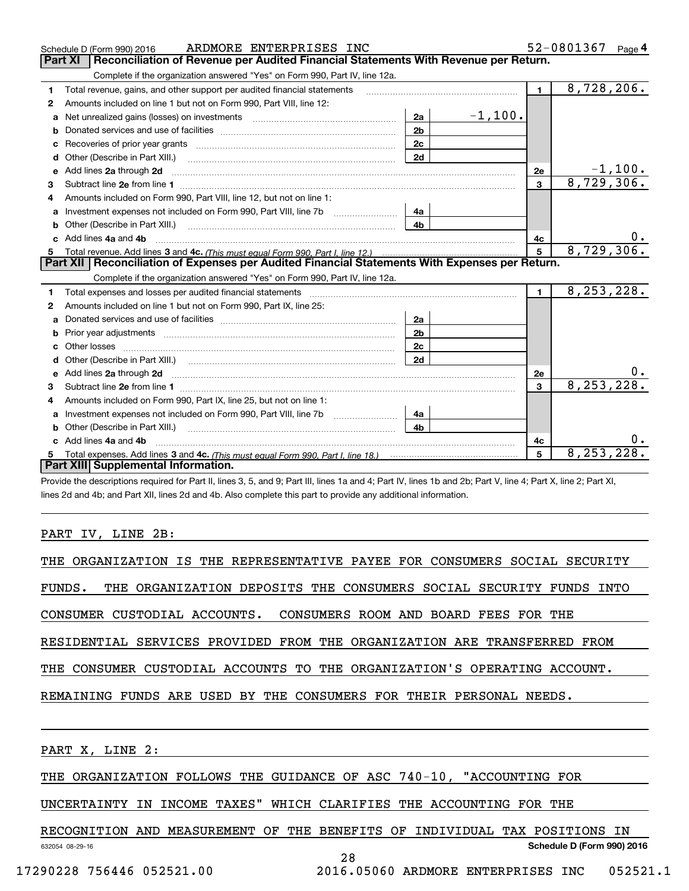|    | ARDMORE ENTERPRISES INC<br>Schedule D (Form 990) 2016                                                                                                                                                                               |                |           |                | 52-0801367   | Page $4$   |
|----|-------------------------------------------------------------------------------------------------------------------------------------------------------------------------------------------------------------------------------------|----------------|-----------|----------------|--------------|------------|
|    | <b>Part XI</b><br>Reconciliation of Revenue per Audited Financial Statements With Revenue per Return.                                                                                                                               |                |           |                |              |            |
|    | Complete if the organization answered "Yes" on Form 990, Part IV, line 12a.                                                                                                                                                         |                |           |                |              |            |
| 1  | Total revenue, gains, and other support per audited financial statements                                                                                                                                                            |                |           | $\blacksquare$ | 8,728,206.   |            |
| 2  | Amounts included on line 1 but not on Form 990, Part VIII, line 12:                                                                                                                                                                 |                |           |                |              |            |
| a  | Net unrealized gains (losses) on investments [11] matter contracts and the unrealized gains (losses) on investments                                                                                                                 | 2a             | $-1,100.$ |                |              |            |
|    |                                                                                                                                                                                                                                     | 2 <sub>b</sub> |           |                |              |            |
| с  | Recoveries of prior year grants [11] matter contracts and prior year grants [11] matter contracts and prior year grants and prior year of the contracts and prior year of the contracts and prior year of the contracts and pr      | 2c             |           |                |              |            |
| d  |                                                                                                                                                                                                                                     | 2d             |           |                |              |            |
| е  | Add lines 2a through 2d                                                                                                                                                                                                             |                |           | 2e             |              | $-1, 100.$ |
| З. |                                                                                                                                                                                                                                     |                |           | $\mathbf{3}$   | 8,729,306.   |            |
| 4  | Amounts included on Form 990, Part VIII, line 12, but not on line 1:                                                                                                                                                                |                |           |                |              |            |
|    |                                                                                                                                                                                                                                     | - 4а           |           |                |              |            |
| b  | Other (Describe in Part XIII.) <b>2006</b> 2007 2010 2010 2010 2010 2011 2012 2013 2014 2015 2016 2017 2018 2019 2016 2016 2017 2018 2019 2016 2017 2018 2019 2016 2017 2018 2019 2018 2019 2016 2017 2018 2019 2019 2018 2019 2018 | 4 <sub>h</sub> |           |                |              |            |
|    | Add lines 4a and 4b                                                                                                                                                                                                                 |                |           | 4с             |              | 0.         |
|    |                                                                                                                                                                                                                                     |                |           | 5              | 8,729,306.   |            |
|    |                                                                                                                                                                                                                                     |                |           |                |              |            |
|    | Part XII   Reconciliation of Expenses per Audited Financial Statements With Expenses per Return.                                                                                                                                    |                |           |                |              |            |
|    | Complete if the organization answered "Yes" on Form 990, Part IV, line 12a.                                                                                                                                                         |                |           |                |              |            |
| 1  | Total expenses and losses per audited financial statements                                                                                                                                                                          |                |           | $\blacksquare$ | 8, 253, 228. |            |
| 2  | Amounts included on line 1 but not on Form 990, Part IX, line 25:                                                                                                                                                                   |                |           |                |              |            |
| a  |                                                                                                                                                                                                                                     | 2a             |           |                |              |            |
|    |                                                                                                                                                                                                                                     | 2 <sub>b</sub> |           |                |              |            |
| с  |                                                                                                                                                                                                                                     | 2 <sub>c</sub> |           |                |              |            |
|    |                                                                                                                                                                                                                                     | 2d             |           |                |              |            |
|    | Add lines 2a through 2d <b>contained a contained a contained a contained a</b> contained a contained a contained a contained a contained a contained a contained a contained a contained a contained a contained a contained a cont |                |           | 2e             |              | 0.         |
| 3  |                                                                                                                                                                                                                                     |                |           | $\mathbf{a}$   | 8, 253, 228. |            |
| 4  | Amounts included on Form 990, Part IX, line 25, but not on line 1:                                                                                                                                                                  |                |           |                |              |            |
| a  | Investment expenses not included on Form 990, Part VIII, line 7b [1000000000000000000000000000000000                                                                                                                                | 4a             |           |                |              |            |
|    |                                                                                                                                                                                                                                     | 4b             |           |                |              |            |
|    | Add lines 4a and 4b                                                                                                                                                                                                                 |                |           | 4с             |              | 0.         |
|    | Part XIII Supplemental Information.                                                                                                                                                                                                 |                |           | 5              | 8, 253, 228. |            |

Provide the descriptions required for Part II, lines 3, 5, and 9; Part III, lines 1a and 4; Part IV, lines 1b and 2b; Part V, line 4; Part X, line 2; Part XI, lines 2d and 4b; and Part XII, lines 2d and 4b. Also complete this part to provide any additional information.

### PART IV, LINE 2B:

| THE ORGANIZATION IS THE REPRESENTATIVE PAYEE FOR CONSUMERS SOCIAL SECURITY   |
|------------------------------------------------------------------------------|
| THE ORGANIZATION DEPOSITS THE CONSUMERS SOCIAL SECURITY FUNDS INTO<br>FUNDS. |
| CONSUMER CUSTODIAL ACCOUNTS. CONSUMERS ROOM AND BOARD FEES FOR THE           |
| RESIDENTIAL SERVICES PROVIDED FROM THE ORGANIZATION ARE TRANSFERRED FROM     |
| THE CONSUMER CUSTODIAL ACCOUNTS TO THE ORGANIZATION'S OPERATING ACCOUNT.     |
| REMAINING FUNDS ARE USED BY THE CONSUMERS FOR THEIR PERSONAL NEEDS.          |
|                                                                              |
|                                                                              |

PART X, LINE 2:

THE ORGANIZATION FOLLOWS THE GUIDANCE OF ASC 740-10, "ACCOUNTING FOR

UNCERTAINTY IN INCOME TAXES" WHICH CLARIFIES THE ACCOUNTING FOR THE

632054 08-29-16 **Schedule D (Form 990) 2016** RECOGNITION AND MEASUREMENT OF THE BENEFITS OF INDIVIDUAL TAX POSITIONS IN

17290228 756446 052521.00 2016.05060 ARDMORE ENTERPRISES INC 052521.1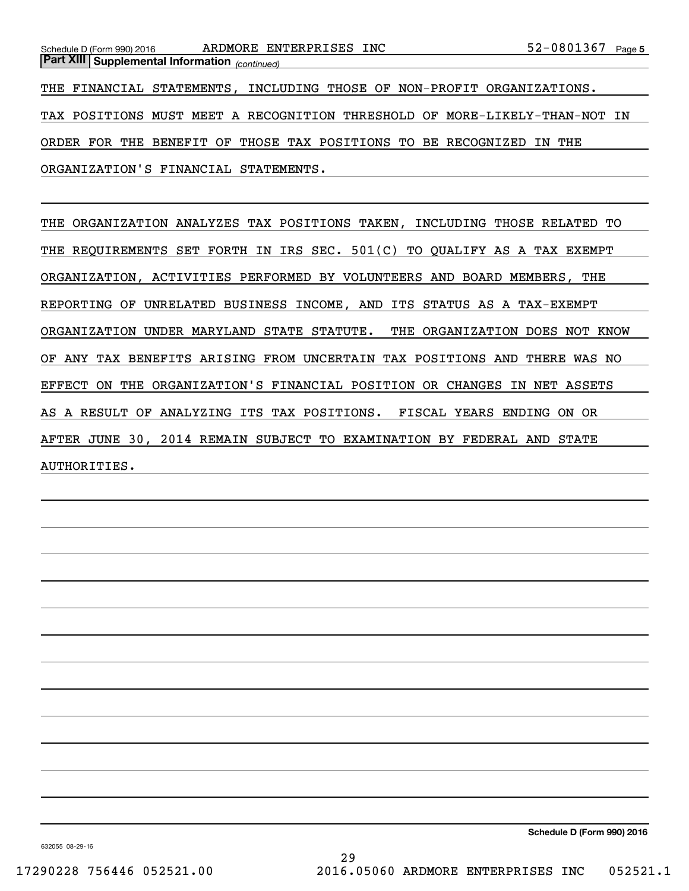*(continued)* **Part XIII Supplemental Information** 

THE FINANCIAL STATEMENTS, INCLUDING THOSE OF NON-PROFIT ORGANIZATIONS. TAX POSITIONS MUST MEET A RECOGNITION THRESHOLD OF MORE-LIKELY-THAN-NOT IN ORDER FOR THE BENEFIT OF THOSE TAX POSITIONS TO BE RECOGNIZED IN THE ORGANIZATION'S FINANCIAL STATEMENTS.

THE ORGANIZATION ANALYZES TAX POSITIONS TAKEN, INCLUDING THOSE RELATED TO THE REQUIREMENTS SET FORTH IN IRS SEC. 501(C) TO QUALIFY AS A TAX EXEMPT ORGANIZATION, ACTIVITIES PERFORMED BY VOLUNTEERS AND BOARD MEMBERS, THE REPORTING OF UNRELATED BUSINESS INCOME, AND ITS STATUS AS A TAX-EXEMPT ORGANIZATION UNDER MARYLAND STATE STATUTE. THE ORGANIZATION DOES NOT KNOW OF ANY TAX BENEFITS ARISING FROM UNCERTAIN TAX POSITIONS AND THERE WAS NO EFFECT ON THE ORGANIZATION'S FINANCIAL POSITION OR CHANGES IN NET ASSETS AS A RESULT OF ANALYZING ITS TAX POSITIONS. FISCAL YEARS ENDING ON OR AFTER JUNE 30, 2014 REMAIN SUBJECT TO EXAMINATION BY FEDERAL AND STATE AUTHORITIES.

**Schedule D (Form 990) 2016**

632055 08-29-16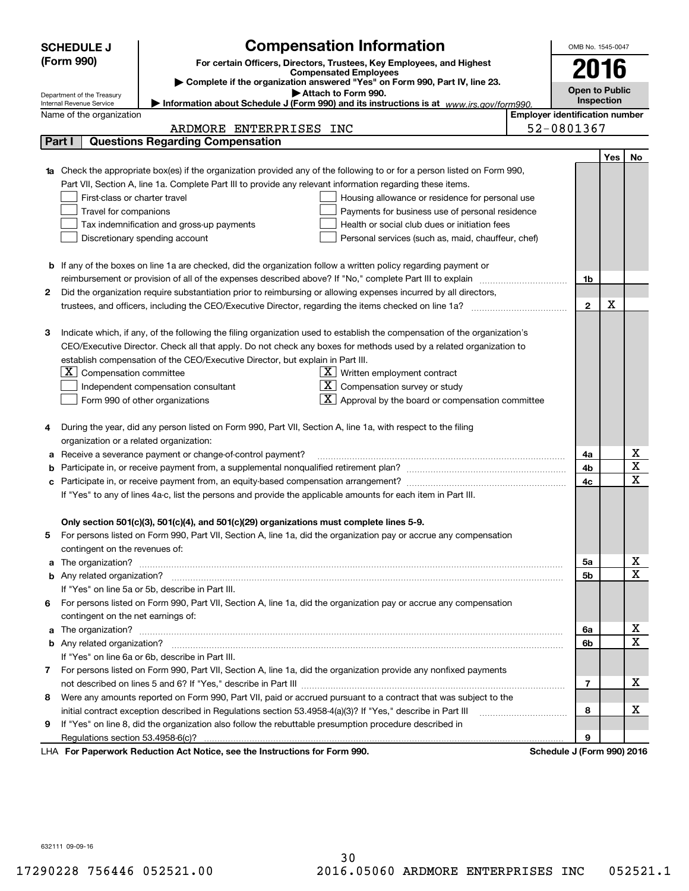|                                                   | <b>SCHEDULE J</b>                                                 |                                                                                                               | <b>Compensation Information</b>                                                                                           |  | OMB No. 1545-0047          |     |             |  |  |
|---------------------------------------------------|-------------------------------------------------------------------|---------------------------------------------------------------------------------------------------------------|---------------------------------------------------------------------------------------------------------------------------|--|----------------------------|-----|-------------|--|--|
|                                                   | (Form 990)                                                        |                                                                                                               | For certain Officers, Directors, Trustees, Key Employees, and Highest                                                     |  |                            |     |             |  |  |
|                                                   |                                                                   |                                                                                                               | <b>Compensated Employees</b>                                                                                              |  | 2016                       |     |             |  |  |
|                                                   |                                                                   |                                                                                                               | Complete if the organization answered "Yes" on Form 990, Part IV, line 23.<br>Attach to Form 990.                         |  | <b>Open to Public</b>      |     |             |  |  |
|                                                   | Department of the Treasury<br>Internal Revenue Service            |                                                                                                               | Information about Schedule J (Form 990) and its instructions is at www.irs.gov/form990.                                   |  | Inspection                 |     |             |  |  |
|                                                   | <b>Employer identification number</b><br>Name of the organization |                                                                                                               |                                                                                                                           |  |                            |     |             |  |  |
| 52-0801367<br>ARDMORE ENTERPRISES INC             |                                                                   |                                                                                                               |                                                                                                                           |  |                            |     |             |  |  |
| <b>Questions Regarding Compensation</b><br>Part I |                                                                   |                                                                                                               |                                                                                                                           |  |                            |     |             |  |  |
|                                                   |                                                                   |                                                                                                               |                                                                                                                           |  |                            | Yes | No          |  |  |
|                                                   |                                                                   |                                                                                                               | Check the appropriate box(es) if the organization provided any of the following to or for a person listed on Form 990,    |  |                            |     |             |  |  |
|                                                   |                                                                   | Part VII, Section A, line 1a. Complete Part III to provide any relevant information regarding these items.    |                                                                                                                           |  |                            |     |             |  |  |
|                                                   | First-class or charter travel                                     |                                                                                                               | Housing allowance or residence for personal use                                                                           |  |                            |     |             |  |  |
|                                                   | Travel for companions                                             |                                                                                                               | Payments for business use of personal residence                                                                           |  |                            |     |             |  |  |
|                                                   |                                                                   | Tax indemnification and gross-up payments                                                                     | Health or social club dues or initiation fees                                                                             |  |                            |     |             |  |  |
|                                                   |                                                                   | Discretionary spending account                                                                                | Personal services (such as, maid, chauffeur, chef)                                                                        |  |                            |     |             |  |  |
|                                                   |                                                                   |                                                                                                               |                                                                                                                           |  |                            |     |             |  |  |
|                                                   |                                                                   |                                                                                                               | <b>b</b> If any of the boxes on line 1a are checked, did the organization follow a written policy regarding payment or    |  |                            |     |             |  |  |
|                                                   |                                                                   |                                                                                                               |                                                                                                                           |  | 1b                         |     |             |  |  |
| 2                                                 |                                                                   |                                                                                                               | Did the organization require substantiation prior to reimbursing or allowing expenses incurred by all directors,          |  |                            |     |             |  |  |
|                                                   |                                                                   |                                                                                                               |                                                                                                                           |  | $\mathbf{2}$               | х   |             |  |  |
|                                                   |                                                                   |                                                                                                               |                                                                                                                           |  |                            |     |             |  |  |
| з                                                 |                                                                   |                                                                                                               | Indicate which, if any, of the following the filing organization used to establish the compensation of the organization's |  |                            |     |             |  |  |
|                                                   |                                                                   |                                                                                                               | CEO/Executive Director. Check all that apply. Do not check any boxes for methods used by a related organization to        |  |                            |     |             |  |  |
|                                                   |                                                                   | establish compensation of the CEO/Executive Director, but explain in Part III.                                |                                                                                                                           |  |                            |     |             |  |  |
|                                                   | $X$ Compensation committee                                        |                                                                                                               | $X$ Written employment contract                                                                                           |  |                            |     |             |  |  |
|                                                   |                                                                   | Independent compensation consultant                                                                           | $\overline{X}$ Compensation survey or study                                                                               |  |                            |     |             |  |  |
|                                                   |                                                                   | Form 990 of other organizations                                                                               | $\boxed{\textbf{X}}$ Approval by the board or compensation committee                                                      |  |                            |     |             |  |  |
|                                                   |                                                                   |                                                                                                               |                                                                                                                           |  |                            |     |             |  |  |
| 4                                                 |                                                                   | During the year, did any person listed on Form 990, Part VII, Section A, line 1a, with respect to the filing  |                                                                                                                           |  |                            |     |             |  |  |
|                                                   | organization or a related organization:                           |                                                                                                               |                                                                                                                           |  |                            |     | х           |  |  |
| а                                                 |                                                                   | Receive a severance payment or change-of-control payment?                                                     |                                                                                                                           |  | 4a                         |     | Χ           |  |  |
|                                                   |                                                                   |                                                                                                               |                                                                                                                           |  | 4b                         |     | $\mathbf x$ |  |  |
|                                                   |                                                                   |                                                                                                               |                                                                                                                           |  | 4c                         |     |             |  |  |
|                                                   |                                                                   | If "Yes" to any of lines 4a-c, list the persons and provide the applicable amounts for each item in Part III. |                                                                                                                           |  |                            |     |             |  |  |
|                                                   |                                                                   | Only section 501(c)(3), 501(c)(4), and 501(c)(29) organizations must complete lines 5-9.                      |                                                                                                                           |  |                            |     |             |  |  |
| 5                                                 |                                                                   |                                                                                                               | For persons listed on Form 990, Part VII, Section A, line 1a, did the organization pay or accrue any compensation         |  |                            |     |             |  |  |
|                                                   | contingent on the revenues of:                                    |                                                                                                               |                                                                                                                           |  |                            |     |             |  |  |
| a                                                 |                                                                   |                                                                                                               |                                                                                                                           |  | 5a                         |     | х           |  |  |
|                                                   |                                                                   |                                                                                                               |                                                                                                                           |  | 5b                         |     | $\mathbf x$ |  |  |
|                                                   |                                                                   | If "Yes" on line 5a or 5b, describe in Part III.                                                              |                                                                                                                           |  |                            |     |             |  |  |
| 6.                                                |                                                                   |                                                                                                               | For persons listed on Form 990, Part VII, Section A, line 1a, did the organization pay or accrue any compensation         |  |                            |     |             |  |  |
|                                                   | contingent on the net earnings of:                                |                                                                                                               |                                                                                                                           |  |                            |     |             |  |  |
| a                                                 |                                                                   |                                                                                                               |                                                                                                                           |  | 6a                         |     | х           |  |  |
|                                                   |                                                                   |                                                                                                               |                                                                                                                           |  | 6b                         |     | $\mathbf X$ |  |  |
|                                                   |                                                                   | If "Yes" on line 6a or 6b, describe in Part III.                                                              |                                                                                                                           |  |                            |     |             |  |  |
|                                                   |                                                                   |                                                                                                               | 7 For persons listed on Form 990, Part VII, Section A, line 1a, did the organization provide any nonfixed payments        |  |                            |     |             |  |  |
|                                                   |                                                                   |                                                                                                               |                                                                                                                           |  | 7                          |     | х           |  |  |
| 8                                                 |                                                                   |                                                                                                               | Were any amounts reported on Form 990, Part VII, paid or accrued pursuant to a contract that was subject to the           |  |                            |     |             |  |  |
|                                                   |                                                                   | initial contract exception described in Regulations section 53.4958-4(a)(3)? If "Yes," describe in Part III   |                                                                                                                           |  | 8                          |     | х           |  |  |
| 9                                                 |                                                                   | If "Yes" on line 8, did the organization also follow the rebuttable presumption procedure described in        |                                                                                                                           |  |                            |     |             |  |  |
|                                                   |                                                                   |                                                                                                               |                                                                                                                           |  | 9                          |     |             |  |  |
|                                                   |                                                                   | LHA For Paperwork Reduction Act Notice, see the Instructions for Form 990.                                    |                                                                                                                           |  | Schedule J (Form 990) 2016 |     |             |  |  |

632111 09-09-16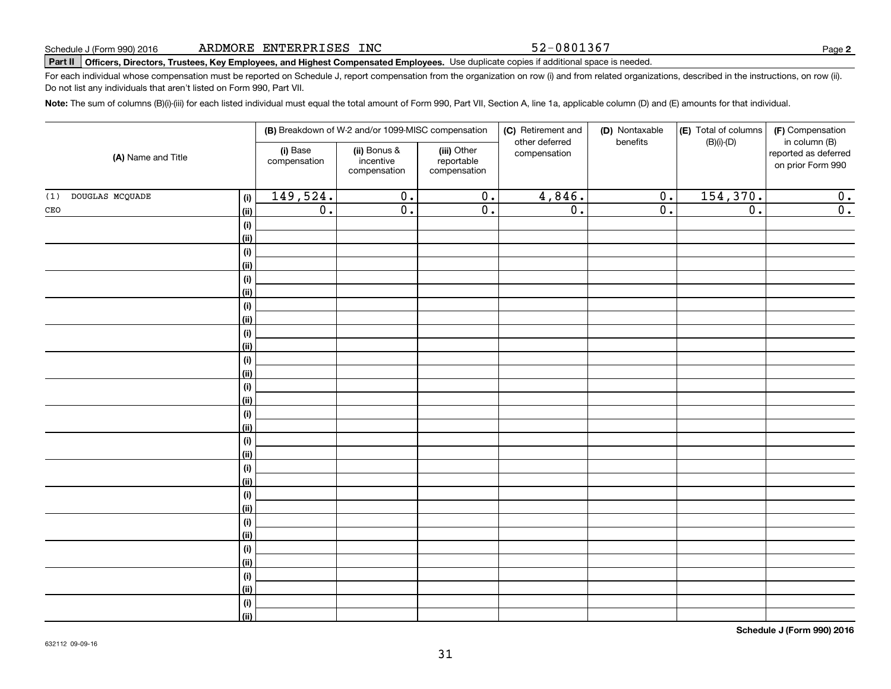52-0801367

**2**

# **Part II Officers, Directors, Trustees, Key Employees, and Highest Compensated Employees.**  Schedule J (Form 990) 2016 Page Use duplicate copies if additional space is needed.

For each individual whose compensation must be reported on Schedule J, report compensation from the organization on row (i) and from related organizations, described in the instructions, on row (ii). Do not list any individuals that aren't listed on Form 990, Part VII.

**Note:**  The sum of columns (B)(i)-(iii) for each listed individual must equal the total amount of Form 990, Part VII, Section A, line 1a, applicable column (D) and (E) amounts for that individual.

| (A) Name and Title     |                |                          | (B) Breakdown of W-2 and/or 1099-MISC compensation |                                           | (C) Retirement and<br>other deferred | (D) Nontaxable<br>benefits  | (E) Total of columns<br>$(B)(i)-(D)$ | (F) Compensation<br>in column (B)         |
|------------------------|----------------|--------------------------|----------------------------------------------------|-------------------------------------------|--------------------------------------|-----------------------------|--------------------------------------|-------------------------------------------|
|                        |                | (i) Base<br>compensation | (ii) Bonus &<br>incentive<br>compensation          | (iii) Other<br>reportable<br>compensation | compensation                         |                             |                                      | reported as deferred<br>on prior Form 990 |
| DOUGLAS MCQUADE<br>(1) | (i)            | 149,524.                 | $\overline{0}$ .                                   | $\overline{0}$ .                          | 4,846.                               | $\overline{0}$ .            | 154,370.                             | $\overline{0}$ .                          |
| $\mathtt{CEO}$         | (ii)           | $\overline{0}$ .         | $\overline{\mathfrak{o}}$ .                        | $\overline{0}$ .                          | $\overline{0}$ .                     | $\overline{\mathfrak{0}}$ . | $\overline{0}$ .                     | $\overline{0}$ .                          |
|                        | (i)            |                          |                                                    |                                           |                                      |                             |                                      |                                           |
|                        | (ii)           |                          |                                                    |                                           |                                      |                             |                                      |                                           |
|                        | (i)            |                          |                                                    |                                           |                                      |                             |                                      |                                           |
|                        | (ii)           |                          |                                                    |                                           |                                      |                             |                                      |                                           |
|                        | (i)            |                          |                                                    |                                           |                                      |                             |                                      |                                           |
|                        | <u>(ii)</u>    |                          |                                                    |                                           |                                      |                             |                                      |                                           |
|                        | (i)            |                          |                                                    |                                           |                                      |                             |                                      |                                           |
|                        | (ii)           |                          |                                                    |                                           |                                      |                             |                                      |                                           |
|                        | (i)            |                          |                                                    |                                           |                                      |                             |                                      |                                           |
|                        | (ii)           |                          |                                                    |                                           |                                      |                             |                                      |                                           |
|                        | (i)            |                          |                                                    |                                           |                                      |                             |                                      |                                           |
|                        | (ii)           |                          |                                                    |                                           |                                      |                             |                                      |                                           |
|                        | (i)<br>(ii)    |                          |                                                    |                                           |                                      |                             |                                      |                                           |
|                        | (i)            |                          |                                                    |                                           |                                      |                             |                                      |                                           |
|                        | <u>(ii)</u>    |                          |                                                    |                                           |                                      |                             |                                      |                                           |
|                        | (i)            |                          |                                                    |                                           |                                      |                             |                                      |                                           |
|                        | <u>(ii)</u>    |                          |                                                    |                                           |                                      |                             |                                      |                                           |
|                        | (i)            |                          |                                                    |                                           |                                      |                             |                                      |                                           |
|                        | <u>(ii)</u>    |                          |                                                    |                                           |                                      |                             |                                      |                                           |
|                        | (i)            |                          |                                                    |                                           |                                      |                             |                                      |                                           |
|                        | <u>(ii)</u>    |                          |                                                    |                                           |                                      |                             |                                      |                                           |
|                        | (i)            |                          |                                                    |                                           |                                      |                             |                                      |                                           |
|                        | <u>(ii)</u>    |                          |                                                    |                                           |                                      |                             |                                      |                                           |
|                        | (i)            |                          |                                                    |                                           |                                      |                             |                                      |                                           |
|                        | <u>(ii)</u>    |                          |                                                    |                                           |                                      |                             |                                      |                                           |
|                        | (i)            |                          |                                                    |                                           |                                      |                             |                                      |                                           |
|                        | <u>(ii)</u>    |                          |                                                    |                                           |                                      |                             |                                      |                                           |
|                        | (i)            |                          |                                                    |                                           |                                      |                             |                                      |                                           |
|                        | $\overline{}}$ |                          |                                                    |                                           |                                      |                             |                                      |                                           |

**Schedule J (Form 990) 2016**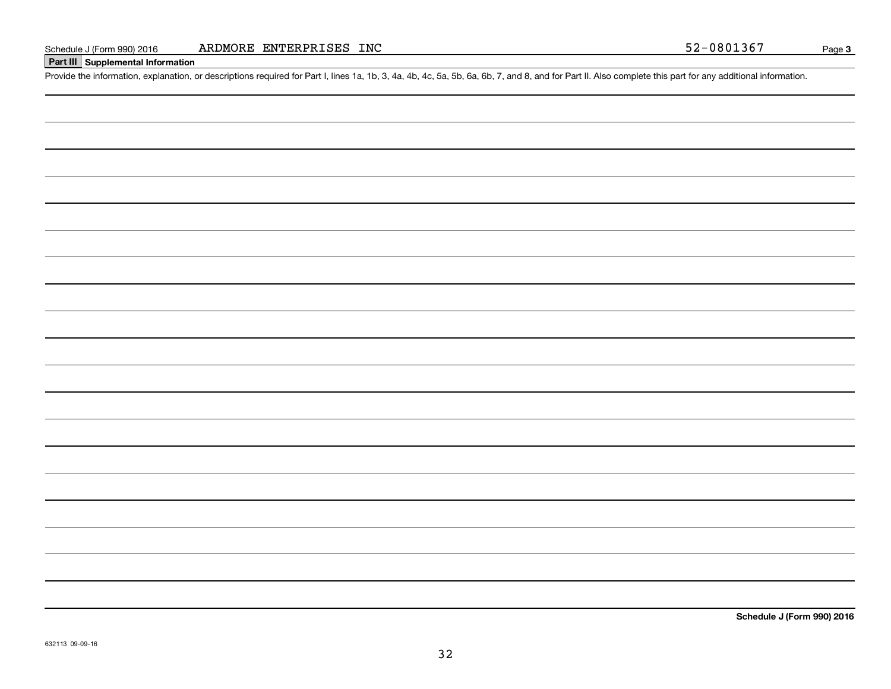### **Part III Supplemental Information**

Schedule J (Form 990) 2016 ARDMORE ENTERPRISES INC<br>Part III Supplemental Information<br>Provide the information, explanation, or descriptions required for Part I, lines 1a, 1b, 3, 4a, 4b, 4c, 5a, 5b, 6a, 6b, 7, and 8, and for

**Schedule J (Form 990) 2016**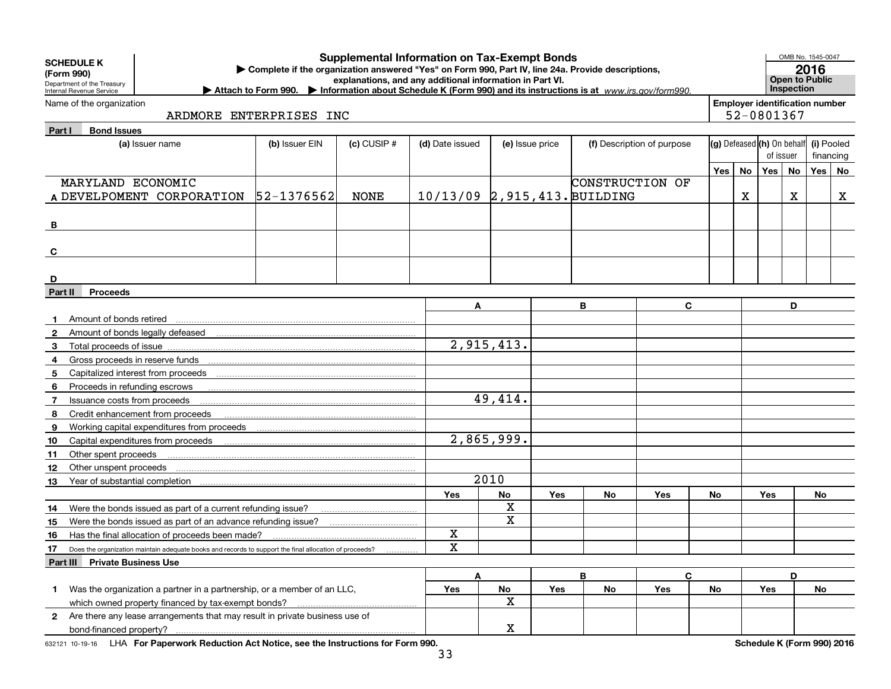|                | <b>Supplemental Information on Tax-Exempt Bonds</b><br><b>SCHEDULE K</b><br>Complete if the organization answered "Yes" on Form 990, Part IV, line 24a. Provide descriptions,<br>(Form 990)<br>explanations, and any additional information in Part VI.<br>Department of the Treasury<br>Internal Revenue Service<br>Attach to Form 990. Information about Schedule K (Form 990) and its instructions is at www.irs.gov/form990. |                                                                                                                             |                |                 |                                |                         |     |                 |                            | OMB No. 1545-0047<br>2016<br><b>Open to Public</b><br>Inspection |                                                     |           |    |                         |
|----------------|----------------------------------------------------------------------------------------------------------------------------------------------------------------------------------------------------------------------------------------------------------------------------------------------------------------------------------------------------------------------------------------------------------------------------------|-----------------------------------------------------------------------------------------------------------------------------|----------------|-----------------|--------------------------------|-------------------------|-----|-----------------|----------------------------|------------------------------------------------------------------|-----------------------------------------------------|-----------|----|-------------------------|
|                | Name of the organization<br>ARDMORE ENTERPRISES INC                                                                                                                                                                                                                                                                                                                                                                              |                                                                                                                             |                |                 |                                |                         |     |                 |                            |                                                                  | <b>Employer identification number</b><br>52-0801367 |           |    |                         |
| Part I         | <b>Bond Issues</b>                                                                                                                                                                                                                                                                                                                                                                                                               | (a) Issuer name                                                                                                             | (b) Issuer EIN | $(c)$ CUSIP $#$ | (d) Date issued                | (e) Issue price         |     |                 | (f) Description of purpose |                                                                  | (g) Defeased (h) On behalf                          | of issuer |    | (i) Pooled<br>financing |
|                |                                                                                                                                                                                                                                                                                                                                                                                                                                  |                                                                                                                             |                |                 |                                |                         |     |                 |                            | Yes                                                              | No                                                  | No<br>Yes |    | Yes   No                |
|                | MARYLAND ECONOMIC                                                                                                                                                                                                                                                                                                                                                                                                                |                                                                                                                             |                |                 |                                |                         |     | CONSTRUCTION OF |                            |                                                                  |                                                     |           |    |                         |
|                |                                                                                                                                                                                                                                                                                                                                                                                                                                  | A DEVELPOMENT CORPORATION 52-1376562                                                                                        |                | <b>NONE</b>     | 10/13/09 2, 915, 413. BUILDING |                         |     |                 |                            |                                                                  | x                                                   | х         |    | X                       |
| B              |                                                                                                                                                                                                                                                                                                                                                                                                                                  |                                                                                                                             |                |                 |                                |                         |     |                 |                            |                                                                  |                                                     |           |    |                         |
| C              |                                                                                                                                                                                                                                                                                                                                                                                                                                  |                                                                                                                             |                |                 |                                |                         |     |                 |                            |                                                                  |                                                     |           |    |                         |
| D              |                                                                                                                                                                                                                                                                                                                                                                                                                                  |                                                                                                                             |                |                 |                                |                         |     |                 |                            |                                                                  |                                                     |           |    |                         |
| <b>Part II</b> | <b>Proceeds</b>                                                                                                                                                                                                                                                                                                                                                                                                                  |                                                                                                                             |                |                 |                                |                         |     |                 |                            |                                                                  |                                                     |           |    |                         |
|                |                                                                                                                                                                                                                                                                                                                                                                                                                                  |                                                                                                                             |                |                 | Α                              |                         |     | В               | C                          |                                                                  |                                                     | D         |    |                         |
| $\mathbf{2}$   |                                                                                                                                                                                                                                                                                                                                                                                                                                  | Amount of bonds retired <b>construction</b> contains and an amount of bonds retired contains and an amount of bonds retired |                |                 |                                |                         |     |                 |                            |                                                                  |                                                     |           |    |                         |
| 3              | Total proceeds of issue                                                                                                                                                                                                                                                                                                                                                                                                          |                                                                                                                             |                |                 |                                | 2,915,413.              |     |                 |                            |                                                                  |                                                     |           |    |                         |
| 4              |                                                                                                                                                                                                                                                                                                                                                                                                                                  |                                                                                                                             |                |                 |                                |                         |     |                 |                            |                                                                  |                                                     |           |    |                         |
| 5              |                                                                                                                                                                                                                                                                                                                                                                                                                                  |                                                                                                                             |                |                 |                                |                         |     |                 |                            |                                                                  |                                                     |           |    |                         |
| 6              | Proceeds in refunding escrows                                                                                                                                                                                                                                                                                                                                                                                                    |                                                                                                                             |                |                 |                                |                         |     |                 |                            |                                                                  |                                                     |           |    |                         |
| 7              | Issuance costs from proceeds                                                                                                                                                                                                                                                                                                                                                                                                     |                                                                                                                             |                |                 |                                | 49,414.                 |     |                 |                            |                                                                  |                                                     |           |    |                         |
| 8              |                                                                                                                                                                                                                                                                                                                                                                                                                                  | Credit enhancement from proceeds                                                                                            |                |                 |                                |                         |     |                 |                            |                                                                  |                                                     |           |    |                         |
| 9              |                                                                                                                                                                                                                                                                                                                                                                                                                                  |                                                                                                                             |                |                 |                                |                         |     |                 |                            |                                                                  |                                                     |           |    |                         |
| 10             |                                                                                                                                                                                                                                                                                                                                                                                                                                  | Capital expenditures from proceeds                                                                                          |                |                 |                                | 2,865,999.              |     |                 |                            |                                                                  |                                                     |           |    |                         |
| 11             | Other spent proceeds                                                                                                                                                                                                                                                                                                                                                                                                             |                                                                                                                             |                |                 |                                |                         |     |                 |                            |                                                                  |                                                     |           |    |                         |
| 12             | Other unspent proceeds                                                                                                                                                                                                                                                                                                                                                                                                           |                                                                                                                             |                |                 |                                |                         |     |                 |                            |                                                                  |                                                     |           |    |                         |
| 13             | Year of substantial completion                                                                                                                                                                                                                                                                                                                                                                                                   |                                                                                                                             |                |                 |                                | 2010                    |     |                 |                            |                                                                  |                                                     |           |    |                         |
|                |                                                                                                                                                                                                                                                                                                                                                                                                                                  |                                                                                                                             |                |                 | Yes                            | No                      | Yes | No              | Yes                        | No                                                               |                                                     | Yes       | No |                         |
| 14             |                                                                                                                                                                                                                                                                                                                                                                                                                                  | Were the bonds issued as part of a current refunding issue?                                                                 |                |                 |                                | X                       |     |                 |                            |                                                                  |                                                     |           |    |                         |
| 15             |                                                                                                                                                                                                                                                                                                                                                                                                                                  | Were the bonds issued as part of an advance refunding issue?                                                                |                |                 |                                | $\mathbf X$             |     |                 |                            |                                                                  |                                                     |           |    |                         |
| 16             |                                                                                                                                                                                                                                                                                                                                                                                                                                  | Has the final allocation of proceeds been made?                                                                             |                |                 | X                              |                         |     |                 |                            |                                                                  |                                                     |           |    |                         |
| 17             |                                                                                                                                                                                                                                                                                                                                                                                                                                  | Does the organization maintain adequate books and records to support the final allocation of proceeds?                      |                |                 | $\mathbf x$                    |                         |     |                 |                            |                                                                  |                                                     |           |    |                         |
|                | Part III Private Business Use                                                                                                                                                                                                                                                                                                                                                                                                    |                                                                                                                             |                |                 |                                |                         |     |                 |                            |                                                                  |                                                     |           |    |                         |
| 1.             |                                                                                                                                                                                                                                                                                                                                                                                                                                  | Was the organization a partner in a partnership, or a member of an LLC,                                                     |                |                 | A<br>Yes                       | No                      | Yes | B<br>No         | C<br>Yes                   | No                                                               |                                                     | D<br>Yes  | No |                         |
|                |                                                                                                                                                                                                                                                                                                                                                                                                                                  | which owned property financed by tax-exempt bonds?                                                                          |                |                 |                                | $\overline{\mathbf{X}}$ |     |                 |                            |                                                                  |                                                     |           |    |                         |
|                |                                                                                                                                                                                                                                                                                                                                                                                                                                  | 2 Are there any lease arrangements that may result in private business use of                                               |                |                 |                                |                         |     |                 |                            |                                                                  |                                                     |           |    |                         |
|                |                                                                                                                                                                                                                                                                                                                                                                                                                                  |                                                                                                                             |                |                 |                                | X                       |     |                 |                            |                                                                  |                                                     |           |    |                         |

632121 10-19-16 LHA For Paperwork Reduction Act Notice, see the Instructions for Form 990. **Schedule K (Form 990) 2016**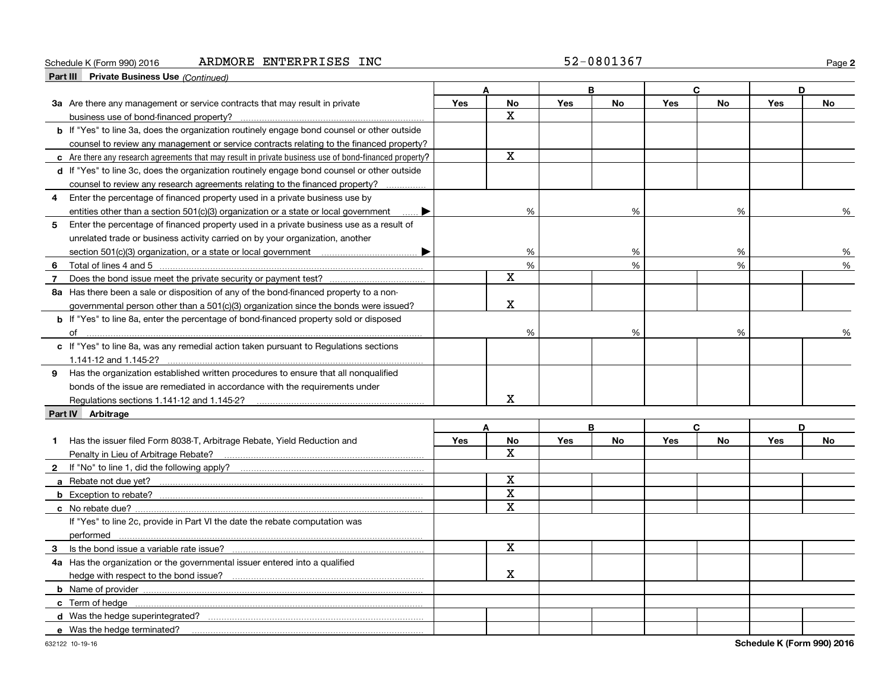#### Schedule K (Form 990) 2016 Page ARDMORE ENTERPRISES INC 52-0801367

**2**

| <b>Part III</b> Private Business Use (Continued)                                                       |            |                         |            |           |            |           |            |           |
|--------------------------------------------------------------------------------------------------------|------------|-------------------------|------------|-----------|------------|-----------|------------|-----------|
|                                                                                                        |            | A                       |            | B         |            | C.        |            | D         |
| 3a Are there any management or service contracts that may result in private                            | Yes        | <b>No</b>               | <b>Yes</b> | No        | Yes        | No        | Yes        | <b>No</b> |
| business use of bond-financed property?                                                                |            | X.                      |            |           |            |           |            |           |
| <b>b</b> If "Yes" to line 3a, does the organization routinely engage bond counsel or other outside     |            |                         |            |           |            |           |            |           |
| counsel to review any management or service contracts relating to the financed property?               |            |                         |            |           |            |           |            |           |
| c Are there any research agreements that may result in private business use of bond-financed property? |            | $\mathbf X$             |            |           |            |           |            |           |
| d If "Yes" to line 3c, does the organization routinely engage bond counsel or other outside            |            |                         |            |           |            |           |            |           |
| counsel to review any research agreements relating to the financed property?                           |            |                         |            |           |            |           |            |           |
| Enter the percentage of financed property used in a private business use by<br>4                       |            |                         |            |           |            |           |            |           |
| entities other than a section 501(c)(3) organization or a state or local government                    |            | %                       |            | %         |            | %         |            | %         |
| 5<br>Enter the percentage of financed property used in a private business use as a result of           |            |                         |            |           |            |           |            |           |
| unrelated trade or business activity carried on by your organization, another                          |            |                         |            |           |            |           |            |           |
|                                                                                                        |            | %                       |            | %         |            | %         |            | %         |
| 6                                                                                                      |            | %                       |            | %         |            | %         |            | %         |
| $\overline{7}$                                                                                         |            | $\mathbf X$             |            |           |            |           |            |           |
| 8a Has there been a sale or disposition of any of the bond-financed property to a non-                 |            |                         |            |           |            |           |            |           |
| governmental person other than a $501(c)(3)$ organization since the bonds were issued?                 |            | $\mathbf X$             |            |           |            |           |            |           |
| <b>b</b> If "Yes" to line 8a, enter the percentage of bond-financed property sold or disposed          |            |                         |            |           |            |           |            |           |
|                                                                                                        |            | %                       |            | %         |            | %         |            | %         |
| c If "Yes" to line 8a, was any remedial action taken pursuant to Regulations sections                  |            |                         |            |           |            |           |            |           |
| 1.141-12 and 1.145-2?                                                                                  |            |                         |            |           |            |           |            |           |
| 9 Has the organization established written procedures to ensure that all nonqualified                  |            |                         |            |           |            |           |            |           |
| bonds of the issue are remediated in accordance with the requirements under                            |            |                         |            |           |            |           |            |           |
| Regulations sections 1.141-12 and 1.145-2?                                                             |            | X.                      |            |           |            |           |            |           |
| Part IV Arbitrage                                                                                      |            |                         |            |           |            |           |            |           |
|                                                                                                        |            | A                       |            | B         |            | C         |            | D         |
| Has the issuer filed Form 8038-T, Arbitrage Rebate, Yield Reduction and<br>$\mathbf 1$                 | <b>Yes</b> | <b>No</b>               | <b>Yes</b> | <b>No</b> | <b>Yes</b> | <b>No</b> | <b>Yes</b> | <b>No</b> |
|                                                                                                        |            | x                       |            |           |            |           |            |           |
|                                                                                                        |            |                         |            |           |            |           |            |           |
|                                                                                                        |            | X                       |            |           |            |           |            |           |
|                                                                                                        |            | $\overline{\mathbf{x}}$ |            |           |            |           |            |           |
|                                                                                                        |            | $\overline{\mathbf{x}}$ |            |           |            |           |            |           |
| If "Yes" to line 2c, provide in Part VI the date the rebate computation was                            |            |                         |            |           |            |           |            |           |
|                                                                                                        |            |                         |            |           |            |           |            |           |
|                                                                                                        |            | $\mathbf X$             |            |           |            |           |            |           |
| 4a Has the organization or the governmental issuer entered into a qualified                            |            |                         |            |           |            |           |            |           |
|                                                                                                        |            | X                       |            |           |            |           |            |           |
|                                                                                                        |            |                         |            |           |            |           |            |           |
|                                                                                                        |            |                         |            |           |            |           |            |           |
|                                                                                                        |            |                         |            |           |            |           |            |           |
| e Was the hedge terminated?                                                                            |            |                         |            |           |            |           |            |           |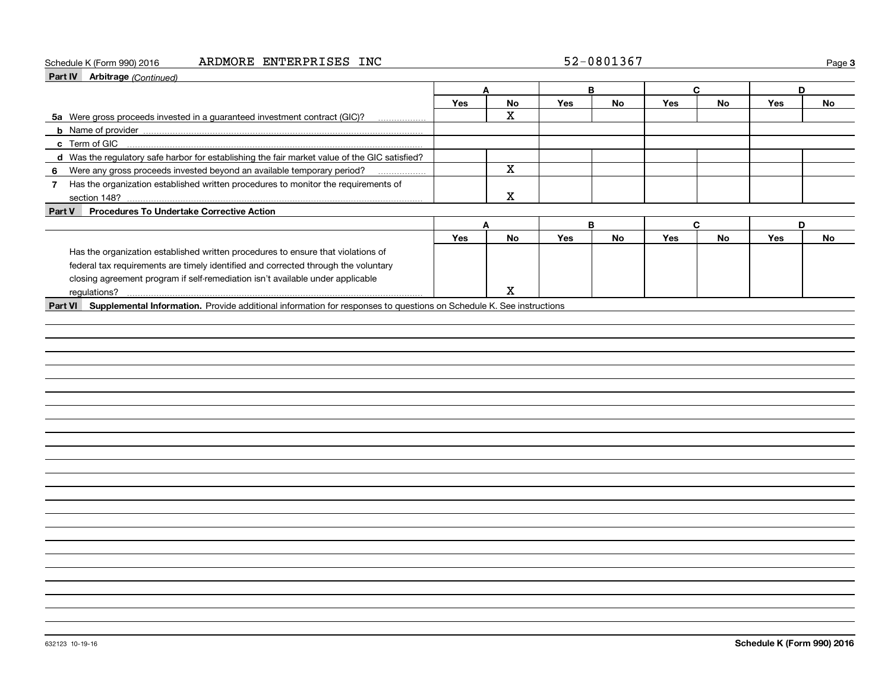#### Schedule K (Form 990) 2016 Page ARDMORE ENTERPRISES INC 52-0801367

| 52-0801367 |
|------------|
|------------|

**3**

| <b>Part IV</b> Arbitrage (Continued)                                                                                        |            |                         |     |           |     |              |            |    |
|-----------------------------------------------------------------------------------------------------------------------------|------------|-------------------------|-----|-----------|-----|--------------|------------|----|
|                                                                                                                             |            | A                       |     | B         |     | $\mathbf{C}$ | D          |    |
|                                                                                                                             | <b>Yes</b> | No                      | Yes | No        | Yes | <b>No</b>    | Yes        | No |
| 5a Were gross proceeds invested in a guaranteed investment contract (GIC)?                                                  |            | $\overline{\mathbf{x}}$ |     |           |     |              |            |    |
|                                                                                                                             |            |                         |     |           |     |              |            |    |
| c Term of GIC                                                                                                               |            |                         |     |           |     |              |            |    |
| d Was the regulatory safe harbor for establishing the fair market value of the GIC satisfied?                               |            |                         |     |           |     |              |            |    |
| 6 Were any gross proceeds invested beyond an available temporary period?                                                    |            | $\overline{\mathbf{x}}$ |     |           |     |              |            |    |
| Has the organization established written procedures to monitor the requirements of<br>7 <sup>7</sup>                        |            |                         |     |           |     |              |            |    |
|                                                                                                                             |            | X                       |     |           |     |              |            |    |
| <b>Procedures To Undertake Corrective Action</b><br>Part V                                                                  |            |                         |     |           |     |              |            |    |
|                                                                                                                             |            | A                       |     | B         |     | $\mathbf{C}$ | D          |    |
|                                                                                                                             | <b>Yes</b> | <b>No</b>               | Yes | <b>No</b> | Yes | <b>No</b>    | <b>Yes</b> | No |
| Has the organization established written procedures to ensure that violations of                                            |            |                         |     |           |     |              |            |    |
| federal tax requirements are timely identified and corrected through the voluntary                                          |            |                         |     |           |     |              |            |    |
| closing agreement program if self-remediation isn't available under applicable                                              |            |                         |     |           |     |              |            |    |
|                                                                                                                             |            | $\mathbf X$             |     |           |     |              |            |    |
| Part VI Supplemental Information. Provide additional information for responses to questions on Schedule K. See instructions |            |                         |     |           |     |              |            |    |
|                                                                                                                             |            |                         |     |           |     |              |            |    |
|                                                                                                                             |            |                         |     |           |     |              |            |    |
|                                                                                                                             |            |                         |     |           |     |              |            |    |
|                                                                                                                             |            |                         |     |           |     |              |            |    |
|                                                                                                                             |            |                         |     |           |     |              |            |    |
|                                                                                                                             |            |                         |     |           |     |              |            |    |
|                                                                                                                             |            |                         |     |           |     |              |            |    |
|                                                                                                                             |            |                         |     |           |     |              |            |    |
|                                                                                                                             |            |                         |     |           |     |              |            |    |
|                                                                                                                             |            |                         |     |           |     |              |            |    |
|                                                                                                                             |            |                         |     |           |     |              |            |    |
|                                                                                                                             |            |                         |     |           |     |              |            |    |
|                                                                                                                             |            |                         |     |           |     |              |            |    |
|                                                                                                                             |            |                         |     |           |     |              |            |    |
|                                                                                                                             |            |                         |     |           |     |              |            |    |
|                                                                                                                             |            |                         |     |           |     |              |            |    |
|                                                                                                                             |            |                         |     |           |     |              |            |    |
|                                                                                                                             |            |                         |     |           |     |              |            |    |
|                                                                                                                             |            |                         |     |           |     |              |            |    |
|                                                                                                                             |            |                         |     |           |     |              |            |    |
|                                                                                                                             |            |                         |     |           |     |              |            |    |
|                                                                                                                             |            |                         |     |           |     |              |            |    |
|                                                                                                                             |            |                         |     |           |     |              |            |    |
|                                                                                                                             |            |                         |     |           |     |              |            |    |
|                                                                                                                             |            |                         |     |           |     |              |            |    |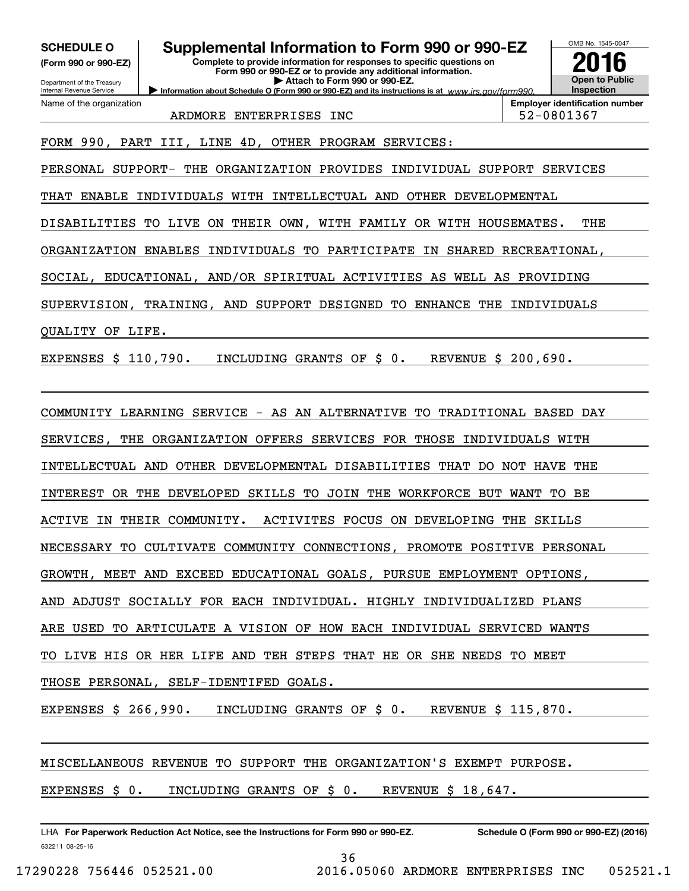**(Form 990 or 990-EZ)**

Department of the Treasury Internal Revenue Service Name of the organization

# **SCHEDULE O Supplemental Information to Form 990 or 990-EZ**

**Information about Schedule O (Form 990 or 990-EZ) and its instructions is at**  $www.irs.gov/form990.$ **Complete to provide information for responses to specific questions on Form 990 or 990-EZ or to provide any additional information. | Attach to Form 990 or 990-EZ.**



ARDMORE ENTERPRISES INC  $\vert$  52-0801367

FORM 990, PART III, LINE 4D, OTHER PROGRAM SERVICES:

PERSONAL SUPPORT- THE ORGANIZATION PROVIDES INDIVIDUAL SUPPORT SERVICES

THAT ENABLE INDIVIDUALS WITH INTELLECTUAL AND OTHER DEVELOPMENTAL

DISABILITIES TO LIVE ON THEIR OWN, WITH FAMILY OR WITH HOUSEMATES. THE

ORGANIZATION ENABLES INDIVIDUALS TO PARTICIPATE IN SHARED RECREATIONAL,

SOCIAL, EDUCATIONAL, AND/OR SPIRITUAL ACTIVITIES AS WELL AS PROVIDING

SUPERVISION, TRAINING, AND SUPPORT DESIGNED TO ENHANCE THE INDIVIDUALS

QUALITY OF LIFE.

EXPENSES \$ 110,790. INCLUDING GRANTS OF \$ 0. REVENUE \$ 200,690.

COMMUNITY LEARNING SERVICE - AS AN ALTERNATIVE TO TRADITIONAL BASED DAY SERVICES, THE ORGANIZATION OFFERS SERVICES FOR THOSE INDIVIDUALS WITH INTELLECTUAL AND OTHER DEVELOPMENTAL DISABILITIES THAT DO NOT HAVE THE INTEREST OR THE DEVELOPED SKILLS TO JOIN THE WORKFORCE BUT WANT TO BE ACTIVE IN THEIR COMMUNITY. ACTIVITES FOCUS ON DEVELOPING THE SKILLS NECESSARY TO CULTIVATE COMMUNITY CONNECTIONS, PROMOTE POSITIVE PERSONAL GROWTH, MEET AND EXCEED EDUCATIONAL GOALS, PURSUE EMPLOYMENT OPTIONS, AND ADJUST SOCIALLY FOR EACH INDIVIDUAL. HIGHLY INDIVIDUALIZED PLANS ARE USED TO ARTICULATE A VISION OF HOW EACH INDIVIDUAL SERVICED WANTS TO LIVE HIS OR HER LIFE AND TEH STEPS THAT HE OR SHE NEEDS TO MEET THOSE PERSONAL, SELF-IDENTIFED GOALS.

EXPENSES \$ 266,990. INCLUDING GRANTS OF \$ 0. REVENUE \$ 115,870.

MISCELLANEOUS REVENUE TO SUPPORT THE ORGANIZATION'S EXEMPT PURPOSE.

EXPENSES \$ 0. INCLUDING GRANTS OF \$ 0. REVENUE \$ 18,647.

632211 08-25-16 LHA For Paperwork Reduction Act Notice, see the Instructions for Form 990 or 990-EZ. Schedule O (Form 990 or 990-EZ) (2016)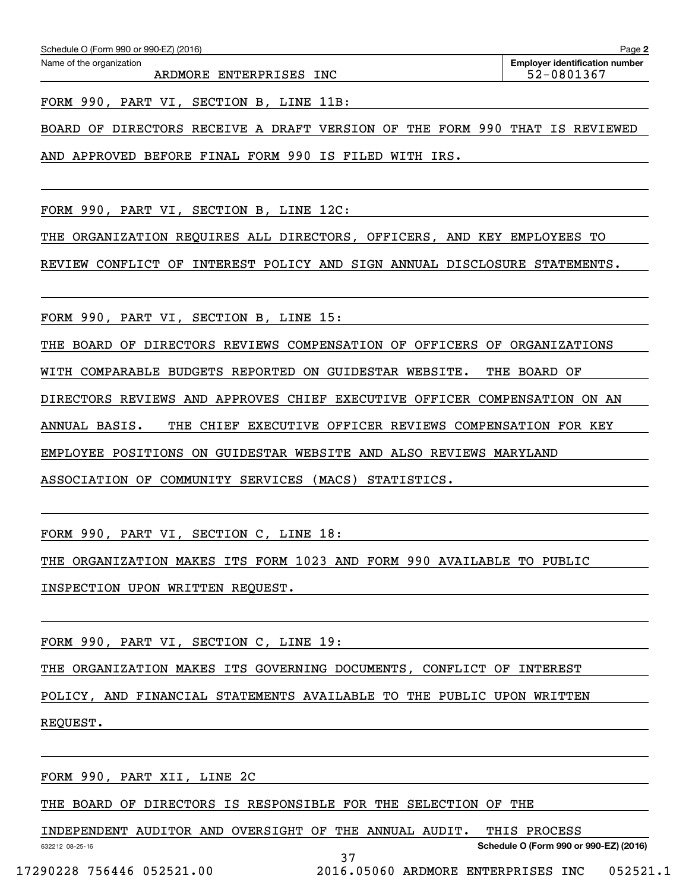ARDMORE ENTERPRISES INC  $\vert$  52-0801367

FORM 990, PART VI, SECTION B, LINE 11B:

BOARD OF DIRECTORS RECEIVE A DRAFT VERSION OF THE FORM 990 THAT IS REVIEWED

AND APPROVED BEFORE FINAL FORM 990 IS FILED WITH IRS.

FORM 990, PART VI, SECTION B, LINE 12C:

THE ORGANIZATION REQUIRES ALL DIRECTORS, OFFICERS, AND KEY EMPLOYEES TO

REVIEW CONFLICT OF INTEREST POLICY AND SIGN ANNUAL DISCLOSURE STATEMENTS.

FORM 990, PART VI, SECTION B, LINE 15:

THE BOARD OF DIRECTORS REVIEWS COMPENSATION OF OFFICERS OF ORGANIZATIONS

WITH COMPARABLE BUDGETS REPORTED ON GUIDESTAR WEBSITE. THE BOARD OF

DIRECTORS REVIEWS AND APPROVES CHIEF EXECUTIVE OFFICER COMPENSATION ON AN

ANNUAL BASIS. THE CHIEF EXECUTIVE OFFICER REVIEWS COMPENSATION FOR KEY

EMPLOYEE POSITIONS ON GUIDESTAR WEBSITE AND ALSO REVIEWS MARYLAND

ASSOCIATION OF COMMUNITY SERVICES (MACS) STATISTICS.

FORM 990, PART VI, SECTION C, LINE 18:

THE ORGANIZATION MAKES ITS FORM 1023 AND FORM 990 AVAILABLE TO PUBLIC

INSPECTION UPON WRITTEN REQUEST.

FORM 990, PART VI, SECTION C, LINE 19:

THE ORGANIZATION MAKES ITS GOVERNING DOCUMENTS, CONFLICT OF INTEREST

POLICY, AND FINANCIAL STATEMENTS AVAILABLE TO THE PUBLIC UPON WRITTEN

REQUEST.

FORM 990, PART XII, LINE 2C

THE BOARD OF DIRECTORS IS RESPONSIBLE FOR THE SELECTION OF THE

INDEPENDENT AUDITOR AND OVERSIGHT OF THE ANNUAL AUDIT. THIS PROCESS

37

632212 08-25-16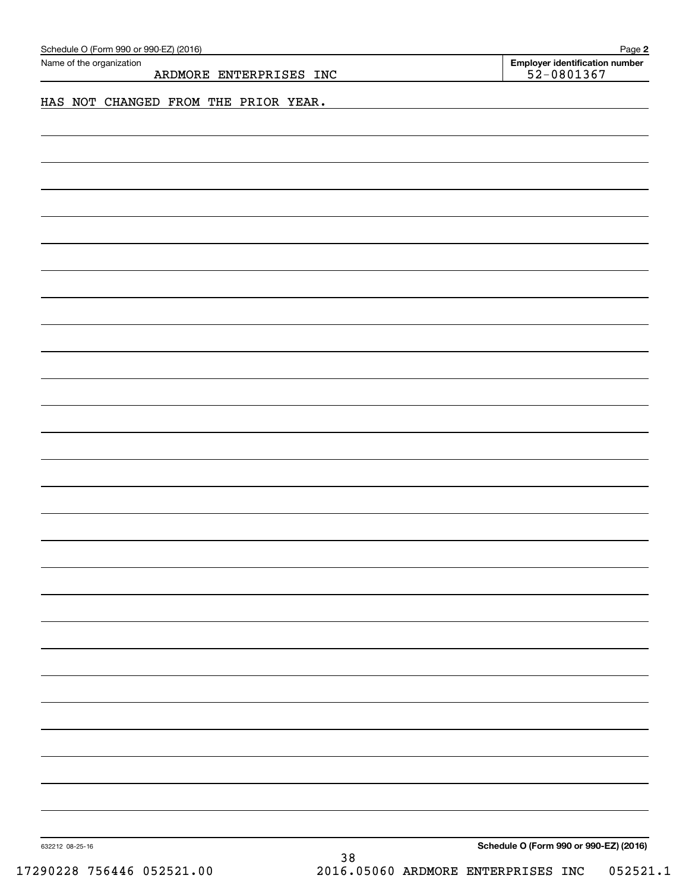| Schedule O (Form 990 or 990-EZ) (2016)<br>Name of the organization |                                      |    | Page 2<br><b>Employer identification number</b> |
|--------------------------------------------------------------------|--------------------------------------|----|-------------------------------------------------|
|                                                                    | ARDMORE ENTERPRISES INC              |    | 52-0801367                                      |
|                                                                    | HAS NOT CHANGED FROM THE PRIOR YEAR. |    |                                                 |
|                                                                    |                                      |    |                                                 |
|                                                                    |                                      |    |                                                 |
|                                                                    |                                      |    |                                                 |
|                                                                    |                                      |    |                                                 |
|                                                                    |                                      |    |                                                 |
|                                                                    |                                      |    |                                                 |
|                                                                    |                                      |    |                                                 |
|                                                                    |                                      |    |                                                 |
|                                                                    |                                      |    |                                                 |
|                                                                    |                                      |    |                                                 |
|                                                                    |                                      |    |                                                 |
|                                                                    |                                      |    |                                                 |
|                                                                    |                                      |    |                                                 |
|                                                                    |                                      |    |                                                 |
|                                                                    |                                      |    |                                                 |
|                                                                    |                                      |    |                                                 |
|                                                                    |                                      |    |                                                 |
|                                                                    |                                      |    |                                                 |
|                                                                    |                                      |    |                                                 |
|                                                                    |                                      |    |                                                 |
|                                                                    |                                      |    |                                                 |
|                                                                    |                                      |    |                                                 |
|                                                                    |                                      |    |                                                 |
|                                                                    |                                      |    |                                                 |
|                                                                    |                                      |    |                                                 |
|                                                                    |                                      |    |                                                 |
|                                                                    |                                      |    |                                                 |
|                                                                    |                                      |    |                                                 |
|                                                                    |                                      |    |                                                 |
|                                                                    |                                      |    |                                                 |
|                                                                    |                                      |    |                                                 |
|                                                                    |                                      |    |                                                 |
|                                                                    |                                      |    |                                                 |
|                                                                    |                                      |    |                                                 |
| 632212 08-25-16                                                    |                                      | 38 | Schedule O (Form 990 or 990-EZ) (2016)          |